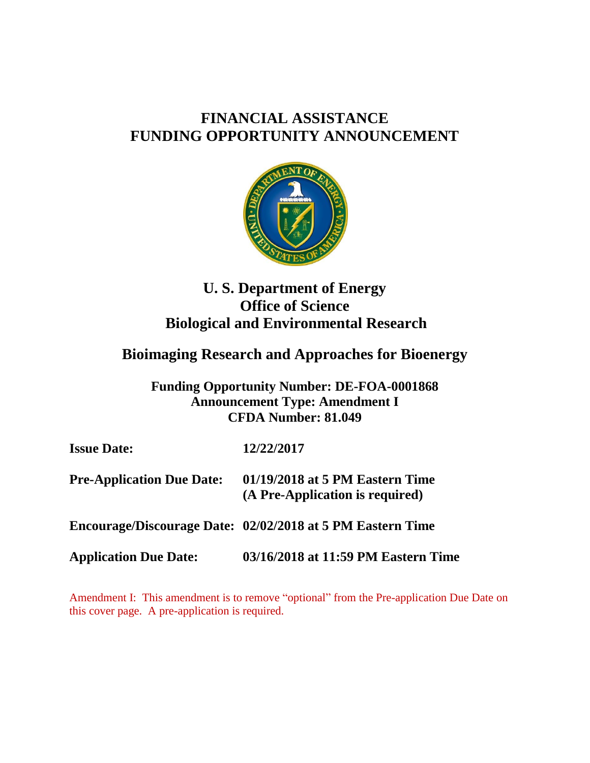# **FINANCIAL ASSISTANCE FUNDING OPPORTUNITY ANNOUNCEMENT**



# **U. S. Department of Energy Office of Science Biological and Environmental Research**

# **Bioimaging Research and Approaches for Bioenergy**

**Funding Opportunity Number: DE-FOA-0001868 Announcement Type: Amendment I CFDA Number: 81.049**

| <b>Issue Date:</b>               | 12/22/2017                                                         |
|----------------------------------|--------------------------------------------------------------------|
| <b>Pre-Application Due Date:</b> | 01/19/2018 at 5 PM Eastern Time<br>(A Pre-Application is required) |
|                                  | Encourage/Discourage Date: 02/02/2018 at 5 PM Eastern Time         |
| <b>Application Due Date:</b>     | 03/16/2018 at 11:59 PM Eastern Time                                |

Amendment I: This amendment is to remove "optional" from the Pre-application Due Date on this cover page. A pre-application is required.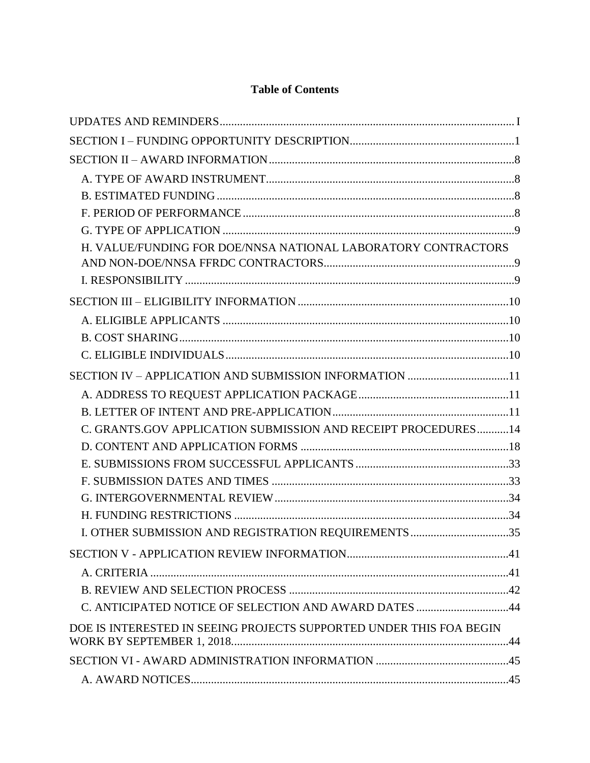# **Table of Contents**

| H. VALUE/FUNDING FOR DOE/NNSA NATIONAL LABORATORY CONTRACTORS       |  |
|---------------------------------------------------------------------|--|
|                                                                     |  |
|                                                                     |  |
|                                                                     |  |
|                                                                     |  |
|                                                                     |  |
|                                                                     |  |
|                                                                     |  |
|                                                                     |  |
|                                                                     |  |
| C. GRANTS.GOV APPLICATION SUBMISSION AND RECEIPT PROCEDURES14       |  |
|                                                                     |  |
|                                                                     |  |
|                                                                     |  |
|                                                                     |  |
|                                                                     |  |
| I. OTHER SUBMISSION AND REGISTRATION REQUIREMENTS 35                |  |
|                                                                     |  |
|                                                                     |  |
|                                                                     |  |
| C. ANTICIPATED NOTICE OF SELECTION AND AWARD DATES 44               |  |
| DOE IS INTERESTED IN SEEING PROJECTS SUPPORTED UNDER THIS FOA BEGIN |  |
|                                                                     |  |
|                                                                     |  |
|                                                                     |  |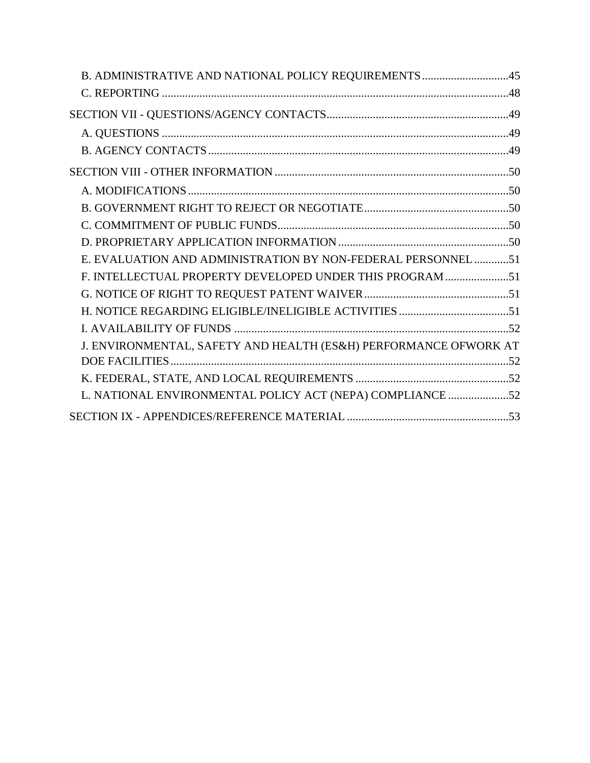| B. ADMINISTRATIVE AND NATIONAL POLICY REQUIREMENTS 45            |  |
|------------------------------------------------------------------|--|
|                                                                  |  |
|                                                                  |  |
|                                                                  |  |
|                                                                  |  |
|                                                                  |  |
|                                                                  |  |
|                                                                  |  |
|                                                                  |  |
|                                                                  |  |
| E. EVALUATION AND ADMINISTRATION BY NON-FEDERAL PERSONNEL51      |  |
| F. INTELLECTUAL PROPERTY DEVELOPED UNDER THIS PROGRAM 51         |  |
|                                                                  |  |
|                                                                  |  |
|                                                                  |  |
| J. ENVIRONMENTAL, SAFETY AND HEALTH (ES&H) PERFORMANCE OFWORK AT |  |
|                                                                  |  |
|                                                                  |  |
| L. NATIONAL ENVIRONMENTAL POLICY ACT (NEPA) COMPLIANCE 52        |  |
|                                                                  |  |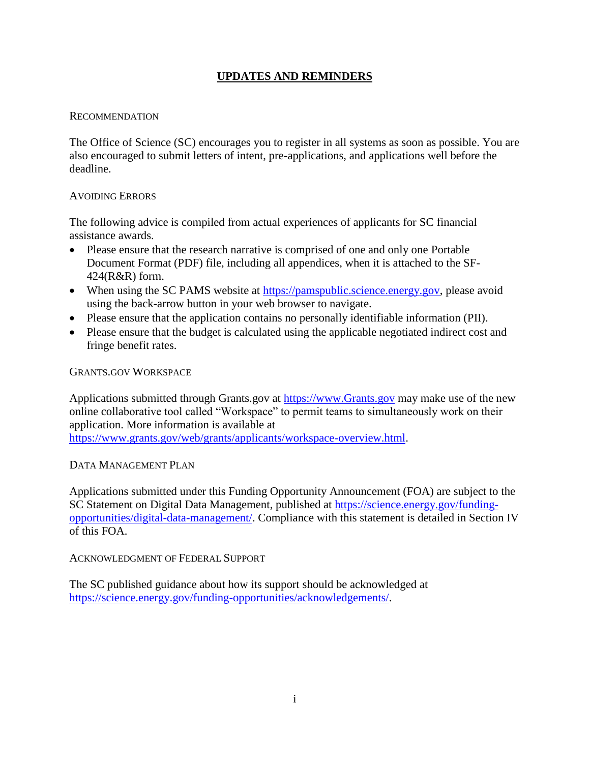# **UPDATES AND REMINDERS**

#### <span id="page-3-0"></span>RECOMMENDATION

The Office of Science (SC) encourages you to register in all systems as soon as possible. You are also encouraged to submit letters of intent, pre-applications, and applications well before the deadline.

#### AVOIDING ERRORS

The following advice is compiled from actual experiences of applicants for SC financial assistance awards.

- Please ensure that the research narrative is comprised of one and only one Portable Document Format (PDF) file, including all appendices, when it is attached to the SF-424(R&R) form.
- When using the SC PAMS website at [https://pamspublic.science.energy.gov,](https://pamspublic.science.energy.gov/) please avoid using the back-arrow button in your web browser to navigate.
- Please ensure that the application contains no personally identifiable information (PII).
- Please ensure that the budget is calculated using the applicable negotiated indirect cost and fringe benefit rates.

GRANTS.GOV WORKSPACE

Applications submitted through Grants.gov at [https://www.Grants.gov](https://www.grants.gov/) may make use of the new online collaborative tool called "Workspace" to permit teams to simultaneously work on their application. More information is available at

[https://www.grants.gov/web/grants/applicants/workspace-overview.html.](https://www.grants.gov/web/grants/applicants/workspace-overview.html)

#### DATA MANAGEMENT PLAN

Applications submitted under this Funding Opportunity Announcement (FOA) are subject to the SC Statement on Digital Data Management, published at [https://science.energy.gov/funding](http://science.energy.gov/funding-opportunities/digital-data-management/)[opportunities/digital-data-management/.](http://science.energy.gov/funding-opportunities/digital-data-management/) Compliance with this statement is detailed in Section IV of this FOA.

#### ACKNOWLEDGMENT OF FEDERAL SUPPORT

The SC published guidance about how its support should be acknowledged at [https://science.energy.gov/funding-opportunities/acknowledgements/.](http://science.energy.gov/funding-opportunities/acknowledgements/)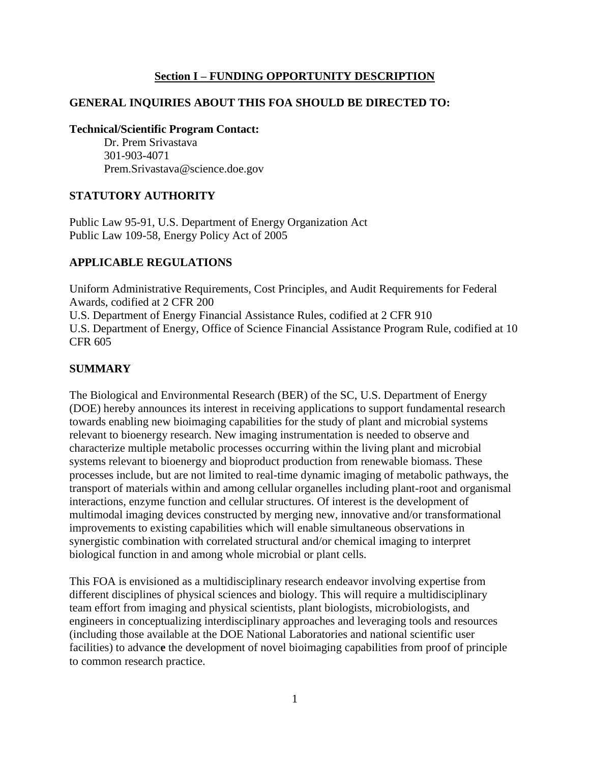#### **Section I – FUNDING OPPORTUNITY DESCRIPTION**

# <span id="page-4-0"></span>**GENERAL INQUIRIES ABOUT THIS FOA SHOULD BE DIRECTED TO:**

#### **Technical/Scientific Program Contact:**

Dr. Prem Srivastava 301-903-4071 Prem.Srivastava@science.doe.gov

#### **STATUTORY AUTHORITY**

Public Law 95-91, U.S. Department of Energy Organization Act Public Law 109-58, Energy Policy Act of 2005

#### **APPLICABLE REGULATIONS**

Uniform Administrative Requirements, Cost Principles, and Audit Requirements for Federal Awards, codified at 2 CFR 200 U.S. Department of Energy Financial Assistance Rules, codified at 2 CFR 910 U.S. Department of Energy, Office of Science Financial Assistance Program Rule, codified at 10

#### **SUMMARY**

CFR 605

The Biological and Environmental Research (BER) of the SC, U.S. Department of Energy (DOE) hereby announces its interest in receiving applications to support fundamental research towards enabling new bioimaging capabilities for the study of plant and microbial systems relevant to bioenergy research. New imaging instrumentation is needed to observe and characterize multiple metabolic processes occurring within the living plant and microbial systems relevant to bioenergy and bioproduct production from renewable biomass. These processes include, but are not limited to real-time dynamic imaging of metabolic pathways, the transport of materials within and among cellular organelles including plant-root and organismal interactions, enzyme function and cellular structures. Of interest is the development of multimodal imaging devices constructed by merging new, innovative and/or transformational improvements to existing capabilities which will enable simultaneous observations in synergistic combination with correlated structural and/or chemical imaging to interpret biological function in and among whole microbial or plant cells.

This FOA is envisioned as a multidisciplinary research endeavor involving expertise from different disciplines of physical sciences and biology. This will require a multidisciplinary team effort from imaging and physical scientists, plant biologists, microbiologists, and engineers in conceptualizing interdisciplinary approaches and leveraging tools and resources (including those available at the DOE National Laboratories and national scientific user facilities) to advanc**e** the development of novel bioimaging capabilities from proof of principle to common research practice.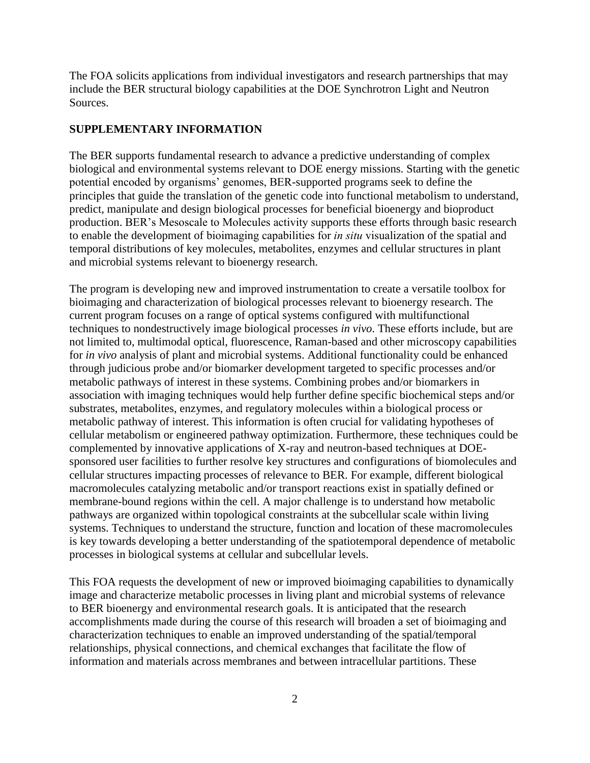The FOA solicits applications from individual investigators and research partnerships that may include the BER structural biology capabilities at the DOE Synchrotron Light and Neutron Sources.

#### **SUPPLEMENTARY INFORMATION**

The BER supports fundamental research to advance a predictive understanding of complex biological and environmental systems relevant to DOE energy missions. Starting with the genetic potential encoded by organisms' genomes, BER-supported programs seek to define the principles that guide the translation of the genetic code into functional metabolism to understand, predict, manipulate and design biological processes for beneficial bioenergy and bioproduct production. BER's Mesoscale to Molecules activity supports these efforts through basic research to enable the development of bioimaging capabilities for *in situ* visualization of the spatial and temporal distributions of key molecules, metabolites, enzymes and cellular structures in plant and microbial systems relevant to bioenergy research.

The program is developing new and improved instrumentation to create a versatile toolbox for bioimaging and characterization of biological processes relevant to bioenergy research. The current program focuses on a range of optical systems configured with multifunctional techniques to nondestructively image biological processes *in vivo*. These efforts include, but are not limited to, multimodal optical, fluorescence, Raman-based and other microscopy capabilities for *in vivo* analysis of plant and microbial systems. Additional functionality could be enhanced through judicious probe and/or biomarker development targeted to specific processes and/or metabolic pathways of interest in these systems. Combining probes and/or biomarkers in association with imaging techniques would help further define specific biochemical steps and/or substrates, metabolites, enzymes, and regulatory molecules within a biological process or metabolic pathway of interest. This information is often crucial for validating hypotheses of cellular metabolism or engineered pathway optimization. Furthermore, these techniques could be complemented by innovative applications of X-ray and neutron-based techniques at DOEsponsored user facilities to further resolve key structures and configurations of biomolecules and cellular structures impacting processes of relevance to BER. For example, different biological macromolecules catalyzing metabolic and/or transport reactions exist in spatially defined or membrane-bound regions within the cell. A major challenge is to understand how metabolic pathways are organized within topological constraints at the subcellular scale within living systems. Techniques to understand the structure, function and location of these macromolecules is key towards developing a better understanding of the spatiotemporal dependence of metabolic processes in biological systems at cellular and subcellular levels.

This FOA requests the development of new or improved bioimaging capabilities to dynamically image and characterize metabolic processes in living plant and microbial systems of relevance to BER bioenergy and environmental research goals. It is anticipated that the research accomplishments made during the course of this research will broaden a set of bioimaging and characterization techniques to enable an improved understanding of the spatial/temporal relationships, physical connections, and chemical exchanges that facilitate the flow of information and materials across membranes and between intracellular partitions. These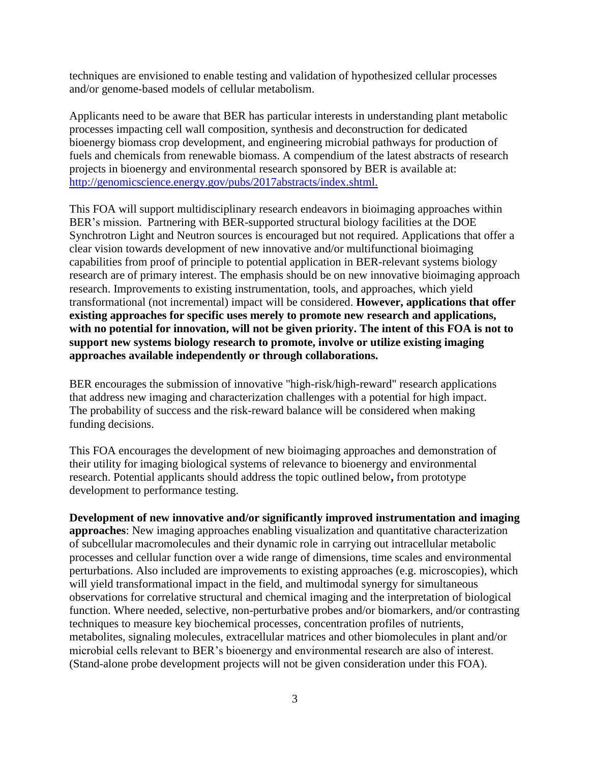techniques are envisioned to enable testing and validation of hypothesized cellular processes and/or genome-based models of cellular metabolism.

Applicants need to be aware that BER has particular interests in understanding plant metabolic processes impacting cell wall composition, synthesis and deconstruction for dedicated bioenergy biomass crop development, and engineering microbial pathways for production of fuels and chemicals from renewable biomass. A compendium of the latest abstracts of research projects in bioenergy and environmental research sponsored by BER is available at: [http://genomicscience.energy.gov/pubs/2017abstracts/index.shtml.](http://genomicscience.energy.gov/pubs/2017abstracts/index.shtml)

This FOA will support multidisciplinary research endeavors in bioimaging approaches within BER's mission. Partnering with BER-supported structural biology facilities at the DOE Synchrotron Light and Neutron sources is encouraged but not required. Applications that offer a clear vision towards development of new innovative and/or multifunctional bioimaging capabilities from proof of principle to potential application in BER-relevant systems biology research are of primary interest. The emphasis should be on new innovative bioimaging approach research. Improvements to existing instrumentation, tools, and approaches, which yield transformational (not incremental) impact will be considered. **However, applications that offer existing approaches for specific uses merely to promote new research and applications, with no potential for innovation, will not be given priority. The intent of this FOA is not to support new systems biology research to promote, involve or utilize existing imaging approaches available independently or through collaborations.**

BER encourages the submission of innovative "high-risk/high-reward" research applications that address new imaging and characterization challenges with a potential for high impact. The probability of success and the risk-reward balance will be considered when making funding decisions.

This FOA encourages the development of new bioimaging approaches and demonstration of their utility for imaging biological systems of relevance to bioenergy and environmental research. Potential applicants should address the topic outlined below**,** from prototype development to performance testing.

**Development of new innovative and/or significantly improved instrumentation and imaging approaches**: New imaging approaches enabling visualization and quantitative characterization of subcellular macromolecules and their dynamic role in carrying out intracellular metabolic processes and cellular function over a wide range of dimensions, time scales and environmental perturbations. Also included are improvements to existing approaches (e.g. microscopies), which will yield transformational impact in the field, and multimodal synergy for simultaneous observations for correlative structural and chemical imaging and the interpretation of biological function. Where needed, selective, non-perturbative probes and/or biomarkers, and/or contrasting techniques to measure key biochemical processes, concentration profiles of nutrients, metabolites, signaling molecules, extracellular matrices and other biomolecules in plant and/or microbial cells relevant to BER's bioenergy and environmental research are also of interest. (Stand-alone probe development projects will not be given consideration under this FOA).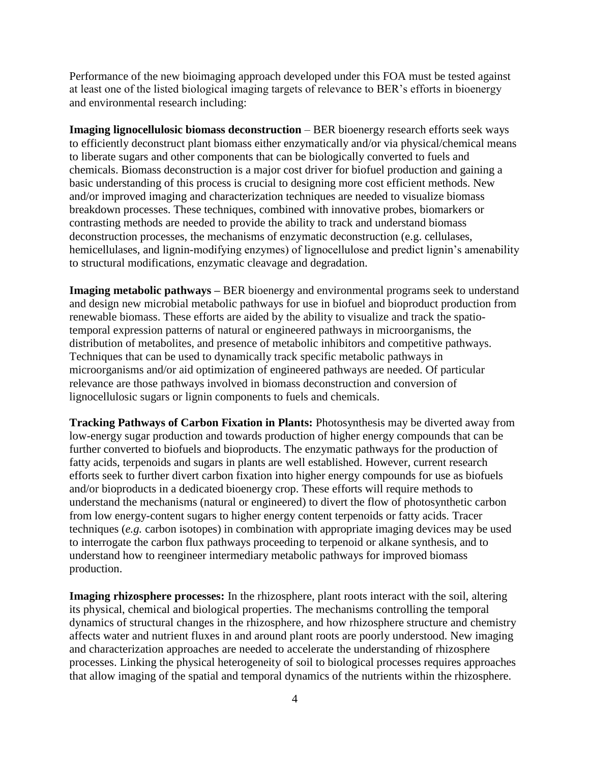Performance of the new bioimaging approach developed under this FOA must be tested against at least one of the listed biological imaging targets of relevance to BER's efforts in bioenergy and environmental research including:

**Imaging lignocellulosic biomass deconstruction** – BER bioenergy research efforts seek ways to efficiently deconstruct plant biomass either enzymatically and/or via physical/chemical means to liberate sugars and other components that can be biologically converted to fuels and chemicals. Biomass deconstruction is a major cost driver for biofuel production and gaining a basic understanding of this process is crucial to designing more cost efficient methods. New and/or improved imaging and characterization techniques are needed to visualize biomass breakdown processes. These techniques, combined with innovative probes, biomarkers or contrasting methods are needed to provide the ability to track and understand biomass deconstruction processes, the mechanisms of enzymatic deconstruction (e.g. cellulases, hemicellulases, and lignin-modifying enzymes) of lignocellulose and predict lignin's amenability to structural modifications, enzymatic cleavage and degradation.

**Imaging metabolic pathways –** BER bioenergy and environmental programs seek to understand and design new microbial metabolic pathways for use in biofuel and bioproduct production from renewable biomass. These efforts are aided by the ability to visualize and track the spatiotemporal expression patterns of natural or engineered pathways in microorganisms, the distribution of metabolites, and presence of metabolic inhibitors and competitive pathways. Techniques that can be used to dynamically track specific metabolic pathways in microorganisms and/or aid optimization of engineered pathways are needed. Of particular relevance are those pathways involved in biomass deconstruction and conversion of lignocellulosic sugars or lignin components to fuels and chemicals.

**Tracking Pathways of Carbon Fixation in Plants:** Photosynthesis may be diverted away from low-energy sugar production and towards production of higher energy compounds that can be further converted to biofuels and bioproducts. The enzymatic pathways for the production of fatty acids, terpenoids and sugars in plants are well established. However, current research efforts seek to further divert carbon fixation into higher energy compounds for use as biofuels and/or bioproducts in a dedicated bioenergy crop. These efforts will require methods to understand the mechanisms (natural or engineered) to divert the flow of photosynthetic carbon from low energy-content sugars to higher energy content terpenoids or fatty acids. Tracer techniques (*e.g.* carbon isotopes) in combination with appropriate imaging devices may be used to interrogate the carbon flux pathways proceeding to terpenoid or alkane synthesis, and to understand how to reengineer intermediary metabolic pathways for improved biomass production.

**Imaging rhizosphere processes:** In the rhizosphere, plant roots interact with the soil, altering its physical, chemical and biological properties. The mechanisms controlling the temporal dynamics of structural changes in the rhizosphere, and how rhizosphere structure and chemistry affects water and nutrient fluxes in and around plant roots are poorly understood. New imaging and characterization approaches are needed to accelerate the understanding of rhizosphere processes. Linking the physical heterogeneity of soil to biological processes requires approaches that allow imaging of the spatial and temporal dynamics of the nutrients within the rhizosphere.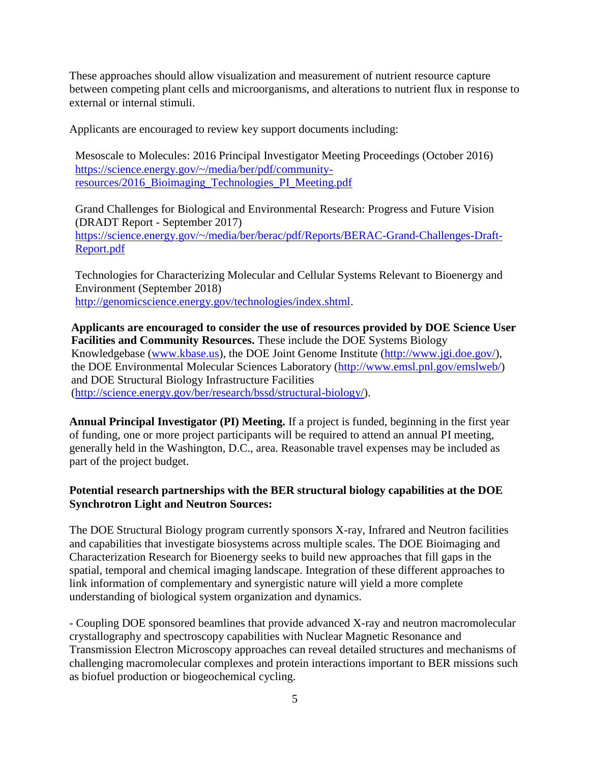These approaches should allow visualization and measurement of nutrient resource capture between competing plant cells and microorganisms, and alterations to nutrient flux in response to external or internal stimuli.

Applicants are encouraged to review key support documents including:

Mesoscale to Molecules: 2016 Principal Investigator Meeting Proceedings (October 2016) [https://science.energy.gov/~/media/ber/pdf/community](https://science.energy.gov/~/media/ber/pdf/community-resources/2016_Bioimaging_Technologies_PI_Meeting.pdf)[resources/2016\\_Bioimaging\\_Technologies\\_PI\\_Meeting.pdf](https://science.energy.gov/~/media/ber/pdf/community-resources/2016_Bioimaging_Technologies_PI_Meeting.pdf)

Grand Challenges for Biological and Environmental Research: Progress and Future Vision (DRADT Report - September 2017) [https://science.energy.gov/~/media/ber/berac/pdf/Reports/BERAC-Grand-Challenges-Draft-](https://science.energy.gov/~/media/ber/berac/pdf/Reports/BERAC-Grand-Challenges-Draft-Report.pdf)[Report.pdf](https://science.energy.gov/~/media/ber/berac/pdf/Reports/BERAC-Grand-Challenges-Draft-Report.pdf)

Technologies for Characterizing Molecular and Cellular Systems Relevant to Bioenergy and Environment (September 2018) [http://genomicscience.energy.gov/technologies/index.shtml.](http://genomicscience.energy.gov/technologies/index.shtml)

**Applicants are encouraged to consider the use of resources provided by DOE Science User Facilities and Community Resources.** These include the DOE Systems Biology Knowledgebase [\(www.kbase.us\)](http://www.kbase.us/), the DOE Joint Genome Institute [\(http://www.jgi.doe.gov/\)](http://www.jgi.doe.gov/), the DOE Environmental Molecular Sciences Laboratory [\(http://www.emsl.pnl.gov/emslweb/\)](http://www.emsl.pnl.gov/emslweb/) and DOE Structural Biology Infrastructure Facilities [\(http://science.energy.gov/ber/research/bssd/structural-biology/\)](http://science.energy.gov/ber/research/bssd/structural-biology/).

**Annual Principal Investigator (PI) Meeting.** If a project is funded, beginning in the first year of funding, one or more project participants will be required to attend an annual PI meeting, generally held in the Washington, D.C., area. Reasonable travel expenses may be included as part of the project budget.

#### **Potential research partnerships with the BER structural biology capabilities at the DOE Synchrotron Light and Neutron Sources:**

The DOE Structural Biology program currently sponsors X-ray, Infrared and Neutron facilities and capabilities that investigate biosystems across multiple scales. The DOE Bioimaging and Characterization Research for Bioenergy seeks to build new approaches that fill gaps in the spatial, temporal and chemical imaging landscape. Integration of these different approaches to link information of complementary and synergistic nature will yield a more complete understanding of biological system organization and dynamics.

- Coupling DOE sponsored beamlines that provide advanced X-ray and neutron macromolecular crystallography and spectroscopy capabilities with Nuclear Magnetic Resonance and Transmission Electron Microscopy approaches can reveal detailed structures and mechanisms of challenging macromolecular complexes and protein interactions important to BER missions such as biofuel production or biogeochemical cycling.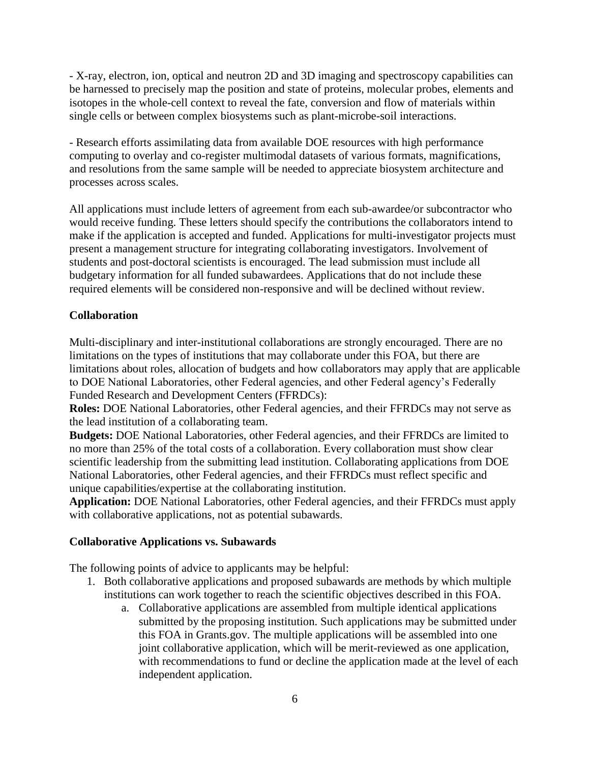- X-ray, electron, ion, optical and neutron 2D and 3D imaging and spectroscopy capabilities can be harnessed to precisely map the position and state of proteins, molecular probes, elements and isotopes in the whole-cell context to reveal the fate, conversion and flow of materials within single cells or between complex biosystems such as plant-microbe-soil interactions.

- Research efforts assimilating data from available DOE resources with high performance computing to overlay and co-register multimodal datasets of various formats, magnifications, and resolutions from the same sample will be needed to appreciate biosystem architecture and processes across scales.

All applications must include letters of agreement from each sub-awardee/or subcontractor who would receive funding. These letters should specify the contributions the collaborators intend to make if the application is accepted and funded. Applications for multi-investigator projects must present a management structure for integrating collaborating investigators. Involvement of students and post-doctoral scientists is encouraged. The lead submission must include all budgetary information for all funded subawardees. Applications that do not include these required elements will be considered non-responsive and will be declined without review.

#### **Collaboration**

Multi-disciplinary and inter-institutional collaborations are strongly encouraged. There are no limitations on the types of institutions that may collaborate under this FOA, but there are limitations about roles, allocation of budgets and how collaborators may apply that are applicable to DOE National Laboratories, other Federal agencies, and other Federal agency's Federally Funded Research and Development Centers (FFRDCs):

**Roles:** DOE National Laboratories, other Federal agencies, and their FFRDCs may not serve as the lead institution of a collaborating team.

**Budgets:** DOE National Laboratories, other Federal agencies, and their FFRDCs are limited to no more than 25% of the total costs of a collaboration. Every collaboration must show clear scientific leadership from the submitting lead institution. Collaborating applications from DOE National Laboratories, other Federal agencies, and their FFRDCs must reflect specific and unique capabilities/expertise at the collaborating institution.

**Application:** DOE National Laboratories, other Federal agencies, and their FFRDCs must apply with collaborative applications, not as potential subawards.

#### **Collaborative Applications vs. Subawards**

The following points of advice to applicants may be helpful:

- 1. Both collaborative applications and proposed subawards are methods by which multiple institutions can work together to reach the scientific objectives described in this FOA.
	- a. Collaborative applications are assembled from multiple identical applications submitted by the proposing institution. Such applications may be submitted under this FOA in Grants.gov. The multiple applications will be assembled into one joint collaborative application, which will be merit-reviewed as one application, with recommendations to fund or decline the application made at the level of each independent application.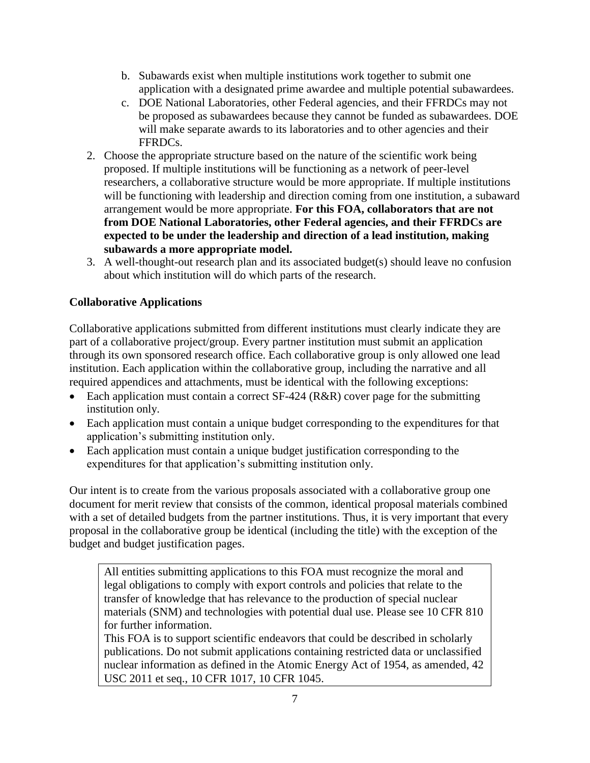- b. Subawards exist when multiple institutions work together to submit one application with a designated prime awardee and multiple potential subawardees.
- c. DOE National Laboratories, other Federal agencies, and their FFRDCs may not be proposed as subawardees because they cannot be funded as subawardees. DOE will make separate awards to its laboratories and to other agencies and their FFRDCs.
- 2. Choose the appropriate structure based on the nature of the scientific work being proposed. If multiple institutions will be functioning as a network of peer-level researchers, a collaborative structure would be more appropriate. If multiple institutions will be functioning with leadership and direction coming from one institution, a subaward arrangement would be more appropriate. **For this FOA, collaborators that are not from DOE National Laboratories, other Federal agencies, and their FFRDCs are expected to be under the leadership and direction of a lead institution, making subawards a more appropriate model.**
- 3. A well-thought-out research plan and its associated budget(s) should leave no confusion about which institution will do which parts of the research.

# **Collaborative Applications**

Collaborative applications submitted from different institutions must clearly indicate they are part of a collaborative project/group. Every partner institution must submit an application through its own sponsored research office. Each collaborative group is only allowed one lead institution. Each application within the collaborative group, including the narrative and all required appendices and attachments, must be identical with the following exceptions:

- Each application must contain a correct  $SF-424$  ( $R&R$ ) cover page for the submitting institution only.
- Each application must contain a unique budget corresponding to the expenditures for that application's submitting institution only.
- Each application must contain a unique budget justification corresponding to the expenditures for that application's submitting institution only.

Our intent is to create from the various proposals associated with a collaborative group one document for merit review that consists of the common, identical proposal materials combined with a set of detailed budgets from the partner institutions. Thus, it is very important that every proposal in the collaborative group be identical (including the title) with the exception of the budget and budget justification pages.

All entities submitting applications to this FOA must recognize the moral and legal obligations to comply with export controls and policies that relate to the transfer of knowledge that has relevance to the production of special nuclear materials (SNM) and technologies with potential dual use. Please see 10 CFR 810 for further information.

This FOA is to support scientific endeavors that could be described in scholarly publications. Do not submit applications containing restricted data or unclassified nuclear information as defined in the Atomic Energy Act of 1954, as amended, 42 USC 2011 et seq., 10 CFR 1017, 10 CFR 1045.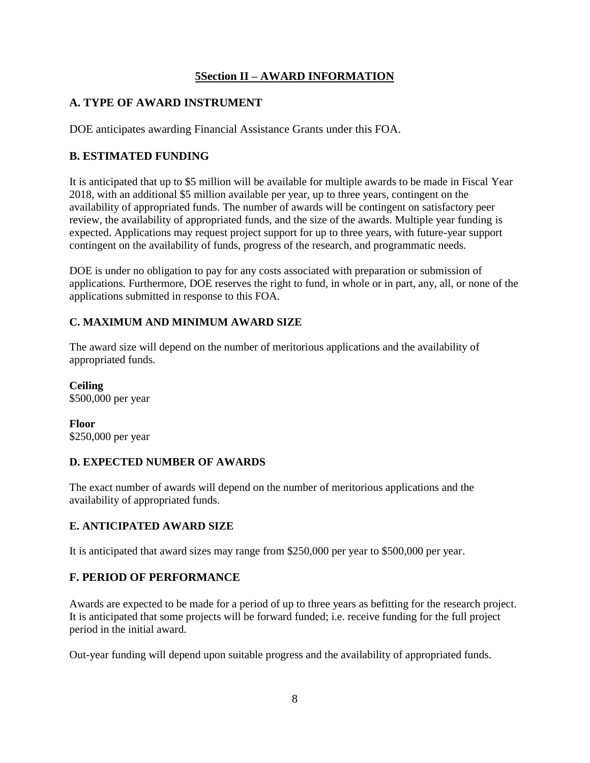# **5Section II – AWARD INFORMATION**

# <span id="page-11-1"></span><span id="page-11-0"></span>**A. TYPE OF AWARD INSTRUMENT**

DOE anticipates awarding Financial Assistance Grants under this FOA.

# <span id="page-11-2"></span>**B. ESTIMATED FUNDING**

It is anticipated that up to \$5 million will be available for multiple awards to be made in Fiscal Year 2018, with an additional \$5 million available per year, up to three years, contingent on the availability of appropriated funds. The number of awards will be contingent on satisfactory peer review, the availability of appropriated funds, and the size of the awards. Multiple year funding is expected. Applications may request project support for up to three years, with future-year support contingent on the availability of funds, progress of the research, and programmatic needs.

DOE is under no obligation to pay for any costs associated with preparation or submission of applications. Furthermore, DOE reserves the right to fund, in whole or in part, any, all, or none of the applications submitted in response to this FOA.

# **C. MAXIMUM AND MINIMUM AWARD SIZE**

The award size will depend on the number of meritorious applications and the availability of appropriated funds.

**Ceiling**  \$500,000 per year

**Floor**  \$250,000 per year

# **D. EXPECTED NUMBER OF AWARDS**

The exact number of awards will depend on the number of meritorious applications and the availability of appropriated funds.

# **E. ANTICIPATED AWARD SIZE**

It is anticipated that award sizes may range from \$250,000 per year to \$500,000 per year.

# <span id="page-11-3"></span>**F. PERIOD OF PERFORMANCE**

Awards are expected to be made for a period of up to three years as befitting for the research project. It is anticipated that some projects will be forward funded; i.e. receive funding for the full project period in the initial award.

Out-year funding will depend upon suitable progress and the availability of appropriated funds.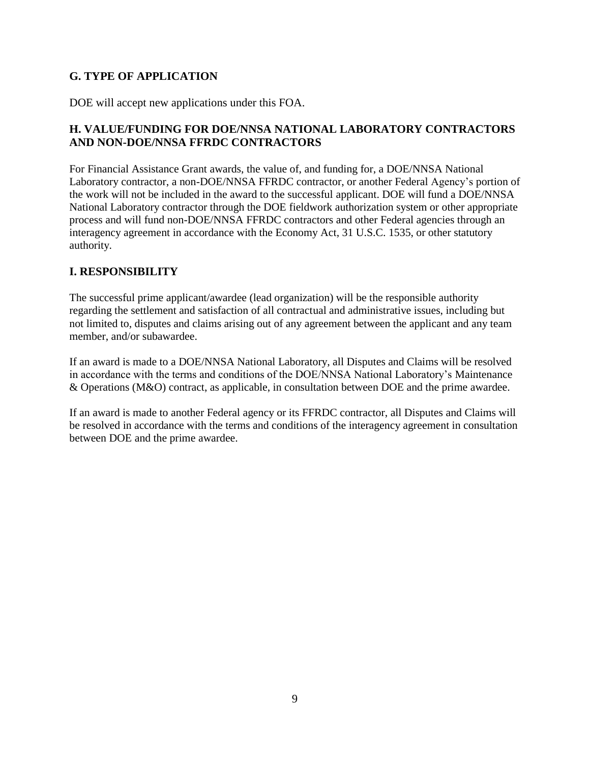# <span id="page-12-0"></span>**G. TYPE OF APPLICATION**

DOE will accept new applications under this FOA.

# <span id="page-12-1"></span>**H. VALUE/FUNDING FOR DOE/NNSA NATIONAL LABORATORY CONTRACTORS AND NON-DOE/NNSA FFRDC CONTRACTORS**

For Financial Assistance Grant awards, the value of, and funding for, a DOE/NNSA National Laboratory contractor, a non-DOE/NNSA FFRDC contractor, or another Federal Agency's portion of the work will not be included in the award to the successful applicant. DOE will fund a DOE/NNSA National Laboratory contractor through the DOE fieldwork authorization system or other appropriate process and will fund non-DOE/NNSA FFRDC contractors and other Federal agencies through an interagency agreement in accordance with the Economy Act, 31 U.S.C. 1535, or other statutory authority.

#### <span id="page-12-2"></span>**I. RESPONSIBILITY**

The successful prime applicant/awardee (lead organization) will be the responsible authority regarding the settlement and satisfaction of all contractual and administrative issues, including but not limited to, disputes and claims arising out of any agreement between the applicant and any team member, and/or subawardee.

If an award is made to a DOE/NNSA National Laboratory, all Disputes and Claims will be resolved in accordance with the terms and conditions of the DOE/NNSA National Laboratory's Maintenance & Operations (M&O) contract, as applicable, in consultation between DOE and the prime awardee.

If an award is made to another Federal agency or its FFRDC contractor, all Disputes and Claims will be resolved in accordance with the terms and conditions of the interagency agreement in consultation between DOE and the prime awardee.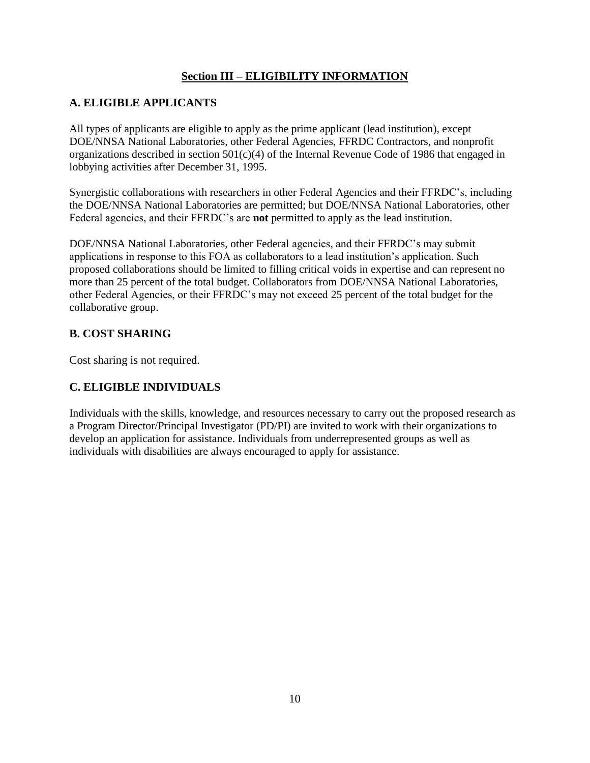# **Section III – ELIGIBILITY INFORMATION**

#### <span id="page-13-1"></span><span id="page-13-0"></span>**A. ELIGIBLE APPLICANTS**

All types of applicants are eligible to apply as the prime applicant (lead institution), except DOE/NNSA National Laboratories, other Federal Agencies, FFRDC Contractors, and nonprofit organizations described in section 501(c)(4) of the Internal Revenue Code of 1986 that engaged in lobbying activities after December 31, 1995.

Synergistic collaborations with researchers in other Federal Agencies and their FFRDC's, including the DOE/NNSA National Laboratories are permitted; but DOE/NNSA National Laboratories, other Federal agencies, and their FFRDC's are **not** permitted to apply as the lead institution.

DOE/NNSA National Laboratories, other Federal agencies, and their FFRDC's may submit applications in response to this FOA as collaborators to a lead institution's application. Such proposed collaborations should be limited to filling critical voids in expertise and can represent no more than 25 percent of the total budget. Collaborators from DOE/NNSA National Laboratories, other Federal Agencies, or their FFRDC's may not exceed 25 percent of the total budget for the collaborative group.

#### <span id="page-13-2"></span>**B. COST SHARING**

Cost sharing is not required.

# <span id="page-13-3"></span>**C. ELIGIBLE INDIVIDUALS**

Individuals with the skills, knowledge, and resources necessary to carry out the proposed research as a Program Director/Principal Investigator (PD/PI) are invited to work with their organizations to develop an application for assistance. Individuals from underrepresented groups as well as individuals with disabilities are always encouraged to apply for assistance.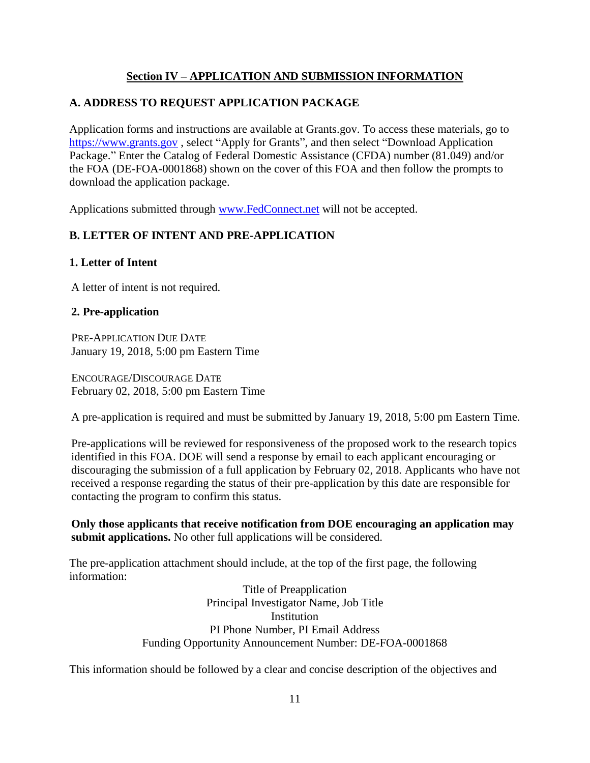# **Section IV – APPLICATION AND SUBMISSION INFORMATION**

# <span id="page-14-1"></span><span id="page-14-0"></span>**A. ADDRESS TO REQUEST APPLICATION PACKAGE**

Application forms and instructions are available at Grants.gov. To access these materials, go to [https://www.grants.gov](http://www.grants.gov/) , select "Apply for Grants", and then select "Download Application Package." Enter the Catalog of Federal Domestic Assistance (CFDA) number (81.049) and/or the FOA (DE-FOA-0001868) shown on the cover of this FOA and then follow the prompts to download the application package.

Applications submitted through [www.FedConnect.net](http://www.fedconnect.net/) will not be accepted.

# <span id="page-14-2"></span>**B. LETTER OF INTENT AND PRE-APPLICATION**

#### **1. Letter of Intent**

A letter of intent is not required.

#### **2. Pre-application**

PRE-APPLICATION DUE DATE January 19, 2018, 5:00 pm Eastern Time

ENCOURAGE/DISCOURAGE DATE February 02, 2018, 5:00 pm Eastern Time

A pre-application is required and must be submitted by January 19, 2018, 5:00 pm Eastern Time.

Pre-applications will be reviewed for responsiveness of the proposed work to the research topics identified in this FOA. DOE will send a response by email to each applicant encouraging or discouraging the submission of a full application by February 02, 2018. Applicants who have not received a response regarding the status of their pre-application by this date are responsible for contacting the program to confirm this status.

**Only those applicants that receive notification from DOE encouraging an application may submit applications.** No other full applications will be considered.

The pre-application attachment should include, at the top of the first page, the following information:

> Title of Preapplication Principal Investigator Name, Job Title **Institution** PI Phone Number, PI Email Address Funding Opportunity Announcement Number: DE-FOA-0001868

This information should be followed by a clear and concise description of the objectives and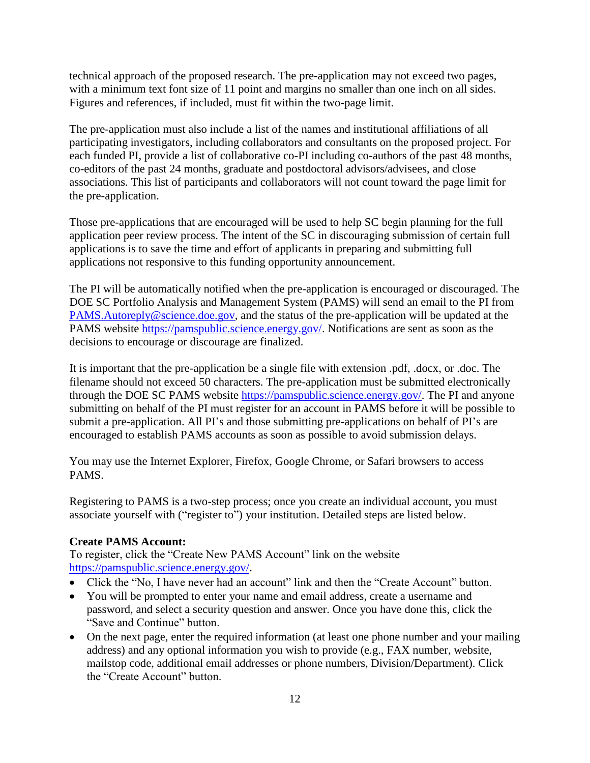technical approach of the proposed research. The pre-application may not exceed two pages, with a minimum text font size of 11 point and margins no smaller than one inch on all sides. Figures and references, if included, must fit within the two-page limit.

The pre-application must also include a list of the names and institutional affiliations of all participating investigators, including collaborators and consultants on the proposed project. For each funded PI, provide a list of collaborative co-PI including co-authors of the past 48 months, co-editors of the past 24 months, graduate and postdoctoral advisors/advisees, and close associations. This list of participants and collaborators will not count toward the page limit for the pre-application.

Those pre-applications that are encouraged will be used to help SC begin planning for the full application peer review process. The intent of the SC in discouraging submission of certain full applications is to save the time and effort of applicants in preparing and submitting full applications not responsive to this funding opportunity announcement.

The PI will be automatically notified when the pre-application is encouraged or discouraged. The DOE SC Portfolio Analysis and Management System (PAMS) will send an email to the PI from [PAMS.Autoreply@science.doe.gov,](mailto:PAMS.Autoreply@science.doe.gov) and the status of the pre-application will be updated at the PAMS website [https://pamspublic.science.energy.gov/.](https://pamspublic.science.energy.gov/) Notifications are sent as soon as the decisions to encourage or discourage are finalized.

It is important that the pre-application be a single file with extension .pdf, .docx, or .doc. The filename should not exceed 50 characters. The pre-application must be submitted electronically through the DOE SC PAMS website [https://pamspublic.science.energy.gov/.](https://pamspublic.science.energy.gov/) The PI and anyone submitting on behalf of the PI must register for an account in PAMS before it will be possible to submit a pre-application. All PI's and those submitting pre-applications on behalf of PI's are encouraged to establish PAMS accounts as soon as possible to avoid submission delays.

You may use the Internet Explorer, Firefox, Google Chrome, or Safari browsers to access PAMS.

Registering to PAMS is a two-step process; once you create an individual account, you must associate yourself with ("register to") your institution. Detailed steps are listed below.

# **Create PAMS Account:**

To register, click the "Create New PAMS Account" link on the website [https://pamspublic.science.energy.gov/.](https://pamspublic.science.energy.gov/)

- Click the "No, I have never had an account" link and then the "Create Account" button.
- You will be prompted to enter your name and email address, create a username and password, and select a security question and answer. Once you have done this, click the "Save and Continue" button.
- On the next page, enter the required information (at least one phone number and your mailing address) and any optional information you wish to provide (e.g., FAX number, website, mailstop code, additional email addresses or phone numbers, Division/Department). Click the "Create Account" button.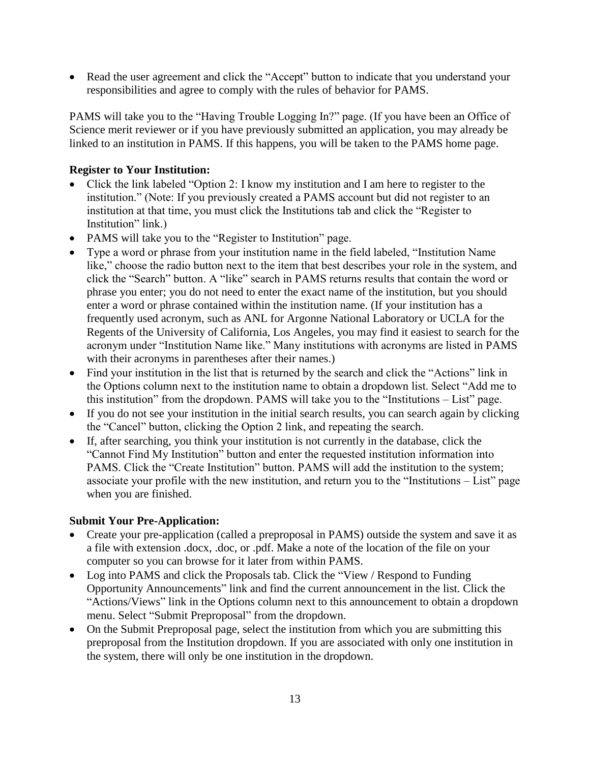Read the user agreement and click the "Accept" button to indicate that you understand your responsibilities and agree to comply with the rules of behavior for PAMS.

PAMS will take you to the "Having Trouble Logging In?" page. (If you have been an Office of Science merit reviewer or if you have previously submitted an application, you may already be linked to an institution in PAMS. If this happens, you will be taken to the PAMS home page.

#### **Register to Your Institution:**

- Click the link labeled "Option 2: I know my institution and I am here to register to the institution." (Note: If you previously created a PAMS account but did not register to an institution at that time, you must click the Institutions tab and click the "Register to Institution" link.)
- PAMS will take you to the "Register to Institution" page.
- Type a word or phrase from your institution name in the field labeled, "Institution Name like," choose the radio button next to the item that best describes your role in the system, and click the "Search" button. A "like" search in PAMS returns results that contain the word or phrase you enter; you do not need to enter the exact name of the institution, but you should enter a word or phrase contained within the institution name. (If your institution has a frequently used acronym, such as ANL for Argonne National Laboratory or UCLA for the Regents of the University of California, Los Angeles, you may find it easiest to search for the acronym under "Institution Name like." Many institutions with acronyms are listed in PAMS with their acronyms in parentheses after their names.)
- Find your institution in the list that is returned by the search and click the "Actions" link in the Options column next to the institution name to obtain a dropdown list. Select "Add me to this institution" from the dropdown. PAMS will take you to the "Institutions – List" page.
- If you do not see your institution in the initial search results, you can search again by clicking the "Cancel" button, clicking the Option 2 link, and repeating the search.
- If, after searching, you think your institution is not currently in the database, click the "Cannot Find My Institution" button and enter the requested institution information into PAMS. Click the "Create Institution" button. PAMS will add the institution to the system; associate your profile with the new institution, and return you to the "Institutions – List" page when you are finished.

#### **Submit Your Pre-Application:**

- Create your pre-application (called a preproposal in PAMS) outside the system and save it as a file with extension .docx, .doc, or .pdf. Make a note of the location of the file on your computer so you can browse for it later from within PAMS.
- Log into PAMS and click the Proposals tab. Click the "View / Respond to Funding Opportunity Announcements" link and find the current announcement in the list. Click the "Actions/Views" link in the Options column next to this announcement to obtain a dropdown menu. Select "Submit Preproposal" from the dropdown.
- On the Submit Preproposal page, select the institution from which you are submitting this preproposal from the Institution dropdown. If you are associated with only one institution in the system, there will only be one institution in the dropdown.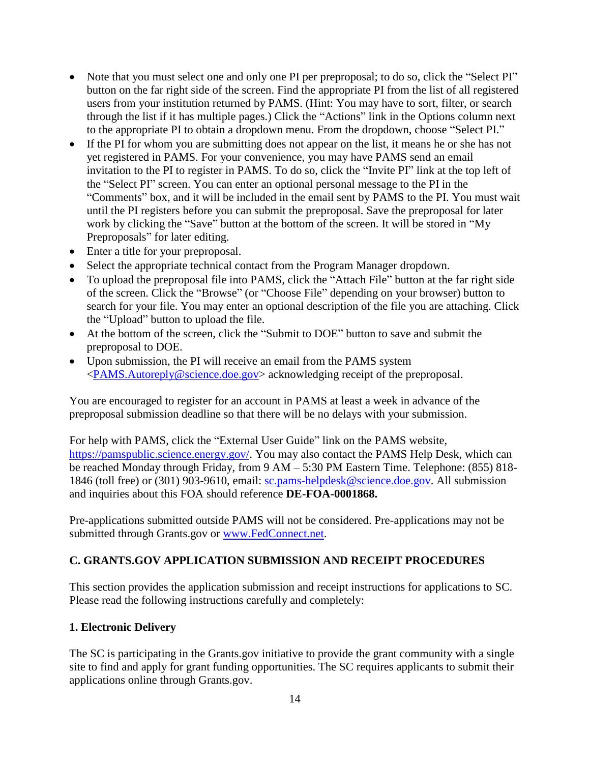- Note that you must select one and only one PI per preproposal; to do so, click the "Select PI" button on the far right side of the screen. Find the appropriate PI from the list of all registered users from your institution returned by PAMS. (Hint: You may have to sort, filter, or search through the list if it has multiple pages.) Click the "Actions" link in the Options column next to the appropriate PI to obtain a dropdown menu. From the dropdown, choose "Select PI."
- If the PI for whom you are submitting does not appear on the list, it means he or she has not yet registered in PAMS. For your convenience, you may have PAMS send an email invitation to the PI to register in PAMS. To do so, click the "Invite PI" link at the top left of the "Select PI" screen. You can enter an optional personal message to the PI in the "Comments" box, and it will be included in the email sent by PAMS to the PI. You must wait until the PI registers before you can submit the preproposal. Save the preproposal for later work by clicking the "Save" button at the bottom of the screen. It will be stored in "My Preproposals" for later editing.
- Enter a title for your preproposal.
- Select the appropriate technical contact from the Program Manager dropdown.
- To upload the preproposal file into PAMS, click the "Attach File" button at the far right side of the screen. Click the "Browse" (or "Choose File" depending on your browser) button to search for your file. You may enter an optional description of the file you are attaching. Click the "Upload" button to upload the file.
- At the bottom of the screen, click the "Submit to DOE" button to save and submit the preproposal to DOE.
- Upon submission, the PI will receive an email from the PAMS system [<PAMS.Autoreply@science.doe.gov>](mailto:PAMS.Autoreply@science.doe.gov) acknowledging receipt of the preproposal.

You are encouraged to register for an account in PAMS at least a week in advance of the preproposal submission deadline so that there will be no delays with your submission.

For help with PAMS, click the "External User Guide" link on the PAMS website, [https://pamspublic.science.energy.gov/.](https://pamspublic.science.energy.gov/) You may also contact the PAMS Help Desk, which can be reached Monday through Friday, from 9 AM – 5:30 PM Eastern Time. Telephone: (855) 818- 1846 (toll free) or (301) 903-9610, email: [sc.pams-helpdesk@science.doe.gov.](mailto:sc.pams-helpdesk@science.doe.gov) All submission and inquiries about this FOA should reference **DE-FOA-0001868.**

Pre-applications submitted outside PAMS will not be considered. Pre-applications may not be submitted through Grants.gov or [www.FedConnect.net.](http://www.fedconnect.net/)

# <span id="page-17-0"></span>**C. GRANTS.GOV APPLICATION SUBMISSION AND RECEIPT PROCEDURES**

This section provides the application submission and receipt instructions for applications to SC. Please read the following instructions carefully and completely:

#### **1. Electronic Delivery**

The SC is participating in the Grants.gov initiative to provide the grant community with a single site to find and apply for grant funding opportunities. The SC requires applicants to submit their applications online through Grants.gov.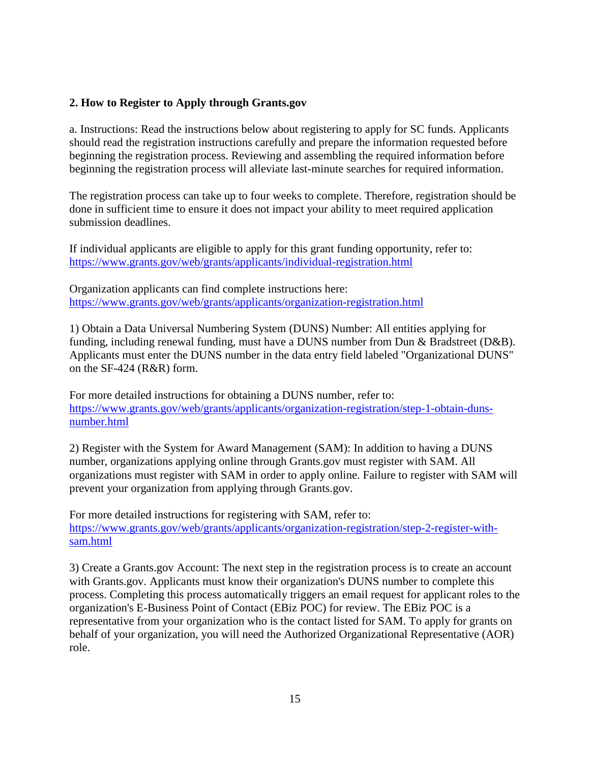#### **2. How to Register to Apply through Grants.gov**

a. Instructions: Read the instructions below about registering to apply for SC funds. Applicants should read the registration instructions carefully and prepare the information requested before beginning the registration process. Reviewing and assembling the required information before beginning the registration process will alleviate last-minute searches for required information.

The registration process can take up to four weeks to complete. Therefore, registration should be done in sufficient time to ensure it does not impact your ability to meet required application submission deadlines.

If individual applicants are eligible to apply for this grant funding opportunity, refer to: <https://www.grants.gov/web/grants/applicants/individual-registration.html>

Organization applicants can find complete instructions here: <https://www.grants.gov/web/grants/applicants/organization-registration.html>

1) Obtain a Data Universal Numbering System (DUNS) Number: All entities applying for funding, including renewal funding, must have a DUNS number from Dun & Bradstreet (D&B). Applicants must enter the DUNS number in the data entry field labeled "Organizational DUNS" on the SF-424 (R&R) form.

For more detailed instructions for obtaining a DUNS number, refer to: [https://www.grants.gov/web/grants/applicants/organization-registration/step-1-obtain-duns](https://www.grants.gov/web/grants/applicants/organization-registration/step-1-obtain-duns-number.html)[number.html](https://www.grants.gov/web/grants/applicants/organization-registration/step-1-obtain-duns-number.html)

2) Register with the System for Award Management (SAM): In addition to having a DUNS number, organizations applying online through Grants.gov must register with SAM. All organizations must register with SAM in order to apply online. Failure to register with SAM will prevent your organization from applying through Grants.gov.

For more detailed instructions for registering with SAM, refer to: [https://www.grants.gov/web/grants/applicants/organization-registration/step-2-register-with](https://www.grants.gov/web/grants/applicants/organization-registration/step-2-register-with-sam.html)[sam.html](https://www.grants.gov/web/grants/applicants/organization-registration/step-2-register-with-sam.html)

3) Create a Grants.gov Account: The next step in the registration process is to create an account with Grants.gov. Applicants must know their organization's DUNS number to complete this process. Completing this process automatically triggers an email request for applicant roles to the organization's E-Business Point of Contact (EBiz POC) for review. The EBiz POC is a representative from your organization who is the contact listed for SAM. To apply for grants on behalf of your organization, you will need the Authorized Organizational Representative (AOR) role.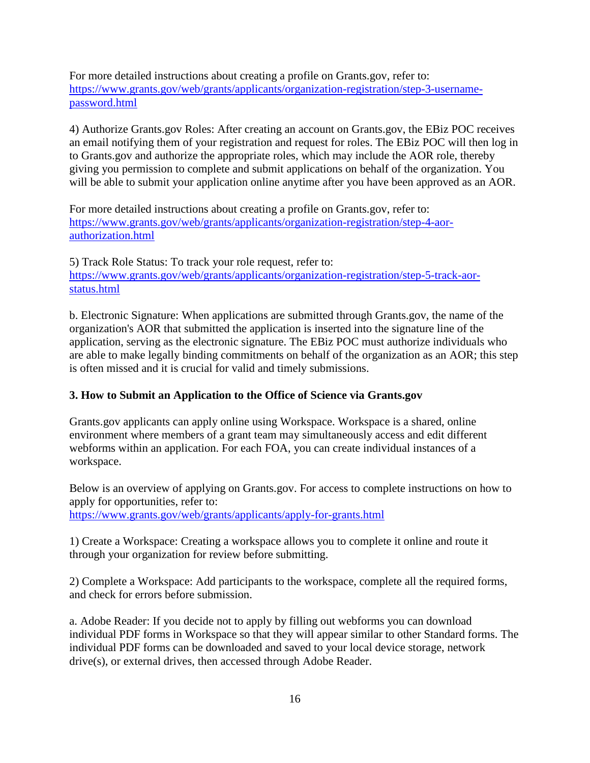For more detailed instructions about creating a profile on Grants.gov, refer to: [https://www.grants.gov/web/grants/applicants/organization-registration/step-3-username](https://www.grants.gov/web/grants/applicants/organization-registration/step-3-username-password.html)[password.html](https://www.grants.gov/web/grants/applicants/organization-registration/step-3-username-password.html)

4) Authorize Grants.gov Roles: After creating an account on Grants.gov, the EBiz POC receives an email notifying them of your registration and request for roles. The EBiz POC will then log in to Grants.gov and authorize the appropriate roles, which may include the AOR role, thereby giving you permission to complete and submit applications on behalf of the organization. You will be able to submit your application online anytime after you have been approved as an AOR.

For more detailed instructions about creating a profile on Grants.gov, refer to: [https://www.grants.gov/web/grants/applicants/organization-registration/step-4-aor](https://www.grants.gov/web/grants/applicants/organization-registration/step-4-aor-authorization.html)[authorization.html](https://www.grants.gov/web/grants/applicants/organization-registration/step-4-aor-authorization.html)

5) Track Role Status: To track your role request, refer to: [https://www.grants.gov/web/grants/applicants/organization-registration/step-5-track-aor](https://www.grants.gov/web/grants/applicants/organization-registration/step-5-track-aor-status.html)[status.html](https://www.grants.gov/web/grants/applicants/organization-registration/step-5-track-aor-status.html)

b. Electronic Signature: When applications are submitted through Grants.gov, the name of the organization's AOR that submitted the application is inserted into the signature line of the application, serving as the electronic signature. The EBiz POC must authorize individuals who are able to make legally binding commitments on behalf of the organization as an AOR; this step is often missed and it is crucial for valid and timely submissions.

# **3. How to Submit an Application to the Office of Science via Grants.gov**

Grants.gov applicants can apply online using Workspace. Workspace is a shared, online environment where members of a grant team may simultaneously access and edit different webforms within an application. For each FOA, you can create individual instances of a workspace.

Below is an overview of applying on Grants.gov. For access to complete instructions on how to apply for opportunities, refer to:

<https://www.grants.gov/web/grants/applicants/apply-for-grants.html>

1) Create a Workspace: Creating a workspace allows you to complete it online and route it through your organization for review before submitting.

2) Complete a Workspace: Add participants to the workspace, complete all the required forms, and check for errors before submission.

a. Adobe Reader: If you decide not to apply by filling out webforms you can download individual PDF forms in Workspace so that they will appear similar to other Standard forms. The individual PDF forms can be downloaded and saved to your local device storage, network drive(s), or external drives, then accessed through Adobe Reader.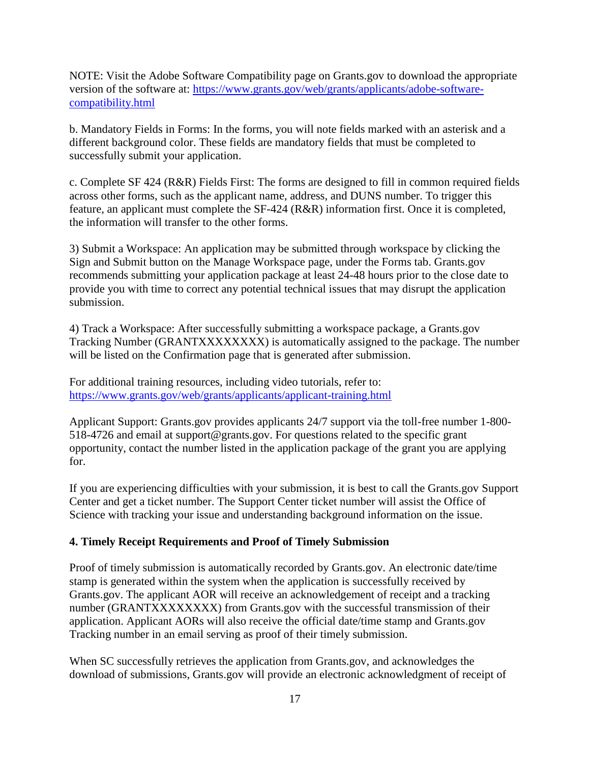NOTE: Visit the Adobe Software Compatibility page on Grants.gov to download the appropriate version of the software at: [https://www.grants.gov/web/grants/applicants/adobe-software](https://www.grants.gov/web/grants/applicants/adobe-software-compatibility.html)[compatibility.html](https://www.grants.gov/web/grants/applicants/adobe-software-compatibility.html)

b. Mandatory Fields in Forms: In the forms, you will note fields marked with an asterisk and a different background color. These fields are mandatory fields that must be completed to successfully submit your application.

c. Complete SF 424 (R&R) Fields First: The forms are designed to fill in common required fields across other forms, such as the applicant name, address, and DUNS number. To trigger this feature, an applicant must complete the SF-424 (R&R) information first. Once it is completed, the information will transfer to the other forms.

3) Submit a Workspace: An application may be submitted through workspace by clicking the Sign and Submit button on the Manage Workspace page, under the Forms tab. Grants.gov recommends submitting your application package at least 24-48 hours prior to the close date to provide you with time to correct any potential technical issues that may disrupt the application submission.

4) Track a Workspace: After successfully submitting a workspace package, a Grants.gov Tracking Number (GRANTXXXXXXXX) is automatically assigned to the package. The number will be listed on the Confirmation page that is generated after submission.

For additional training resources, including video tutorials, refer to: <https://www.grants.gov/web/grants/applicants/applicant-training.html>

Applicant Support: Grants.gov provides applicants 24/7 support via the toll-free number 1-800- 518-4726 and email at support@grants.gov. For questions related to the specific grant opportunity, contact the number listed in the application package of the grant you are applying for.

If you are experiencing difficulties with your submission, it is best to call the Grants.gov Support Center and get a ticket number. The Support Center ticket number will assist the Office of Science with tracking your issue and understanding background information on the issue.

#### **4. Timely Receipt Requirements and Proof of Timely Submission**

Proof of timely submission is automatically recorded by Grants.gov. An electronic date/time stamp is generated within the system when the application is successfully received by Grants.gov. The applicant AOR will receive an acknowledgement of receipt and a tracking number (GRANTXXXXXXXX) from Grants.gov with the successful transmission of their application. Applicant AORs will also receive the official date/time stamp and Grants.gov Tracking number in an email serving as proof of their timely submission.

When SC successfully retrieves the application from Grants.gov, and acknowledges the download of submissions, Grants.gov will provide an electronic acknowledgment of receipt of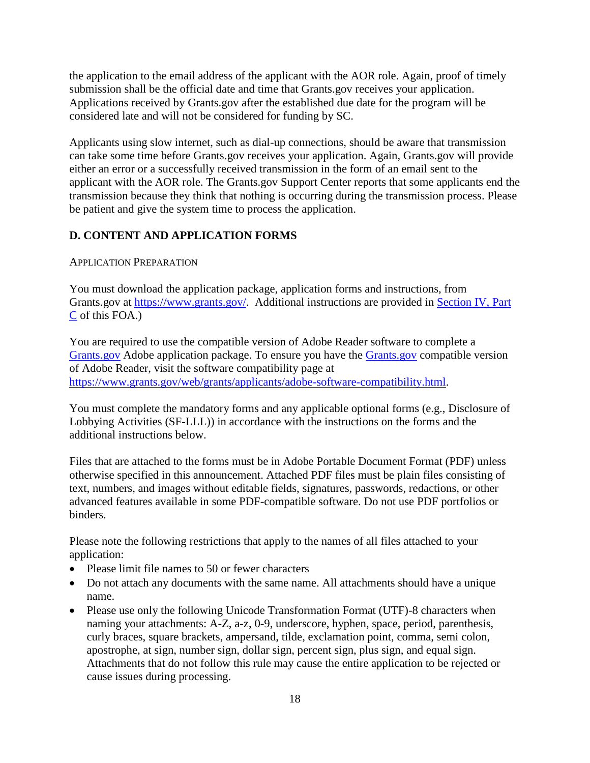the application to the email address of the applicant with the AOR role. Again, proof of timely submission shall be the official date and time that Grants.gov receives your application. Applications received by Grants.gov after the established due date for the program will be considered late and will not be considered for funding by SC.

Applicants using slow internet, such as dial-up connections, should be aware that transmission can take some time before Grants.gov receives your application. Again, Grants.gov will provide either an error or a successfully received transmission in the form of an email sent to the applicant with the AOR role. The Grants.gov Support Center reports that some applicants end the transmission because they think that nothing is occurring during the transmission process. Please be patient and give the system time to process the application.

#### <span id="page-21-0"></span>**D. CONTENT AND APPLICATION FORMS**

#### APPLICATION PREPARATION

You must download the application package, application forms and instructions, from Grants.gov at [https://www.grants.gov/.](https://www.grants.gov/) Additional instructions are provided in [Section IV, Part](#page-17-0)  [C](#page-17-0) of this FOA.)

You are required to use the compatible version of Adobe Reader software to complete a [Grants.gov](http://www.grants.gov/) Adobe application package. To ensure you have the [Grants.gov](http://www.grants.gov/) compatible version of Adobe Reader, visit the software compatibility page at [https://www.grants.gov/web/grants/applicants/adobe-software-compatibility.html.](http://www.grants.gov/web/grants/applicants/adobe-software-compatibility.html)

You must complete the mandatory forms and any applicable optional forms (e.g., Disclosure of Lobbying Activities (SF-LLL)) in accordance with the instructions on the forms and the additional instructions below.

Files that are attached to the forms must be in Adobe Portable Document Format (PDF) unless otherwise specified in this announcement. Attached PDF files must be plain files consisting of text, numbers, and images without editable fields, signatures, passwords, redactions, or other advanced features available in some PDF-compatible software. Do not use PDF portfolios or binders.

Please note the following restrictions that apply to the names of all files attached to your application:

- Please limit file names to 50 or fewer characters
- Do not attach any documents with the same name. All attachments should have a unique name.
- Please use only the following Unicode Transformation Format (UTF)-8 characters when naming your attachments: A-Z, a-z, 0-9, underscore, hyphen, space, period, parenthesis, curly braces, square brackets, ampersand, tilde, exclamation point, comma, semi colon, apostrophe, at sign, number sign, dollar sign, percent sign, plus sign, and equal sign. Attachments that do not follow this rule may cause the entire application to be rejected or cause issues during processing.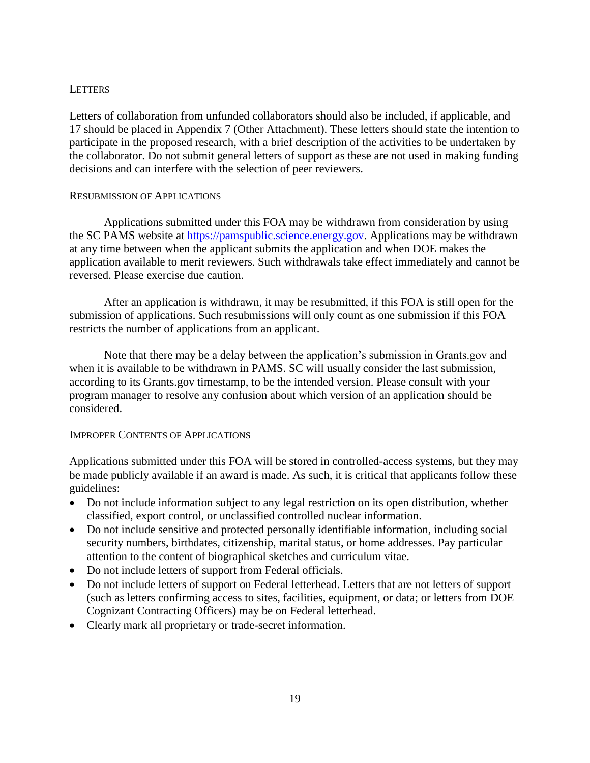#### **LETTERS**

Letters of collaboration from unfunded collaborators should also be included, if applicable, and 17 should be placed in Appendix 7 (Other Attachment). These letters should state the intention to participate in the proposed research, with a brief description of the activities to be undertaken by the collaborator. Do not submit general letters of support as these are not used in making funding decisions and can interfere with the selection of peer reviewers.

#### RESUBMISSION OF APPLICATIONS

Applications submitted under this FOA may be withdrawn from consideration by using the SC PAMS website at [https://pamspublic.science.energy.gov.](https://pamspublic.science.energy.gov/) Applications may be withdrawn at any time between when the applicant submits the application and when DOE makes the application available to merit reviewers. Such withdrawals take effect immediately and cannot be reversed. Please exercise due caution.

After an application is withdrawn, it may be resubmitted, if this FOA is still open for the submission of applications. Such resubmissions will only count as one submission if this FOA restricts the number of applications from an applicant.

Note that there may be a delay between the application's submission in Grants.gov and when it is available to be withdrawn in PAMS. SC will usually consider the last submission, according to its Grants.gov timestamp, to be the intended version. Please consult with your program manager to resolve any confusion about which version of an application should be considered.

#### IMPROPER CONTENTS OF APPLICATIONS

Applications submitted under this FOA will be stored in controlled-access systems, but they may be made publicly available if an award is made. As such, it is critical that applicants follow these guidelines:

- Do not include information subject to any legal restriction on its open distribution, whether classified, export control, or unclassified controlled nuclear information.
- Do not include sensitive and protected personally identifiable information, including social security numbers, birthdates, citizenship, marital status, or home addresses. Pay particular attention to the content of biographical sketches and curriculum vitae.
- Do not include letters of support from Federal officials.
- Do not include letters of support on Federal letterhead. Letters that are not letters of support (such as letters confirming access to sites, facilities, equipment, or data; or letters from DOE Cognizant Contracting Officers) may be on Federal letterhead.
- Clearly mark all proprietary or trade-secret information.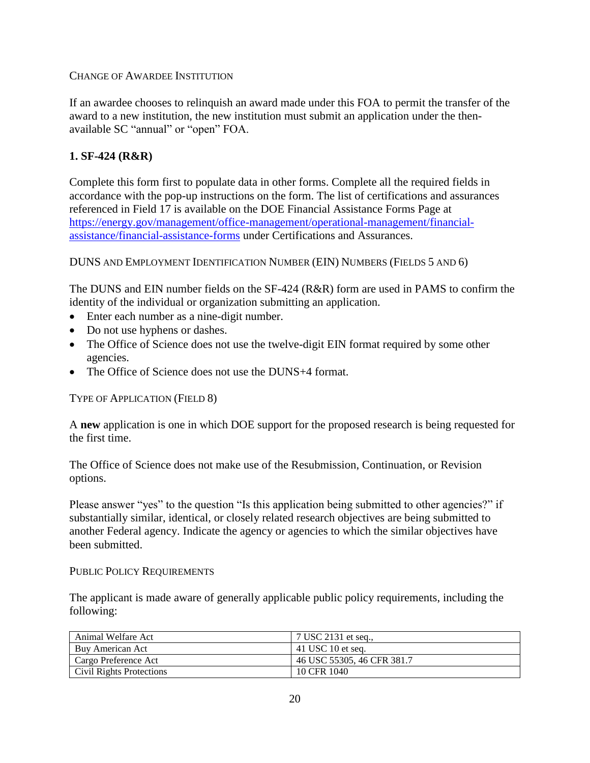CHANGE OF AWARDEE INSTITUTION

If an awardee chooses to relinquish an award made under this FOA to permit the transfer of the award to a new institution, the new institution must submit an application under the thenavailable SC "annual" or "open" FOA.

# **1. SF-424 (R&R)**

Complete this form first to populate data in other forms. Complete all the required fields in accordance with the pop-up instructions on the form. The list of certifications and assurances referenced in Field 17 is available on the DOE Financial Assistance Forms Page at [https://energy.gov/management/office-management/operational-management/financial](http://energy.gov/management/office-management/operational-management/financial-assistance/financial-assistance-forms)[assistance/financial-assistance-forms](http://energy.gov/management/office-management/operational-management/financial-assistance/financial-assistance-forms) under Certifications and Assurances.

DUNS AND EMPLOYMENT IDENTIFICATION NUMBER (EIN) NUMBERS (FIELDS 5 AND 6)

The DUNS and EIN number fields on the SF-424 (R&R) form are used in PAMS to confirm the identity of the individual or organization submitting an application.

- Enter each number as a nine-digit number.
- Do not use hyphens or dashes.
- The Office of Science does not use the twelve-digit EIN format required by some other agencies.
- The Office of Science does not use the DUNS+4 format.

TYPE OF APPLICATION (FIELD 8)

A **new** application is one in which DOE support for the proposed research is being requested for the first time.

The Office of Science does not make use of the Resubmission, Continuation, or Revision options.

Please answer "yes" to the question "Is this application being submitted to other agencies?" if substantially similar, identical, or closely related research objectives are being submitted to another Federal agency. Indicate the agency or agencies to which the similar objectives have been submitted.

#### PUBLIC POLICY REQUIREMENTS

The applicant is made aware of generally applicable public policy requirements, including the following:

| Animal Welfare Act       | 7 USC 2131 et seq.,        |
|--------------------------|----------------------------|
| Buy American Act         | 41 USC 10 et seq.          |
| Cargo Preference Act     | 46 USC 55305, 46 CFR 381.7 |
| Civil Rights Protections | 10 CFR 1040                |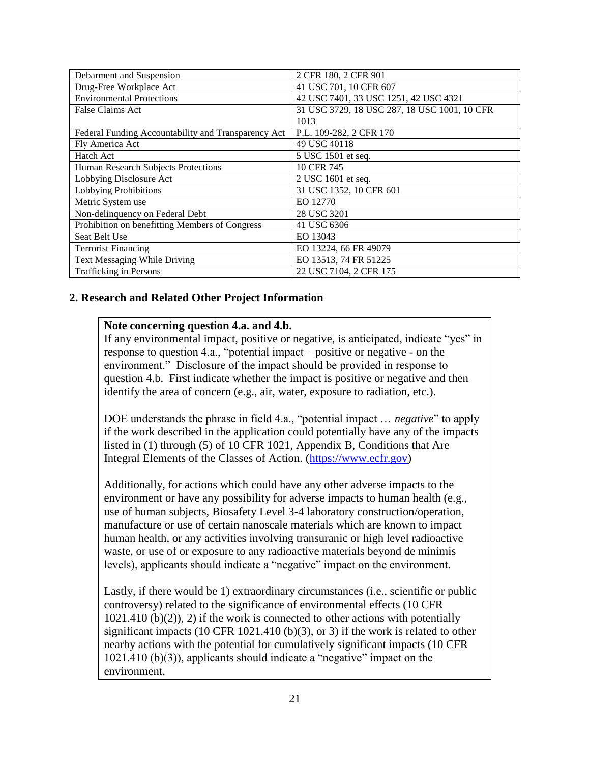| Debarment and Suspension                            | 2 CFR 180, 2 CFR 901                         |
|-----------------------------------------------------|----------------------------------------------|
| Drug-Free Workplace Act                             | 41 USC 701, 10 CFR 607                       |
| <b>Environmental Protections</b>                    | 42 USC 7401, 33 USC 1251, 42 USC 4321        |
| False Claims Act                                    | 31 USC 3729, 18 USC 287, 18 USC 1001, 10 CFR |
|                                                     | 1013                                         |
| Federal Funding Accountability and Transparency Act | P.L. 109-282, 2 CFR 170                      |
| Fly America Act                                     | 49 USC 40118                                 |
| Hatch Act                                           | 5 USC 1501 et seq.                           |
| Human Research Subjects Protections                 | 10 CFR 745                                   |
| Lobbying Disclosure Act                             | 2 USC 1601 et seq.                           |
| <b>Lobbying Prohibitions</b>                        | 31 USC 1352, 10 CFR 601                      |
| Metric System use                                   | EO 12770                                     |
| Non-delinquency on Federal Debt                     | 28 USC 3201                                  |
| Prohibition on benefitting Members of Congress      | 41 USC 6306                                  |
| Seat Belt Use                                       | EO 13043                                     |
| <b>Terrorist Financing</b>                          | EO 13224, 66 FR 49079                        |
| Text Messaging While Driving                        | EO 13513, 74 FR 51225                        |
| <b>Trafficking in Persons</b>                       | 22 USC 7104, 2 CFR 175                       |

#### **2. Research and Related Other Project Information**

#### **Note concerning question 4.a. and 4.b.**

If any environmental impact, positive or negative, is anticipated, indicate "yes" in response to question 4.a., "potential impact – positive or negative - on the environment." Disclosure of the impact should be provided in response to question 4.b. First indicate whether the impact is positive or negative and then identify the area of concern (e.g., air, water, exposure to radiation, etc.).

DOE understands the phrase in field 4.a., "potential impact … *negative*" to apply if the work described in the application could potentially have any of the impacts listed in (1) through (5) of 10 CFR 1021, Appendix B, Conditions that Are Integral Elements of the Classes of Action. [\(https://www.ecfr.gov\)](https://www.ecfr.gov/)

Additionally, for actions which could have any other adverse impacts to the environment or have any possibility for adverse impacts to human health (e.g., use of human subjects, Biosafety Level 3-4 laboratory construction/operation, manufacture or use of certain nanoscale materials which are known to impact human health, or any activities involving transuranic or high level radioactive waste, or use of or exposure to any radioactive materials beyond de minimis levels), applicants should indicate a "negative" impact on the environment.

Lastly, if there would be 1) extraordinary circumstances (i.e., scientific or public controversy) related to the significance of environmental effects (10 CFR  $1021.410$  (b)(2)), 2) if the work is connected to other actions with potentially significant impacts  $(10 \text{ CFR } 1021.410 \text{ (b)}(3)$ , or 3) if the work is related to other nearby actions with the potential for cumulatively significant impacts (10 CFR 1021.410 (b)(3)), applicants should indicate a "negative" impact on the environment.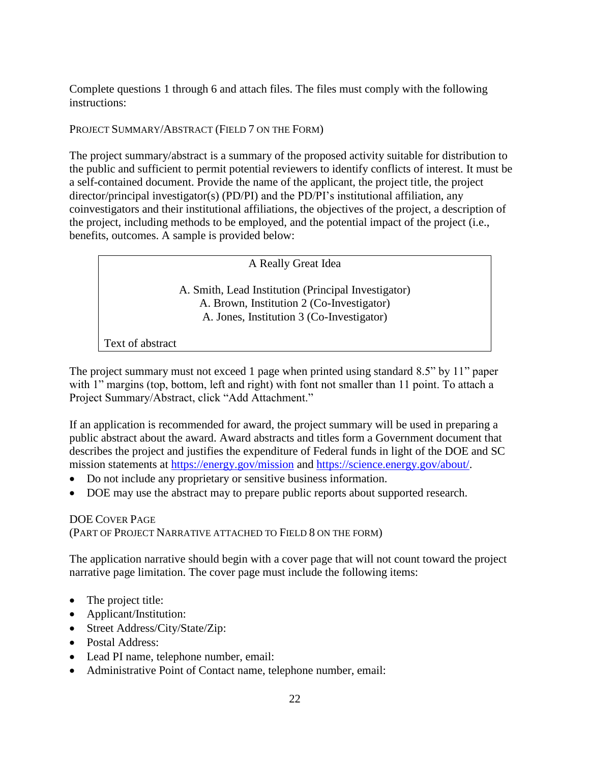Complete questions 1 through 6 and attach files. The files must comply with the following instructions:

#### PROJECT SUMMARY/ABSTRACT (FIELD 7 ON THE FORM)

The project summary/abstract is a summary of the proposed activity suitable for distribution to the public and sufficient to permit potential reviewers to identify conflicts of interest. It must be a self-contained document. Provide the name of the applicant, the project title, the project director/principal investigator(s) (PD/PI) and the PD/PI's institutional affiliation, any coinvestigators and their institutional affiliations, the objectives of the project, a description of the project, including methods to be employed, and the potential impact of the project (i.e., benefits, outcomes. A sample is provided below:

A Really Great Idea

A. Smith, Lead Institution (Principal Investigator) A. Brown, Institution 2 (Co-Investigator) A. Jones, Institution 3 (Co-Investigator)

Text of abstract

The project summary must not exceed 1 page when printed using standard 8.5" by 11" paper with 1" margins (top, bottom, left and right) with font not smaller than 11 point. To attach a Project Summary/Abstract, click "Add Attachment."

If an application is recommended for award, the project summary will be used in preparing a public abstract about the award. Award abstracts and titles form a Government document that describes the project and justifies the expenditure of Federal funds in light of the DOE and SC mission statements at<https://energy.gov/mission> and [https://science.energy.gov/about/.](https://science.energy.gov/about/)

- Do not include any proprietary or sensitive business information.
- DOE may use the abstract may to prepare public reports about supported research.

#### DOE COVER PAGE (PART OF PROJECT NARRATIVE ATTACHED TO FIELD 8 ON THE FORM)

The application narrative should begin with a cover page that will not count toward the project narrative page limitation. The cover page must include the following items:

- The project title:
- Applicant/Institution:
- Street Address/City/State/Zip:
- Postal Address:
- Lead PI name, telephone number, email:
- Administrative Point of Contact name, telephone number, email: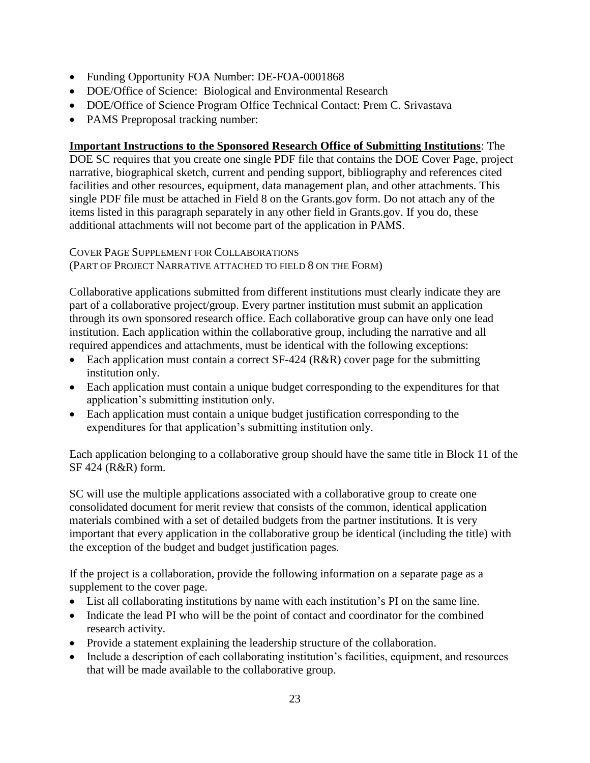- Funding Opportunity FOA Number: DE-FOA-0001868
- DOE/Office of Science: Biological and Environmental Research
- DOE/Office of Science Program Office Technical Contact: Prem C. Srivastava
- PAMS Preproposal tracking number:

# **Important Instructions to the Sponsored Research Office of Submitting Institutions**: The

DOE SC requires that you create one single PDF file that contains the DOE Cover Page, project narrative, biographical sketch, current and pending support, bibliography and references cited facilities and other resources, equipment, data management plan, and other attachments. This single PDF file must be attached in Field 8 on the Grants.gov form. Do not attach any of the items listed in this paragraph separately in any other field in Grants.gov. If you do, these additional attachments will not become part of the application in PAMS.

COVER PAGE SUPPLEMENT FOR COLLABORATIONS (PART OF PROJECT NARRATIVE ATTACHED TO FIELD 8 ON THE FORM)

Collaborative applications submitted from different institutions must clearly indicate they are part of a collaborative project/group. Every partner institution must submit an application through its own sponsored research office. Each collaborative group can have only one lead institution. Each application within the collaborative group, including the narrative and all required appendices and attachments, must be identical with the following exceptions:

- Each application must contain a correct SF-424 (R&R) cover page for the submitting institution only.
- Each application must contain a unique budget corresponding to the expenditures for that application's submitting institution only.
- Each application must contain a unique budget justification corresponding to the expenditures for that application's submitting institution only.

Each application belonging to a collaborative group should have the same title in Block 11 of the SF 424 (R&R) form.

SC will use the multiple applications associated with a collaborative group to create one consolidated document for merit review that consists of the common, identical application materials combined with a set of detailed budgets from the partner institutions. It is very important that every application in the collaborative group be identical (including the title) with the exception of the budget and budget justification pages.

If the project is a collaboration, provide the following information on a separate page as a supplement to the cover page.

- List all collaborating institutions by name with each institution's PI on the same line.
- Indicate the lead PI who will be the point of contact and coordinator for the combined research activity.
- Provide a statement explaining the leadership structure of the collaboration.
- Include a description of each collaborating institution's facilities, equipment, and resources that will be made available to the collaborative group.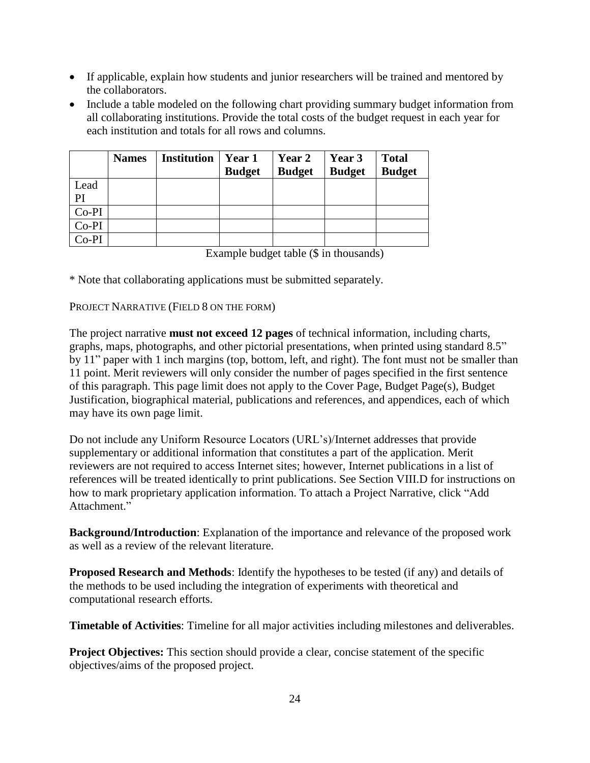- If applicable, explain how students and junior researchers will be trained and mentored by the collaborators.
- Include a table modeled on the following chart providing summary budget information from all collaborating institutions. Provide the total costs of the budget request in each year for each institution and totals for all rows and columns.

|         | <b>Names</b> | <b>Institution</b> | <b>Year 1</b><br><b>Budget</b> | Year 2<br><b>Budget</b> | Year 3<br><b>Budget</b> | <b>Total</b><br><b>Budget</b> |
|---------|--------------|--------------------|--------------------------------|-------------------------|-------------------------|-------------------------------|
| Lead    |              |                    |                                |                         |                         |                               |
| PI      |              |                    |                                |                         |                         |                               |
| $Co-PI$ |              |                    |                                |                         |                         |                               |
| $Co-PI$ |              |                    |                                |                         |                         |                               |
| $Co-PI$ |              |                    |                                |                         |                         |                               |

Example budget table (\$ in thousands)

\* Note that collaborating applications must be submitted separately.

PROJECT NARRATIVE (FIELD 8 ON THE FORM)

The project narrative **must not exceed 12 pages** of technical information, including charts, graphs, maps, photographs, and other pictorial presentations, when printed using standard 8.5" by 11" paper with 1 inch margins (top, bottom, left, and right). The font must not be smaller than 11 point. Merit reviewers will only consider the number of pages specified in the first sentence of this paragraph. This page limit does not apply to the Cover Page, Budget Page(s), Budget Justification, biographical material, publications and references, and appendices, each of which may have its own page limit.

Do not include any Uniform Resource Locators (URL's)/Internet addresses that provide supplementary or additional information that constitutes a part of the application. Merit reviewers are not required to access Internet sites; however, Internet publications in a list of references will be treated identically to print publications. See Section VIII.D for instructions on how to mark proprietary application information. To attach a Project Narrative, click "Add Attachment."

**Background/Introduction**: Explanation of the importance and relevance of the proposed work as well as a review of the relevant literature.

**Proposed Research and Methods**: Identify the hypotheses to be tested (if any) and details of the methods to be used including the integration of experiments with theoretical and computational research efforts.

**Timetable of Activities**: Timeline for all major activities including milestones and deliverables.

**Project Objectives:** This section should provide a clear, concise statement of the specific objectives/aims of the proposed project.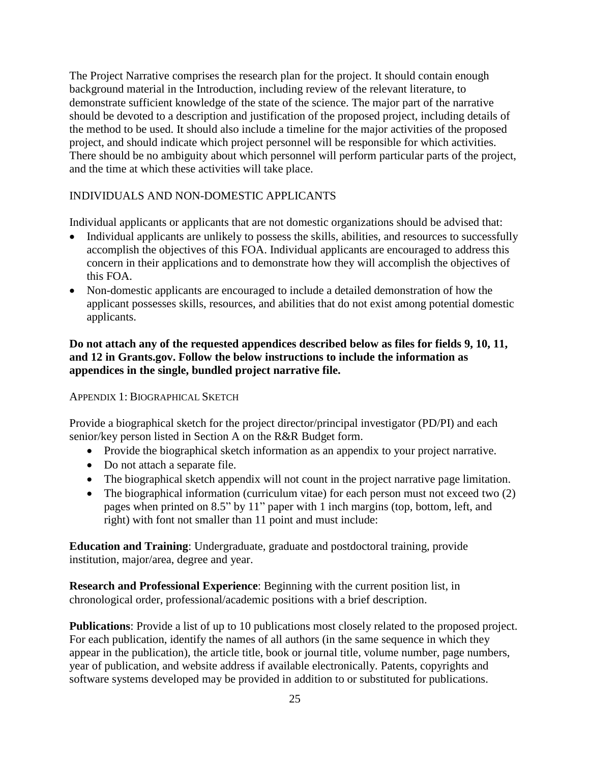The Project Narrative comprises the research plan for the project. It should contain enough background material in the Introduction, including review of the relevant literature, to demonstrate sufficient knowledge of the state of the science. The major part of the narrative should be devoted to a description and justification of the proposed project, including details of the method to be used. It should also include a timeline for the major activities of the proposed project, and should indicate which project personnel will be responsible for which activities. There should be no ambiguity about which personnel will perform particular parts of the project, and the time at which these activities will take place.

#### INDIVIDUALS AND NON-DOMESTIC APPLICANTS

Individual applicants or applicants that are not domestic organizations should be advised that:

- Individual applicants are unlikely to possess the skills, abilities, and resources to successfully accomplish the objectives of this FOA. Individual applicants are encouraged to address this concern in their applications and to demonstrate how they will accomplish the objectives of this FOA.
- Non-domestic applicants are encouraged to include a detailed demonstration of how the applicant possesses skills, resources, and abilities that do not exist among potential domestic applicants.

#### **Do not attach any of the requested appendices described below as files for fields 9, 10, 11, and 12 in Grants.gov. Follow the below instructions to include the information as appendices in the single, bundled project narrative file.**

APPENDIX 1: BIOGRAPHICAL SKETCH

Provide a biographical sketch for the project director/principal investigator (PD/PI) and each senior/key person listed in Section A on the R&R Budget form.

- Provide the biographical sketch information as an appendix to your project narrative.
- Do not attach a separate file.
- The biographical sketch appendix will not count in the project narrative page limitation.
- The biographical information (curriculum vitae) for each person must not exceed two (2) pages when printed on 8.5" by 11" paper with 1 inch margins (top, bottom, left, and right) with font not smaller than 11 point and must include:

**Education and Training**: Undergraduate, graduate and postdoctoral training, provide institution, major/area, degree and year.

**Research and Professional Experience**: Beginning with the current position list, in chronological order, professional/academic positions with a brief description.

**Publications**: Provide a list of up to 10 publications most closely related to the proposed project. For each publication, identify the names of all authors (in the same sequence in which they appear in the publication), the article title, book or journal title, volume number, page numbers, year of publication, and website address if available electronically. Patents, copyrights and software systems developed may be provided in addition to or substituted for publications.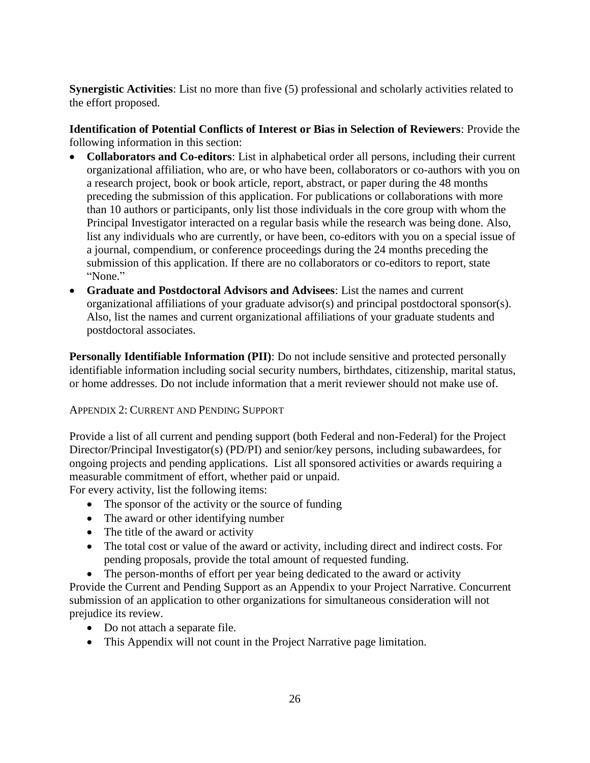**Synergistic Activities**: List no more than five (5) professional and scholarly activities related to the effort proposed.

**Identification of Potential Conflicts of Interest or Bias in Selection of Reviewers**: Provide the following information in this section:

- **Collaborators and Co-editors**: List in alphabetical order all persons, including their current organizational affiliation, who are, or who have been, collaborators or co-authors with you on a research project, book or book article, report, abstract, or paper during the 48 months preceding the submission of this application. For publications or collaborations with more than 10 authors or participants, only list those individuals in the core group with whom the Principal Investigator interacted on a regular basis while the research was being done. Also, list any individuals who are currently, or have been, co-editors with you on a special issue of a journal, compendium, or conference proceedings during the 24 months preceding the submission of this application. If there are no collaborators or co-editors to report, state "None."
- **Graduate and Postdoctoral Advisors and Advisees**: List the names and current organizational affiliations of your graduate advisor(s) and principal postdoctoral sponsor(s). Also, list the names and current organizational affiliations of your graduate students and postdoctoral associates.

**Personally Identifiable Information (PII)**: Do not include sensitive and protected personally identifiable information including social security numbers, birthdates, citizenship, marital status, or home addresses. Do not include information that a merit reviewer should not make use of.

#### APPENDIX 2: CURRENT AND PENDING SUPPORT

Provide a list of all current and pending support (both Federal and non-Federal) for the Project Director/Principal Investigator(s) (PD/PI) and senior/key persons, including subawardees, for ongoing projects and pending applications. List all sponsored activities or awards requiring a measurable commitment of effort, whether paid or unpaid.

For every activity, list the following items:

- The sponsor of the activity or the source of funding
- The award or other identifying number
- The title of the award or activity
- The total cost or value of the award or activity, including direct and indirect costs. For pending proposals, provide the total amount of requested funding.
- The person-months of effort per year being dedicated to the award or activity

Provide the Current and Pending Support as an Appendix to your Project Narrative. Concurrent submission of an application to other organizations for simultaneous consideration will not prejudice its review.

- Do not attach a separate file.
- This Appendix will not count in the Project Narrative page limitation.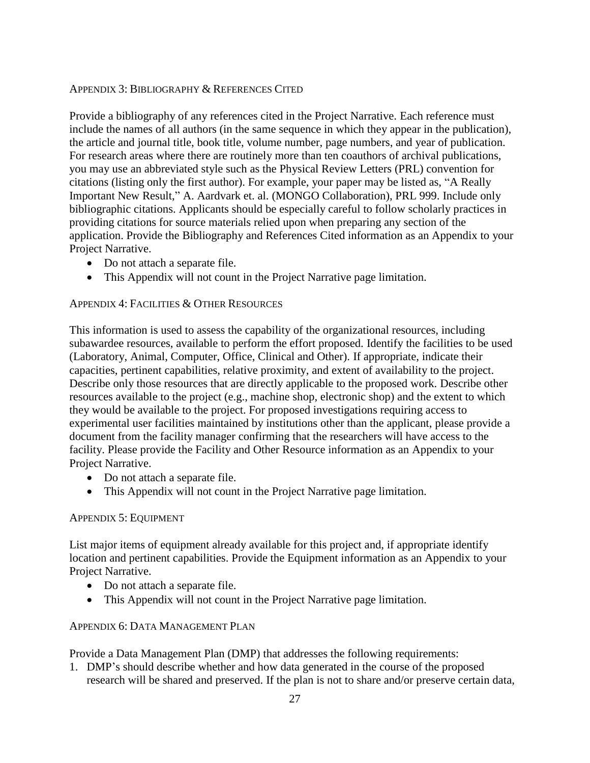#### APPENDIX 3: BIBLIOGRAPHY & REFERENCES CITED

Provide a bibliography of any references cited in the Project Narrative. Each reference must include the names of all authors (in the same sequence in which they appear in the publication), the article and journal title, book title, volume number, page numbers, and year of publication. For research areas where there are routinely more than ten coauthors of archival publications, you may use an abbreviated style such as the Physical Review Letters (PRL) convention for citations (listing only the first author). For example, your paper may be listed as, "A Really Important New Result," A. Aardvark et. al. (MONGO Collaboration), PRL 999. Include only bibliographic citations. Applicants should be especially careful to follow scholarly practices in providing citations for source materials relied upon when preparing any section of the application. Provide the Bibliography and References Cited information as an Appendix to your Project Narrative.

- Do not attach a separate file.
- This Appendix will not count in the Project Narrative page limitation.

#### APPENDIX 4: FACILITIES & OTHER RESOURCES

This information is used to assess the capability of the organizational resources, including subawardee resources, available to perform the effort proposed. Identify the facilities to be used (Laboratory, Animal, Computer, Office, Clinical and Other). If appropriate, indicate their capacities, pertinent capabilities, relative proximity, and extent of availability to the project. Describe only those resources that are directly applicable to the proposed work. Describe other resources available to the project (e.g., machine shop, electronic shop) and the extent to which they would be available to the project. For proposed investigations requiring access to experimental user facilities maintained by institutions other than the applicant, please provide a document from the facility manager confirming that the researchers will have access to the facility. Please provide the Facility and Other Resource information as an Appendix to your Project Narrative.

- Do not attach a separate file.
- This Appendix will not count in the Project Narrative page limitation.

#### APPENDIX 5: EQUIPMENT

List major items of equipment already available for this project and, if appropriate identify location and pertinent capabilities. Provide the Equipment information as an Appendix to your Project Narrative.

- Do not attach a separate file.
- This Appendix will not count in the Project Narrative page limitation.

#### APPENDIX 6: DATA MANAGEMENT PLAN

Provide a Data Management Plan (DMP) that addresses the following requirements:

1. DMP's should describe whether and how data generated in the course of the proposed research will be [shared](https://cms1.sc.osti.gov/funding-opportunities/digital-data-management/#Sharing) and [preserved.](https://cms1.sc.osti.gov/funding-opportunities/digital-data-management/#Preservation) If the plan is not to share and/or preserve certain data,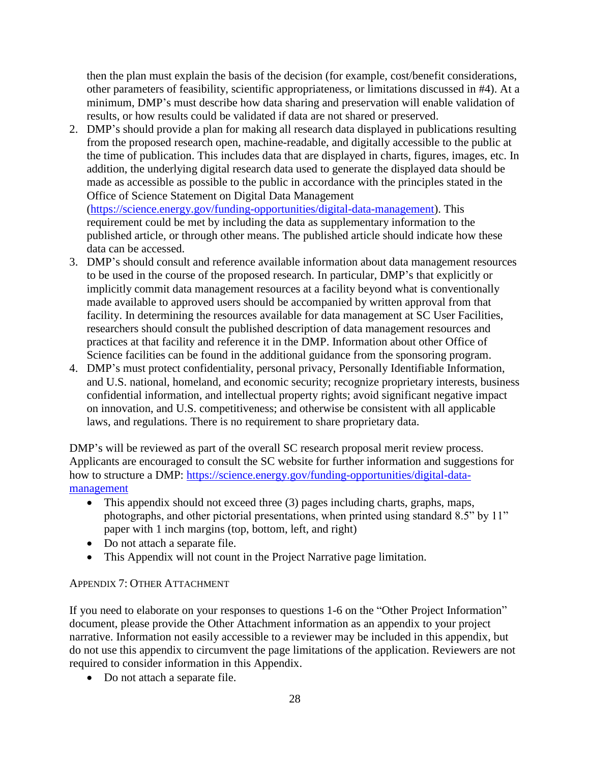then the plan must explain the basis of the decision (for example, cost/benefit considerations, other parameters of feasibility, scientific appropriateness, or limitations discussed in #4). At a minimum, DMP's must describe how data sharing and preservation will enable [validation](https://cms1.sc.osti.gov/funding-opportunities/digital-data-management/#Validate) of results, or how results could be validated if data are not shared or preserved.

2. DMP's should provide a plan for making all research data displayed in publications resulting from the proposed research open, machine-readable, and digitally accessible to the public at the time of publication. This includes data that are displayed in charts, figures, images, etc. In addition, the underlying digital research data used to generate the displayed data should be made as accessible as possible to the public in accordance with the principles stated in the Office of Science Statement on Digital Data Management [\(https://science.energy.gov/funding-opportunities/digital-data-management\)](https://science.energy.gov/funding-opportunities/digital-data-management). This requirement could be met by including the data as supplementary information to the published article, or through other means. The published article should indicate how these

data can be accessed. 3. DMP's should consult and reference available information about data management resources to be used in the course of the proposed research. In particular, DMP's that explicitly or implicitly commit data management resources at a facility beyond what is conventionally made available to approved users should be accompanied by written approval from that facility. In determining the resources available for data management at SC User Facilities, researchers should consult the published [description of data management resources](https://cms1.sc.osti.gov/funding-opportunities/digital-data-management/resources-at-sc-user-facilities/) and practices at that facility and reference it in the DMP. Information about other Office of Science facilities can be found in the [additional guidance from the sponsoring program.](https://cms1.sc.osti.gov/funding-opportunities/digital-data-management/#AdditionalGuidancePrograms)

4. DMP's must protect confidentiality, personal privacy, [Personally Identifiable Information,](https://cms1.sc.osti.gov/funding-opportunities/digital-data-management/faqs/#HSRFAQ) and U.S. national, homeland, and economic security; recognize proprietary interests, business confidential information, and intellectual property rights; avoid significant negative impact on innovation, and U.S. competitiveness; and otherwise be consistent with all applicable laws, and regulations. There is no requirement to share proprietary data.

DMP's will be reviewed as part of the overall SC research proposal merit review process. Applicants are encouraged to consult the SC website for further information and suggestions for how to structure a DMP: [https://science.energy.gov/funding-opportunities/digital-data](https://science.energy.gov/funding-opportunities/digital-data-management)[management](https://science.energy.gov/funding-opportunities/digital-data-management)

- This appendix should not exceed three (3) pages including charts, graphs, maps, photographs, and other pictorial presentations, when printed using standard 8.5" by 11" paper with 1 inch margins (top, bottom, left, and right)
- Do not attach a separate file.
- This Appendix will not count in the Project Narrative page limitation.

# APPENDIX 7: OTHER ATTACHMENT

If you need to elaborate on your responses to questions 1-6 on the "Other Project Information" document, please provide the Other Attachment information as an appendix to your project narrative. Information not easily accessible to a reviewer may be included in this appendix, but do not use this appendix to circumvent the page limitations of the application. Reviewers are not required to consider information in this Appendix.

• Do not attach a separate file.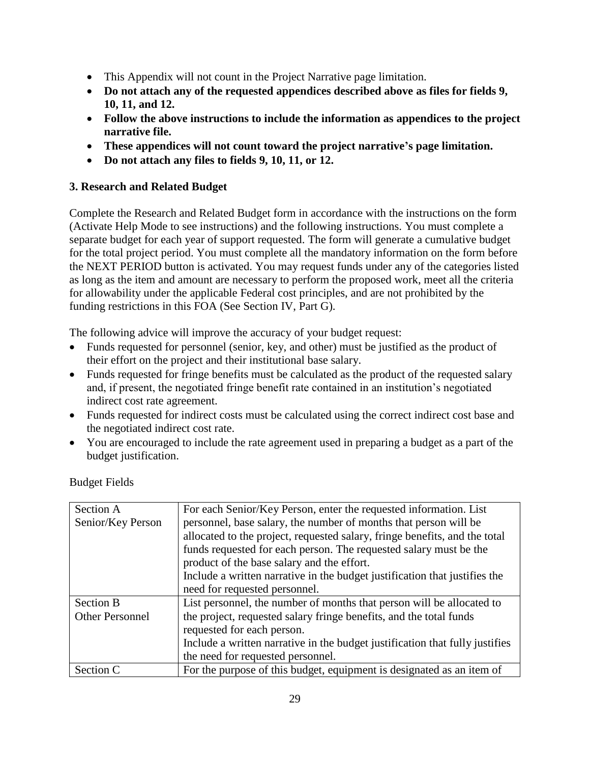- This Appendix will not count in the Project Narrative page limitation.
- **Do not attach any of the requested appendices described above as files for fields 9, 10, 11, and 12.**
- **Follow the above instructions to include the information as appendices to the project narrative file.**
- **These appendices will not count toward the project narrative's page limitation.**
- **Do not attach any files to fields 9, 10, 11, or 12.**

# **3. Research and Related Budget**

Complete the Research and Related Budget form in accordance with the instructions on the form (Activate Help Mode to see instructions) and the following instructions. You must complete a separate budget for each year of support requested. The form will generate a cumulative budget for the total project period. You must complete all the mandatory information on the form before the NEXT PERIOD button is activated. You may request funds under any of the categories listed as long as the item and amount are necessary to perform the proposed work, meet all the criteria for allowability under the applicable Federal cost principles, and are not prohibited by the funding restrictions in this FOA (See Section IV, Part G).

The following advice will improve the accuracy of your budget request:

- Funds requested for personnel (senior, key, and other) must be justified as the product of their effort on the project and their institutional base salary.
- Funds requested for fringe benefits must be calculated as the product of the requested salary and, if present, the negotiated fringe benefit rate contained in an institution's negotiated indirect cost rate agreement.
- Funds requested for indirect costs must be calculated using the correct indirect cost base and the negotiated indirect cost rate.
- You are encouraged to include the rate agreement used in preparing a budget as a part of the budget justification.

| Section A              | For each Senior/Key Person, enter the requested information. List            |
|------------------------|------------------------------------------------------------------------------|
| Senior/Key Person      | personnel, base salary, the number of months that person will be             |
|                        | allocated to the project, requested salary, fringe benefits, and the total   |
|                        | funds requested for each person. The requested salary must be the            |
|                        | product of the base salary and the effort.                                   |
|                        | Include a written narrative in the budget justification that justifies the   |
|                        | need for requested personnel.                                                |
| <b>Section B</b>       | List personnel, the number of months that person will be allocated to        |
| <b>Other Personnel</b> | the project, requested salary fringe benefits, and the total funds           |
|                        | requested for each person.                                                   |
|                        | Include a written narrative in the budget justification that fully justifies |
|                        | the need for requested personnel.                                            |
| Section C              | For the purpose of this budget, equipment is designated as an item of        |

Budget Fields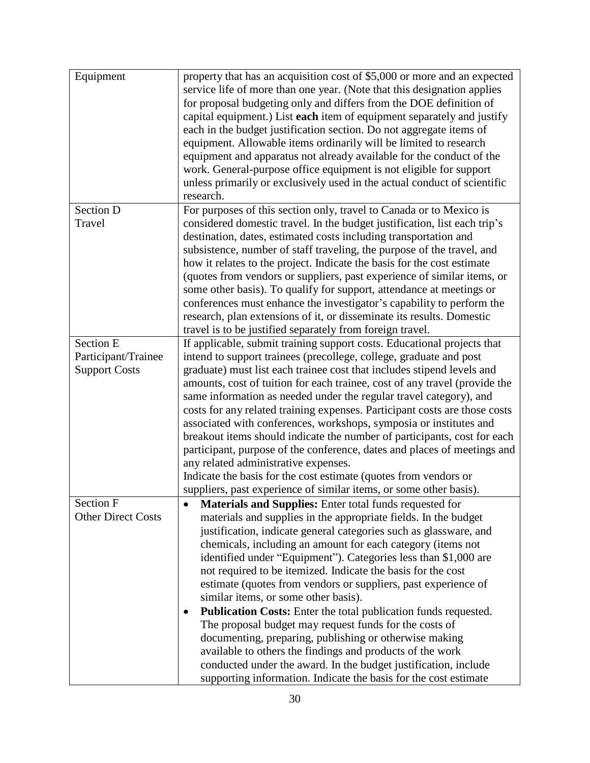| property that has an acquisition cost of \$5,000 or more and an expected   |
|----------------------------------------------------------------------------|
| service life of more than one year. (Note that this designation applies    |
| for proposal budgeting only and differs from the DOE definition of         |
| capital equipment.) List each item of equipment separately and justify     |
| each in the budget justification section. Do not aggregate items of        |
| equipment. Allowable items ordinarily will be limited to research          |
| equipment and apparatus not already available for the conduct of the       |
| work. General-purpose office equipment is not eligible for support         |
| unless primarily or exclusively used in the actual conduct of scientific   |
| research.                                                                  |
| For purposes of this section only, travel to Canada or to Mexico is        |
| considered domestic travel. In the budget justification, list each trip's  |
| destination, dates, estimated costs including transportation and           |
| subsistence, number of staff traveling, the purpose of the travel, and     |
| how it relates to the project. Indicate the basis for the cost estimate    |
| (quotes from vendors or suppliers, past experience of similar items, or    |
| some other basis). To qualify for support, attendance at meetings or       |
| conferences must enhance the investigator's capability to perform the      |
| research, plan extensions of it, or disseminate its results. Domestic      |
| travel is to be justified separately from foreign travel.                  |
|                                                                            |
| If applicable, submit training support costs. Educational projects that    |
| intend to support trainees (precollege, college, graduate and post         |
| graduate) must list each trainee cost that includes stipend levels and     |
| amounts, cost of tuition for each trainee, cost of any travel (provide the |
| same information as needed under the regular travel category), and         |
| costs for any related training expenses. Participant costs are those costs |
| associated with conferences, workshops, symposia or institutes and         |
| breakout items should indicate the number of participants, cost for each   |
| participant, purpose of the conference, dates and places of meetings and   |
| any related administrative expenses.                                       |
| Indicate the basis for the cost estimate (quotes from vendors or           |
| suppliers, past experience of similar items, or some other basis).         |
| <b>Materials and Supplies:</b> Enter total funds requested for             |
| materials and supplies in the appropriate fields. In the budget            |
| justification, indicate general categories such as glassware, and          |
| chemicals, including an amount for each category (items not                |
| identified under "Equipment"). Categories less than \$1,000 are            |
| not required to be itemized. Indicate the basis for the cost               |
| estimate (quotes from vendors or suppliers, past experience of             |
| similar items, or some other basis).                                       |
| Publication Costs: Enter the total publication funds requested.            |
| The proposal budget may request funds for the costs of                     |
| documenting, preparing, publishing or otherwise making                     |
| available to others the findings and products of the work                  |
| conducted under the award. In the budget justification, include            |
|                                                                            |
|                                                                            |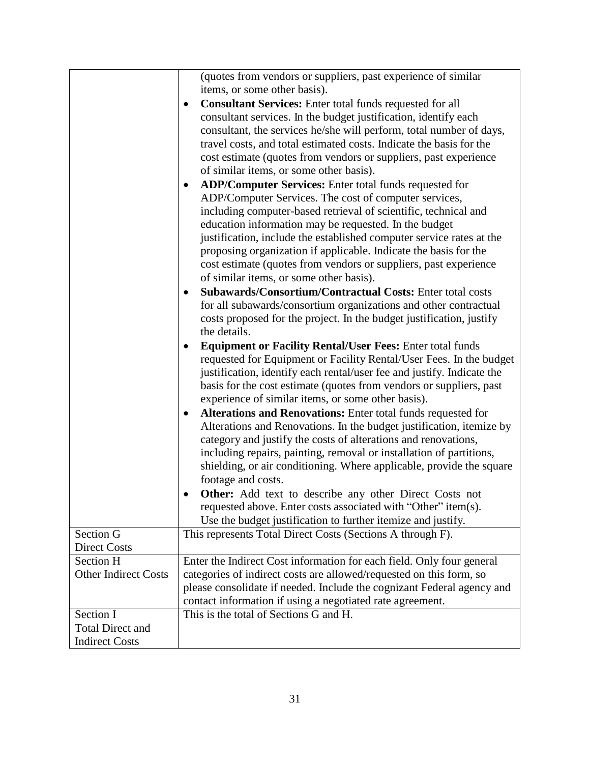|                             | (quotes from vendors or suppliers, past experience of similar             |  |
|-----------------------------|---------------------------------------------------------------------------|--|
|                             | items, or some other basis).                                              |  |
|                             | <b>Consultant Services:</b> Enter total funds requested for all           |  |
|                             | consultant services. In the budget justification, identify each           |  |
|                             | consultant, the services he/she will perform, total number of days,       |  |
|                             | travel costs, and total estimated costs. Indicate the basis for the       |  |
|                             | cost estimate (quotes from vendors or suppliers, past experience          |  |
|                             | of similar items, or some other basis).                                   |  |
|                             | ADP/Computer Services: Enter total funds requested for                    |  |
|                             | ADP/Computer Services. The cost of computer services,                     |  |
|                             | including computer-based retrieval of scientific, technical and           |  |
|                             | education information may be requested. In the budget                     |  |
|                             | justification, include the established computer service rates at the      |  |
|                             | proposing organization if applicable. Indicate the basis for the          |  |
|                             | cost estimate (quotes from vendors or suppliers, past experience          |  |
|                             | of similar items, or some other basis).                                   |  |
|                             | Subawards/Consortium/Contractual Costs: Enter total costs<br>$\bullet$    |  |
|                             | for all subawards/consortium organizations and other contractual          |  |
|                             | costs proposed for the project. In the budget justification, justify      |  |
|                             | the details.                                                              |  |
|                             | <b>Equipment or Facility Rental/User Fees: Enter total funds</b>          |  |
|                             | requested for Equipment or Facility Rental/User Fees. In the budget       |  |
|                             | justification, identify each rental/user fee and justify. Indicate the    |  |
|                             | basis for the cost estimate (quotes from vendors or suppliers, past       |  |
|                             | experience of similar items, or some other basis).                        |  |
|                             | Alterations and Renovations: Enter total funds requested for<br>$\bullet$ |  |
|                             | Alterations and Renovations. In the budget justification, itemize by      |  |
|                             | category and justify the costs of alterations and renovations,            |  |
|                             | including repairs, painting, removal or installation of partitions,       |  |
|                             | shielding, or air conditioning. Where applicable, provide the square      |  |
|                             | footage and costs.                                                        |  |
|                             | Other: Add text to describe any other Direct Costs not                    |  |
|                             | requested above. Enter costs associated with "Other" item(s).             |  |
|                             | Use the budget justification to further itemize and justify.              |  |
| Section G                   | This represents Total Direct Costs (Sections A through F).                |  |
| <b>Direct Costs</b>         |                                                                           |  |
| Section H                   | Enter the Indirect Cost information for each field. Only four general     |  |
| <b>Other Indirect Costs</b> | categories of indirect costs are allowed/requested on this form, so       |  |
|                             | please consolidate if needed. Include the cognizant Federal agency and    |  |
|                             | contact information if using a negotiated rate agreement.                 |  |
| Section I                   | This is the total of Sections G and H.                                    |  |
| <b>Total Direct and</b>     |                                                                           |  |
| <b>Indirect Costs</b>       |                                                                           |  |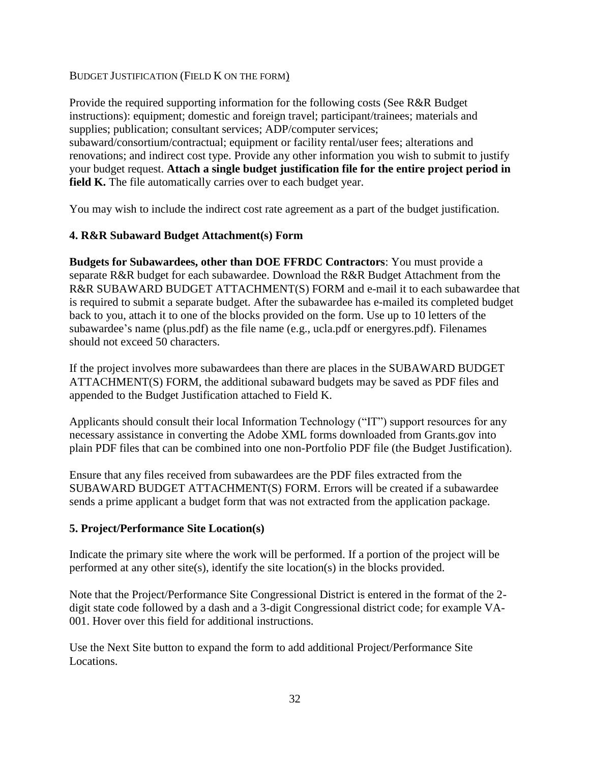BUDGET JUSTIFICATION (FIELD K ON THE FORM)

Provide the required supporting information for the following costs (See R&R Budget instructions): equipment; domestic and foreign travel; participant/trainees; materials and supplies; publication; consultant services; ADP/computer services; subaward/consortium/contractual; equipment or facility rental/user fees; alterations and renovations; and indirect cost type. Provide any other information you wish to submit to justify your budget request. **Attach a single budget justification file for the entire project period in field K.** The file automatically carries over to each budget year.

You may wish to include the indirect cost rate agreement as a part of the budget justification.

#### **4. R&R Subaward Budget Attachment(s) Form**

**Budgets for Subawardees, other than DOE FFRDC Contractors**: You must provide a separate R&R budget for each subawardee. Download the R&R Budget Attachment from the R&R SUBAWARD BUDGET ATTACHMENT(S) FORM and e-mail it to each subawardee that is required to submit a separate budget. After the subawardee has e-mailed its completed budget back to you, attach it to one of the blocks provided on the form. Use up to 10 letters of the subawardee's name (plus.pdf) as the file name (e.g., ucla.pdf or energyres.pdf). Filenames should not exceed 50 characters.

If the project involves more subawardees than there are places in the SUBAWARD BUDGET ATTACHMENT(S) FORM, the additional subaward budgets may be saved as PDF files and appended to the Budget Justification attached to Field K.

Applicants should consult their local Information Technology ("IT") support resources for any necessary assistance in converting the Adobe XML forms downloaded from Grants.gov into plain PDF files that can be combined into one non-Portfolio PDF file (the Budget Justification).

Ensure that any files received from subawardees are the PDF files extracted from the SUBAWARD BUDGET ATTACHMENT(S) FORM. Errors will be created if a subawardee sends a prime applicant a budget form that was not extracted from the application package.

#### **5. Project/Performance Site Location(s)**

Indicate the primary site where the work will be performed. If a portion of the project will be performed at any other site(s), identify the site location(s) in the blocks provided.

Note that the Project/Performance Site Congressional District is entered in the format of the 2 digit state code followed by a dash and a 3-digit Congressional district code; for example VA-001. Hover over this field for additional instructions.

Use the Next Site button to expand the form to add additional Project/Performance Site Locations.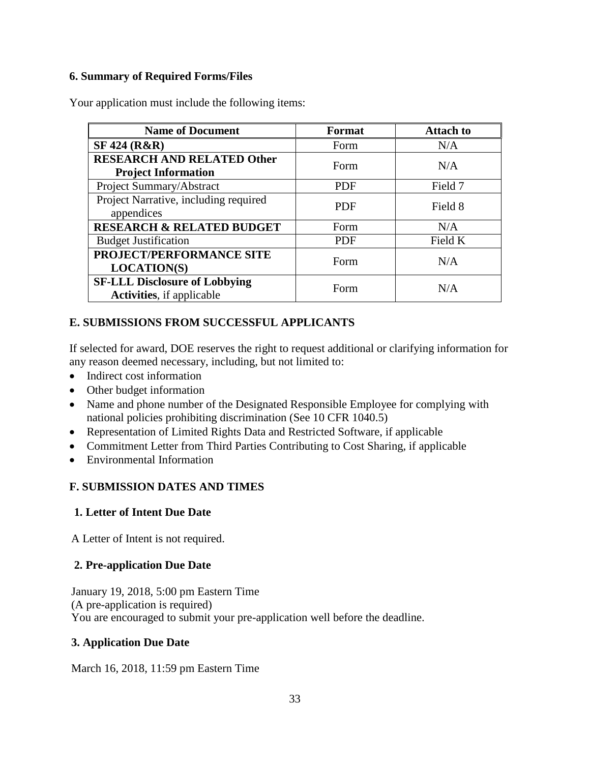#### **6. Summary of Required Forms/Files**

Your application must include the following items:

| <b>Name of Document</b>                                                   | Format     | <b>Attach to</b> |
|---------------------------------------------------------------------------|------------|------------------|
| <b>SF 424 (R&amp;R)</b>                                                   | Form       | N/A              |
| <b>RESEARCH AND RELATED Other</b><br><b>Project Information</b>           | Form       | N/A              |
| Project Summary/Abstract                                                  | <b>PDF</b> | Field 7          |
| Project Narrative, including required<br>appendices                       | <b>PDF</b> | Field 8          |
| <b>RESEARCH &amp; RELATED BUDGET</b>                                      | Form       | N/A              |
| <b>Budget Justification</b>                                               | <b>PDF</b> | Field K          |
| PROJECT/PERFORMANCE SITE<br><b>LOCATION(S)</b>                            | Form       | N/A              |
| <b>SF-LLL Disclosure of Lobbying</b><br><b>Activities</b> , if applicable | Form       | N/A              |

# <span id="page-36-0"></span>**E. SUBMISSIONS FROM SUCCESSFUL APPLICANTS**

If selected for award, DOE reserves the right to request additional or clarifying information for any reason deemed necessary, including, but not limited to:

- Indirect cost information
- Other budget information
- Name and phone number of the Designated Responsible Employee for complying with national policies prohibiting discrimination (See 10 CFR 1040.5)
- Representation of Limited Rights Data and Restricted Software, if applicable
- Commitment Letter from Third Parties Contributing to Cost Sharing, if applicable
- Environmental Information

# <span id="page-36-1"></span>**F. SUBMISSION DATES AND TIMES**

# **1. Letter of Intent Due Date**

A Letter of Intent is not required.

# **2. Pre-application Due Date**

January 19, 2018, 5:00 pm Eastern Time (A pre-application is required) You are encouraged to submit your pre-application well before the deadline.

# **3. Application Due Date**

March 16, 2018, 11:59 pm Eastern Time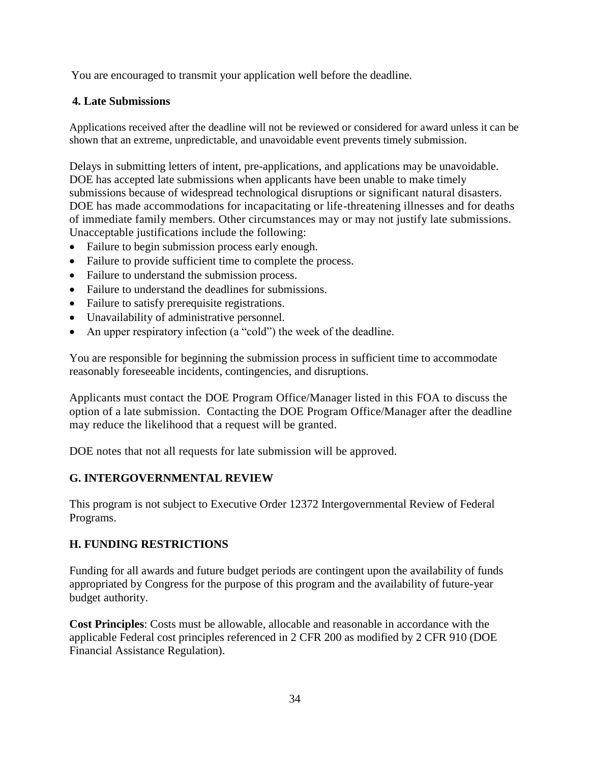You are encouraged to transmit your application well before the deadline.

#### **4. Late Submissions**

Applications received after the deadline will not be reviewed or considered for award unless it can be shown that an extreme, unpredictable, and unavoidable event prevents timely submission.

Delays in submitting letters of intent, pre-applications, and applications may be unavoidable. DOE has accepted late submissions when applicants have been unable to make timely submissions because of widespread technological disruptions or significant natural disasters. DOE has made accommodations for incapacitating or life-threatening illnesses and for deaths of immediate family members. Other circumstances may or may not justify late submissions. Unacceptable justifications include the following:

- Failure to begin submission process early enough.
- Failure to provide sufficient time to complete the process.
- Failure to understand the submission process.
- Failure to understand the deadlines for submissions.
- Failure to satisfy prerequisite registrations.
- Unavailability of administrative personnel.
- An upper respiratory infection (a "cold") the week of the deadline.

You are responsible for beginning the submission process in sufficient time to accommodate reasonably foreseeable incidents, contingencies, and disruptions.

Applicants must contact the DOE Program Office/Manager listed in this FOA to discuss the option of a late submission. Contacting the DOE Program Office/Manager after the deadline may reduce the likelihood that a request will be granted.

DOE notes that not all requests for late submission will be approved.

#### <span id="page-37-0"></span>**G. INTERGOVERNMENTAL REVIEW**

This program is not subject to Executive Order 12372 Intergovernmental Review of Federal Programs.

#### <span id="page-37-1"></span>**H. FUNDING RESTRICTIONS**

Funding for all awards and future budget periods are contingent upon the availability of funds appropriated by Congress for the purpose of this program and the availability of future-year budget authority.

**Cost Principles**: Costs must be allowable, allocable and reasonable in accordance with the applicable Federal cost principles referenced in 2 CFR 200 as modified by 2 CFR 910 (DOE Financial Assistance Regulation).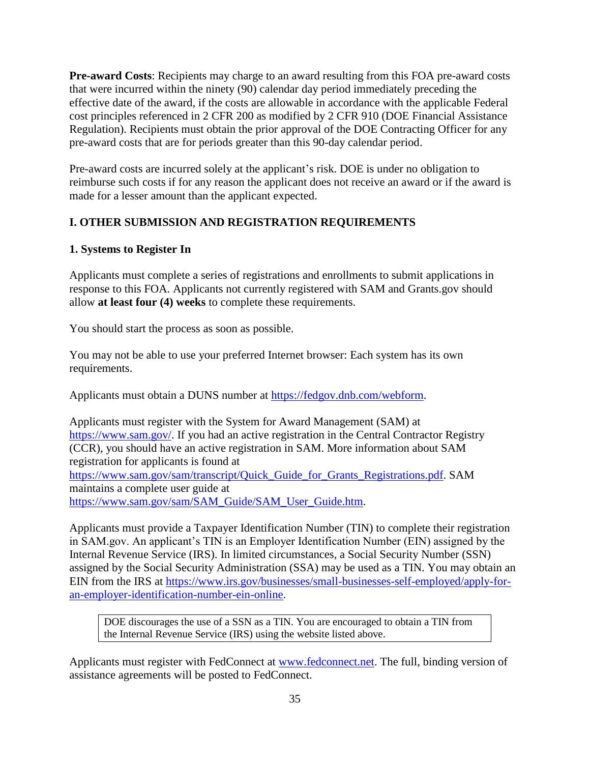**Pre-award Costs**: Recipients may charge to an award resulting from this FOA pre-award costs that were incurred within the ninety (90) calendar day period immediately preceding the effective date of the award, if the costs are allowable in accordance with the applicable Federal cost principles referenced in 2 CFR 200 as modified by 2 CFR 910 (DOE Financial Assistance Regulation). Recipients must obtain the prior approval of the DOE Contracting Officer for any pre-award costs that are for periods greater than this 90-day calendar period.

Pre-award costs are incurred solely at the applicant's risk. DOE is under no obligation to reimburse such costs if for any reason the applicant does not receive an award or if the award is made for a lesser amount than the applicant expected.

# <span id="page-38-0"></span>**I. OTHER SUBMISSION AND REGISTRATION REQUIREMENTS**

# **1. Systems to Register In**

Applicants must complete a series of registrations and enrollments to submit applications in response to this FOA. Applicants not currently registered with SAM and Grants.gov should allow **at least four (4) weeks** to complete these requirements.

You should start the process as soon as possible.

You may not be able to use your preferred Internet browser: Each system has its own requirements.

Applicants must obtain a DUNS number at [https://fedgov.dnb.com/webform.](http://fedgov.dnb.com/webform)

Applicants must register with the System for Award Management (SAM) at [https://www.sam.gov/.](http://www.sam.gov/) If you had an active registration in the Central Contractor Registry (CCR), you should have an active registration in SAM. More information about SAM registration for applicants is found at [https://www.sam.gov/sam/transcript/Quick\\_Guide\\_for\\_Grants\\_Registrations.pdf.](https://www.sam.gov/sam/transcript/Quick_Guide_for_Grants_Registrations.pdf) SAM maintains a complete user guide at [https://www.sam.gov/sam/SAM\\_Guide/SAM\\_User\\_Guide.htm.](https://www.sam.gov/sam/SAM_Guide/SAM_User_Guide.htm)

Applicants must provide a Taxpayer Identification Number (TIN) to complete their registration in SAM.gov. An applicant's TIN is an Employer Identification Number (EIN) assigned by the Internal Revenue Service (IRS). In limited circumstances, a Social Security Number (SSN) assigned by the Social Security Administration (SSA) may be used as a TIN. You may obtain an EIN from the IRS at [https://www.irs.gov/businesses/small-businesses-self-employed/apply-for](https://www.irs.gov/businesses/small-businesses-self-employed/apply-for-an-employer-identification-number-ein-online)[an-employer-identification-number-ein-online.](https://www.irs.gov/businesses/small-businesses-self-employed/apply-for-an-employer-identification-number-ein-online)

DOE discourages the use of a SSN as a TIN. You are encouraged to obtain a TIN from the Internal Revenue Service (IRS) using the website listed above.

Applicants must register with FedConnect at [www.fedconnect.net.](http://www.fedconnect.net/) The full, binding version of assistance agreements will be posted to FedConnect.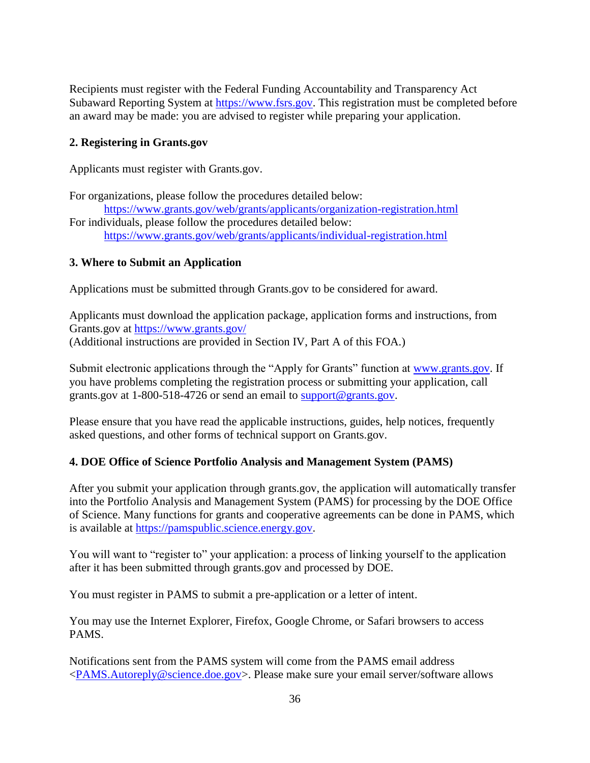Recipients must register with the Federal Funding Accountability and Transparency Act Subaward Reporting System at [https://www.fsrs.gov.](https://www.fsrs.gov/) This registration must be completed before an award may be made: you are advised to register while preparing your application.

#### **2. Registering in Grants.gov**

Applicants must register with Grants.gov.

For organizations, please follow the procedures detailed below: [https://www.grants.gov/web/grants/applicants/organization-registration.html](http://www.grants.gov/web/grants/applicants/organization-registration.html) For individuals, please follow the procedures detailed below: [https://www.grants.gov/web/grants/applicants/individual-registration.html](http://www.grants.gov/web/grants/applicants/individual-registration.html)

# **3. Where to Submit an Application**

Applications must be submitted through Grants.gov to be considered for award.

Applicants must download the application package, application forms and instructions, from Grants.gov at [https://www.grants.gov/](http://www.grants.gov/) (Additional instructions are provided in Section IV, Part A of this FOA.)

Submit electronic applications through the "Apply for Grants" function at [www.grants.gov.](http://www.grants.gov/) If you have problems completing the registration process or submitting your application, call grants.gov at 1-800-518-4726 or send an email to [support@grants.gov.](mailto:support@grants.gov)

Please ensure that you have read the applicable instructions, guides, help notices, frequently asked questions, and other forms of technical support on Grants.gov.

# **4. DOE Office of Science Portfolio Analysis and Management System (PAMS)**

After you submit your application through grants.gov, the application will automatically transfer into the Portfolio Analysis and Management System (PAMS) for processing by the DOE Office of Science. Many functions for grants and cooperative agreements can be done in PAMS, which is available at [https://pamspublic.science.energy.gov.](https://pamspublic.science.energy.gov/)

You will want to "register to" your application: a process of linking yourself to the application after it has been submitted through grants.gov and processed by DOE.

You must register in PAMS to submit a pre-application or a letter of intent.

You may use the Internet Explorer, Firefox, Google Chrome, or Safari browsers to access PAMS.

Notifications sent from the PAMS system will come from the PAMS email address [<PAMS.Autoreply@science.doe.gov>](mailto:PAMS.Autoreply@science.doe.gov). Please make sure your email server/software allows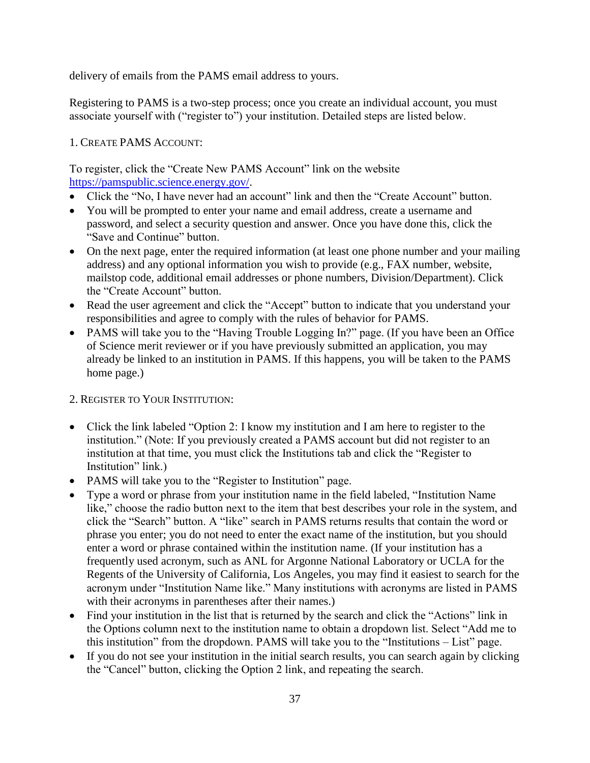delivery of emails from the PAMS email address to yours.

Registering to PAMS is a two-step process; once you create an individual account, you must associate yourself with ("register to") your institution. Detailed steps are listed below.

# 1. CREATE PAMS ACCOUNT:

To register, click the "Create New PAMS Account" link on the website [https://pamspublic.science.energy.gov/.](https://pamspublic.science.energy.gov/)

- Click the "No, I have never had an account" link and then the "Create Account" button.
- You will be prompted to enter your name and email address, create a username and password, and select a security question and answer. Once you have done this, click the "Save and Continue" button.
- On the next page, enter the required information (at least one phone number and your mailing address) and any optional information you wish to provide (e.g., FAX number, website, mailstop code, additional email addresses or phone numbers, Division/Department). Click the "Create Account" button.
- Read the user agreement and click the "Accept" button to indicate that you understand your responsibilities and agree to comply with the rules of behavior for PAMS.
- PAMS will take you to the "Having Trouble Logging In?" page. (If you have been an Office of Science merit reviewer or if you have previously submitted an application, you may already be linked to an institution in PAMS. If this happens, you will be taken to the PAMS home page.)

# 2. REGISTER TO YOUR INSTITUTION:

- Click the link labeled "Option 2: I know my institution and I am here to register to the institution." (Note: If you previously created a PAMS account but did not register to an institution at that time, you must click the Institutions tab and click the "Register to Institution" link.)
- PAMS will take you to the "Register to Institution" page.
- Type a word or phrase from your institution name in the field labeled, "Institution Name like," choose the radio button next to the item that best describes your role in the system, and click the "Search" button. A "like" search in PAMS returns results that contain the word or phrase you enter; you do not need to enter the exact name of the institution, but you should enter a word or phrase contained within the institution name. (If your institution has a frequently used acronym, such as ANL for Argonne National Laboratory or UCLA for the Regents of the University of California, Los Angeles, you may find it easiest to search for the acronym under "Institution Name like." Many institutions with acronyms are listed in PAMS with their acronyms in parentheses after their names.)
- Find your institution in the list that is returned by the search and click the "Actions" link in the Options column next to the institution name to obtain a dropdown list. Select "Add me to this institution" from the dropdown. PAMS will take you to the "Institutions – List" page.
- If you do not see your institution in the initial search results, you can search again by clicking the "Cancel" button, clicking the Option 2 link, and repeating the search.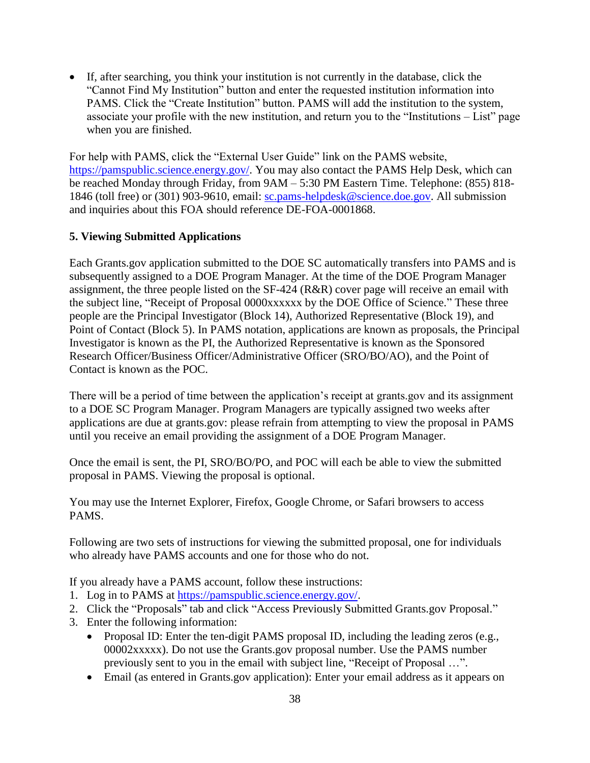If, after searching, you think your institution is not currently in the database, click the "Cannot Find My Institution" button and enter the requested institution information into PAMS. Click the "Create Institution" button. PAMS will add the institution to the system, associate your profile with the new institution, and return you to the "Institutions – List" page when you are finished.

For help with PAMS, click the "External User Guide" link on the PAMS website, [https://pamspublic.science.energy.gov/.](https://pamspublic.science.energy.gov/) You may also contact the PAMS Help Desk, which can be reached Monday through Friday, from 9AM – 5:30 PM Eastern Time. Telephone: (855) 818- 1846 (toll free) or (301) 903-9610, email: [sc.pams-helpdesk@science.doe.gov.](mailto:sc.pams-helpdesk@science.doe.gov) All submission and inquiries about this FOA should reference DE-FOA-0001868.

# **5. Viewing Submitted Applications**

Each Grants.gov application submitted to the DOE SC automatically transfers into PAMS and is subsequently assigned to a DOE Program Manager. At the time of the DOE Program Manager assignment, the three people listed on the SF-424 (R&R) cover page will receive an email with the subject line, "Receipt of Proposal 0000xxxxxx by the DOE Office of Science." These three people are the Principal Investigator (Block 14), Authorized Representative (Block 19), and Point of Contact (Block 5). In PAMS notation, applications are known as proposals, the Principal Investigator is known as the PI, the Authorized Representative is known as the Sponsored Research Officer/Business Officer/Administrative Officer (SRO/BO/AO), and the Point of Contact is known as the POC.

There will be a period of time between the application's receipt at grants.gov and its assignment to a DOE SC Program Manager. Program Managers are typically assigned two weeks after applications are due at grants.gov: please refrain from attempting to view the proposal in PAMS until you receive an email providing the assignment of a DOE Program Manager.

Once the email is sent, the PI, SRO/BO/PO, and POC will each be able to view the submitted proposal in PAMS. Viewing the proposal is optional.

You may use the Internet Explorer, Firefox, Google Chrome, or Safari browsers to access PAMS.

Following are two sets of instructions for viewing the submitted proposal, one for individuals who already have PAMS accounts and one for those who do not.

If you already have a PAMS account, follow these instructions:

- 1. Log in to PAMS at [https://pamspublic.science.energy.gov/.](https://pamspublic.science.energy.gov/)
- 2. Click the "Proposals" tab and click "Access Previously Submitted Grants.gov Proposal."
- 3. Enter the following information:
	- Proposal ID: Enter the ten-digit PAMS proposal ID, including the leading zeros (e.g., 00002xxxxx). Do not use the Grants.gov proposal number. Use the PAMS number previously sent to you in the email with subject line, "Receipt of Proposal …".
	- Email (as entered in Grants.gov application): Enter your email address as it appears on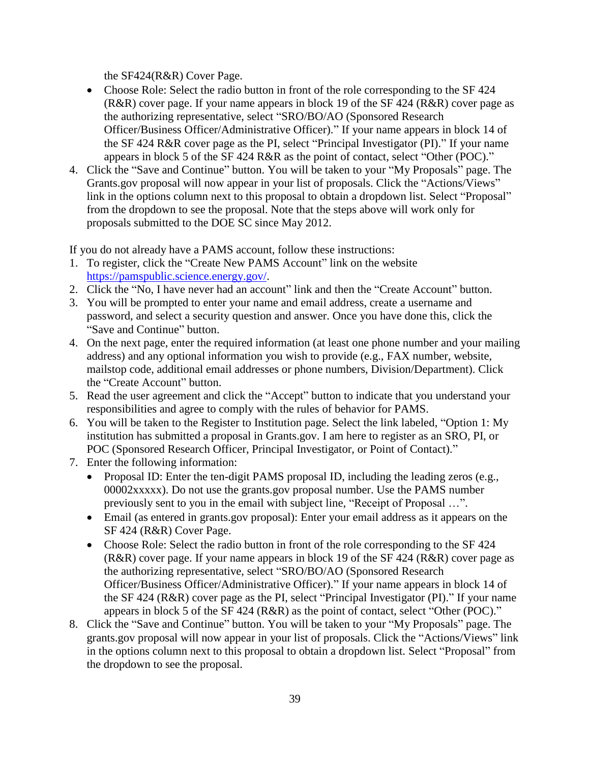the SF424(R&R) Cover Page.

- Choose Role: Select the radio button in front of the role corresponding to the SF 424 (R&R) cover page. If your name appears in block 19 of the SF 424 (R&R) cover page as the authorizing representative, select "SRO/BO/AO (Sponsored Research Officer/Business Officer/Administrative Officer)." If your name appears in block 14 of the SF 424 R&R cover page as the PI, select "Principal Investigator (PI)." If your name appears in block 5 of the SF 424 R&R as the point of contact, select "Other (POC)."
- 4. Click the "Save and Continue" button. You will be taken to your "My Proposals" page. The Grants.gov proposal will now appear in your list of proposals. Click the "Actions/Views" link in the options column next to this proposal to obtain a dropdown list. Select "Proposal" from the dropdown to see the proposal. Note that the steps above will work only for proposals submitted to the DOE SC since May 2012.

If you do not already have a PAMS account, follow these instructions:

- 1. To register, click the "Create New PAMS Account" link on the website [https://pamspublic.science.energy.gov/.](https://pamspublic.science.energy.gov/)
- 2. Click the "No, I have never had an account" link and then the "Create Account" button.
- 3. You will be prompted to enter your name and email address, create a username and password, and select a security question and answer. Once you have done this, click the "Save and Continue" button.
- 4. On the next page, enter the required information (at least one phone number and your mailing address) and any optional information you wish to provide (e.g., FAX number, website, mailstop code, additional email addresses or phone numbers, Division/Department). Click the "Create Account" button.
- 5. Read the user agreement and click the "Accept" button to indicate that you understand your responsibilities and agree to comply with the rules of behavior for PAMS.
- 6. You will be taken to the Register to Institution page. Select the link labeled, "Option 1: My institution has submitted a proposal in Grants.gov. I am here to register as an SRO, PI, or POC (Sponsored Research Officer, Principal Investigator, or Point of Contact)."
- 7. Enter the following information:
	- Proposal ID: Enter the ten-digit PAMS proposal ID, including the leading zeros (e.g., 00002xxxxx). Do not use the grants.gov proposal number. Use the PAMS number previously sent to you in the email with subject line, "Receipt of Proposal …".
	- Email (as entered in grants.gov proposal): Enter your email address as it appears on the SF 424 (R&R) Cover Page.
	- Choose Role: Select the radio button in front of the role corresponding to the SF 424 (R&R) cover page. If your name appears in block 19 of the SF 424 (R&R) cover page as the authorizing representative, select "SRO/BO/AO (Sponsored Research Officer/Business Officer/Administrative Officer)." If your name appears in block 14 of the SF 424 (R&R) cover page as the PI, select "Principal Investigator (PI)." If your name appears in block 5 of the SF 424 (R&R) as the point of contact, select "Other (POC)."
- 8. Click the "Save and Continue" button. You will be taken to your "My Proposals" page. The grants.gov proposal will now appear in your list of proposals. Click the "Actions/Views" link in the options column next to this proposal to obtain a dropdown list. Select "Proposal" from the dropdown to see the proposal.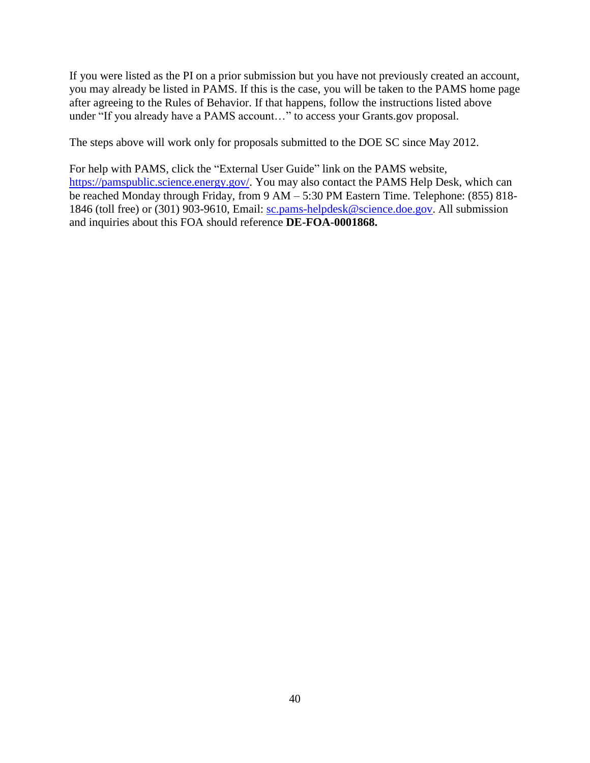If you were listed as the PI on a prior submission but you have not previously created an account, you may already be listed in PAMS. If this is the case, you will be taken to the PAMS home page after agreeing to the Rules of Behavior. If that happens, follow the instructions listed above under "If you already have a PAMS account…" to access your Grants.gov proposal.

The steps above will work only for proposals submitted to the DOE SC since May 2012.

For help with PAMS, click the "External User Guide" link on the PAMS website, [https://pamspublic.science.energy.gov/.](https://pamspublic.science.energy.gov/) You may also contact the PAMS Help Desk, which can be reached Monday through Friday, from 9 AM – 5:30 PM Eastern Time. Telephone: (855) 818- 1846 (toll free) or (301) 903-9610, Email: [sc.pams-helpdesk@science.doe.gov.](mailto:sc.pams-helpdesk@science.doe.gov) All submission and inquiries about this FOA should reference **DE-FOA-0001868.**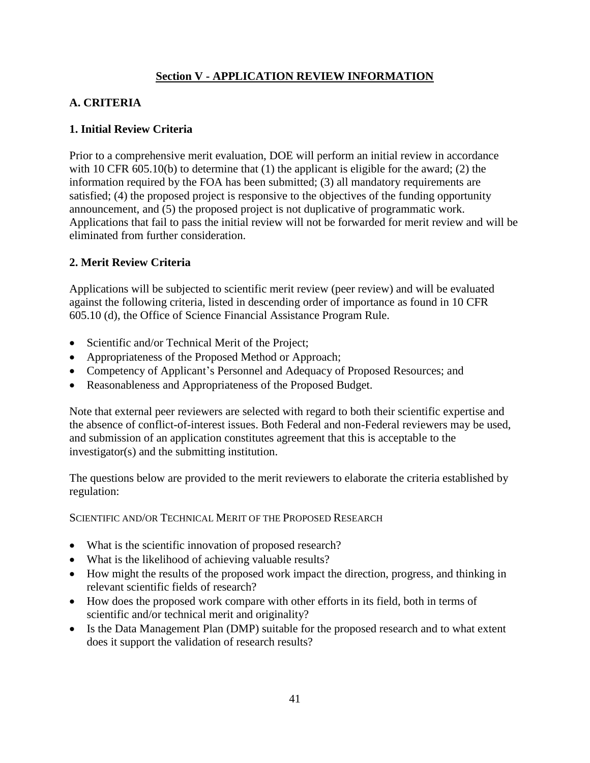# **Section V - APPLICATION REVIEW INFORMATION**

# <span id="page-44-1"></span><span id="page-44-0"></span>**A. CRITERIA**

#### **1. Initial Review Criteria**

Prior to a comprehensive merit evaluation, DOE will perform an initial review in accordance with 10 CFR 605.10(b) to determine that (1) the applicant is eligible for the award; (2) the information required by the FOA has been submitted; (3) all mandatory requirements are satisfied; (4) the proposed project is responsive to the objectives of the funding opportunity announcement, and (5) the proposed project is not duplicative of programmatic work. Applications that fail to pass the initial review will not be forwarded for merit review and will be eliminated from further consideration.

# **2. Merit Review Criteria**

Applications will be subjected to scientific merit review (peer review) and will be evaluated against the following criteria, listed in descending order of importance as found in 10 CFR 605.10 (d), the Office of Science Financial Assistance Program Rule.

- Scientific and/or Technical Merit of the Project;
- Appropriateness of the Proposed Method or Approach;
- Competency of Applicant's Personnel and Adequacy of Proposed Resources; and
- Reasonableness and Appropriateness of the Proposed Budget.

Note that external peer reviewers are selected with regard to both their scientific expertise and the absence of conflict-of-interest issues. Both Federal and non-Federal reviewers may be used, and submission of an application constitutes agreement that this is acceptable to the investigator(s) and the submitting institution.

The questions below are provided to the merit reviewers to elaborate the criteria established by regulation:

SCIENTIFIC AND/OR TECHNICAL MERIT OF THE PROPOSED RESEARCH

- What is the scientific innovation of proposed research?
- What is the likelihood of achieving valuable results?
- How might the results of the proposed work impact the direction, progress, and thinking in relevant scientific fields of research?
- How does the proposed work compare with other efforts in its field, both in terms of scientific and/or technical merit and originality?
- Is the Data Management Plan (DMP) suitable for the proposed research and to what extent does it support the validation of research results?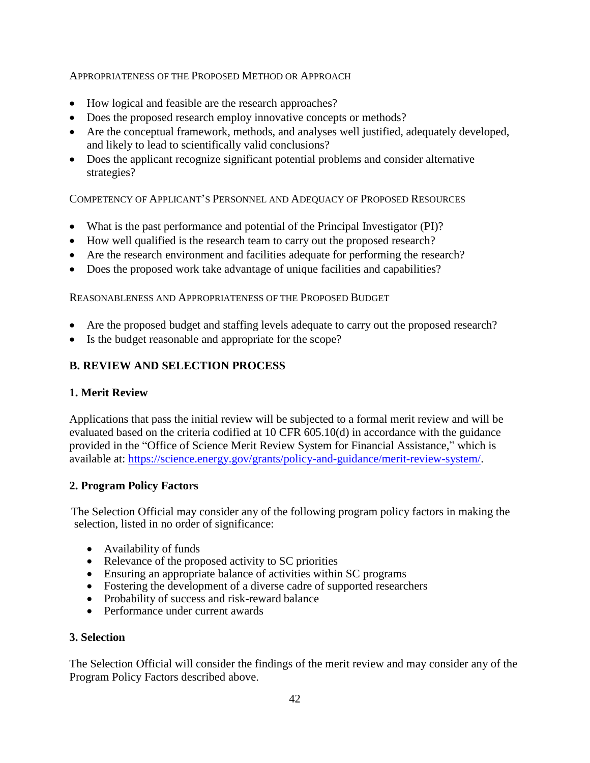#### APPROPRIATENESS OF THE PROPOSED METHOD OR APPROACH

- How logical and feasible are the research approaches?
- Does the proposed research employ innovative concepts or methods?
- Are the conceptual framework, methods, and analyses well justified, adequately developed, and likely to lead to scientifically valid conclusions?
- Does the applicant recognize significant potential problems and consider alternative strategies?

COMPETENCY OF APPLICANT'S PERSONNEL AND ADEQUACY OF PROPOSED RESOURCES

- What is the past performance and potential of the Principal Investigator (PI)?
- How well qualified is the research team to carry out the proposed research?
- Are the research environment and facilities adequate for performing the research?
- Does the proposed work take advantage of unique facilities and capabilities?

REASONABLENESS AND APPROPRIATENESS OF THE PROPOSED BUDGET

- Are the proposed budget and staffing levels adequate to carry out the proposed research?
- Is the budget reasonable and appropriate for the scope?

# <span id="page-45-0"></span>**B. REVIEW AND SELECTION PROCESS**

#### **1. Merit Review**

Applications that pass the initial review will be subjected to a formal merit review and will be evaluated based on the criteria codified at 10 CFR 605.10(d) in accordance with the guidance provided in the "Office of Science Merit Review System for Financial Assistance," which is available at: [https://science.energy.gov/grants/policy-and-guidance/merit-review-system/.](http://science.energy.gov/grants/policy-and-guidance/merit-review-system/)

#### **2. Program Policy Factors**

The Selection Official may consider any of the following program policy factors in making the selection, listed in no order of significance:

- Availability of funds
- Relevance of the proposed activity to SC priorities
- Ensuring an appropriate balance of activities within SC programs
- Fostering the development of a diverse cadre of supported researchers
- Probability of success and risk-reward balance
- Performance under current awards

#### **3. Selection**

The Selection Official will consider the findings of the merit review and may consider any of the Program Policy Factors described above.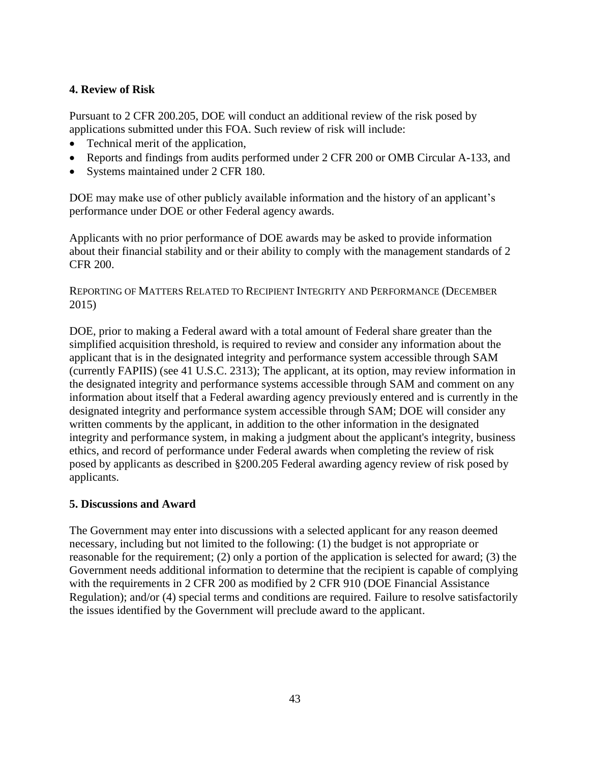# **4. Review of Risk**

Pursuant to 2 CFR 200.205, DOE will conduct an additional review of the risk posed by applications submitted under this FOA. Such review of risk will include:

- Technical merit of the application,
- Reports and findings from audits performed under 2 CFR 200 or OMB Circular A-133, and
- Systems maintained under 2 CFR 180.

DOE may make use of other publicly available information and the history of an applicant's performance under DOE or other Federal agency awards.

Applicants with no prior performance of DOE awards may be asked to provide information about their financial stability and or their ability to comply with the management standards of 2 CFR 200.

REPORTING OF MATTERS RELATED TO RECIPIENT INTEGRITY AND PERFORMANCE (DECEMBER 2015)

DOE, prior to making a Federal award with a total amount of Federal share greater than the simplified acquisition threshold, is required to review and consider any information about the applicant that is in the designated integrity and performance system accessible through SAM (currently FAPIIS) (see 41 U.S.C. 2313); The applicant, at its option, may review information in the designated integrity and performance systems accessible through SAM and comment on any information about itself that a Federal awarding agency previously entered and is currently in the designated integrity and performance system accessible through SAM; DOE will consider any written comments by the applicant, in addition to the other information in the designated integrity and performance system, in making a judgment about the applicant's integrity, business ethics, and record of performance under Federal awards when completing the review of risk posed by applicants as described in §200.205 Federal awarding agency review of risk posed by applicants.

# **5. Discussions and Award**

<span id="page-46-0"></span>The Government may enter into discussions with a selected applicant for any reason deemed necessary, including but not limited to the following: (1) the budget is not appropriate or reasonable for the requirement; (2) only a portion of the application is selected for award; (3) the Government needs additional information to determine that the recipient is capable of complying with the requirements in 2 CFR 200 as modified by 2 CFR 910 (DOE Financial Assistance Regulation); and/or (4) special terms and conditions are required. Failure to resolve satisfactorily the issues identified by the Government will preclude award to the applicant.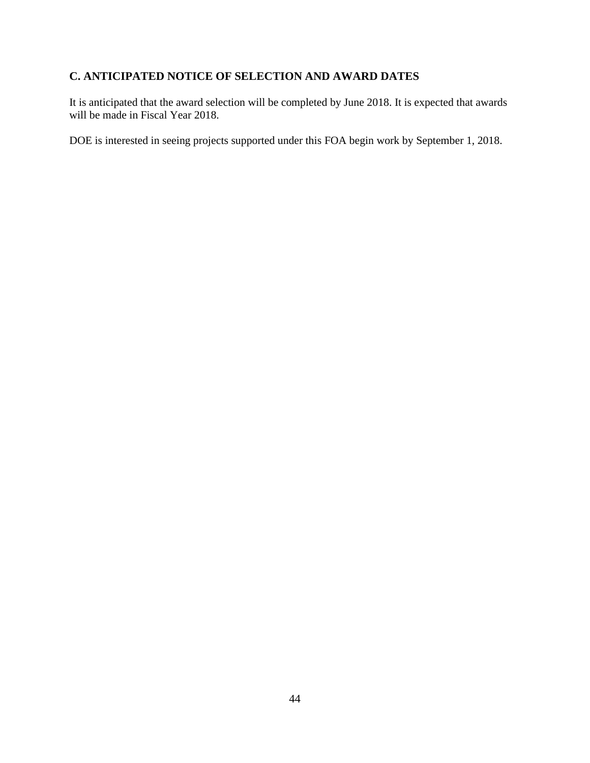# **C. ANTICIPATED NOTICE OF SELECTION AND AWARD DATES**

It is anticipated that the award selection will be completed by June 2018. It is expected that awards will be made in Fiscal Year 2018.

<span id="page-47-1"></span><span id="page-47-0"></span>DOE is interested in seeing projects supported under this FOA begin work by September 1, 2018.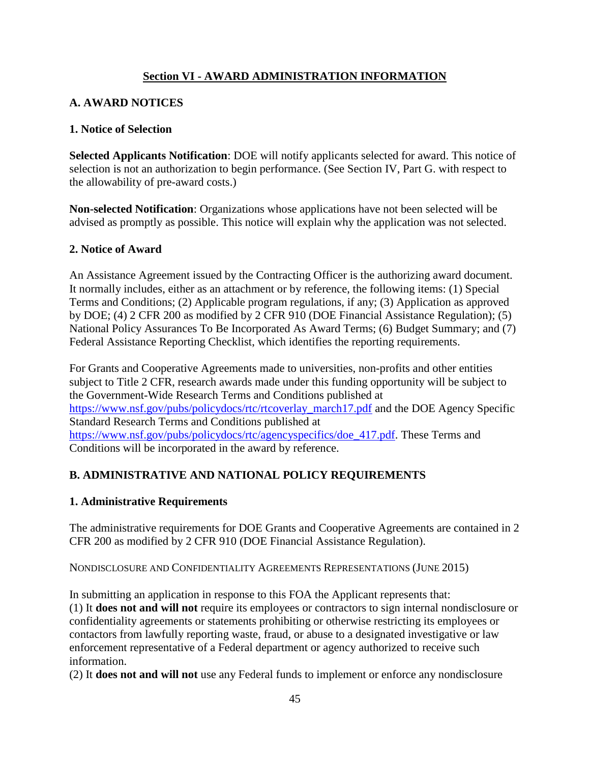# **Section VI - AWARD ADMINISTRATION INFORMATION**

# <span id="page-48-0"></span>**A. AWARD NOTICES**

#### **1. Notice of Selection**

**Selected Applicants Notification**: DOE will notify applicants selected for award. This notice of selection is not an authorization to begin performance. (See Section IV, Part G. with respect to the allowability of pre-award costs.)

**Non-selected Notification**: Organizations whose applications have not been selected will be advised as promptly as possible. This notice will explain why the application was not selected.

#### **2. Notice of Award**

An Assistance Agreement issued by the Contracting Officer is the authorizing award document. It normally includes, either as an attachment or by reference, the following items: (1) Special Terms and Conditions; (2) Applicable program regulations, if any; (3) Application as approved by DOE; (4) 2 CFR 200 as modified by 2 CFR 910 (DOE Financial Assistance Regulation); (5) National Policy Assurances To Be Incorporated As Award Terms; (6) Budget Summary; and (7) Federal Assistance Reporting Checklist, which identifies the reporting requirements.

For Grants and Cooperative Agreements made to universities, non-profits and other entities subject to Title 2 CFR, research awards made under this funding opportunity will be subject to the Government-Wide Research Terms and Conditions published at [https://www.nsf.gov/pubs/policydocs/rtc/rtcoverlay\\_march17.pdf](https://www.nsf.gov/pubs/policydocs/rtc/rtcoverlay_march17.pdf) and the DOE Agency Specific Standard Research Terms and Conditions published at https://www.nsf.gov/pubs/policydocs/rtc/agencyspecifics/doe 417.pdf. These Terms and Conditions will be incorporated in the award by reference.

# <span id="page-48-1"></span>**B. ADMINISTRATIVE AND NATIONAL POLICY REQUIREMENTS**

#### **1. Administrative Requirements**

The administrative requirements for DOE Grants and Cooperative Agreements are contained in 2 CFR 200 as modified by 2 CFR 910 (DOE Financial Assistance Regulation).

NONDISCLOSURE AND CONFIDENTIALITY AGREEMENTS REPRESENTATIONS (JUNE 2015)

In submitting an application in response to this FOA the Applicant represents that: (1) It **does not and will not** require its employees or contractors to sign internal nondisclosure or confidentiality agreements or statements prohibiting or otherwise restricting its employees or contactors from lawfully reporting waste, fraud, or abuse to a designated investigative or law enforcement representative of a Federal department or agency authorized to receive such information.

(2) It **does not and will not** use any Federal funds to implement or enforce any nondisclosure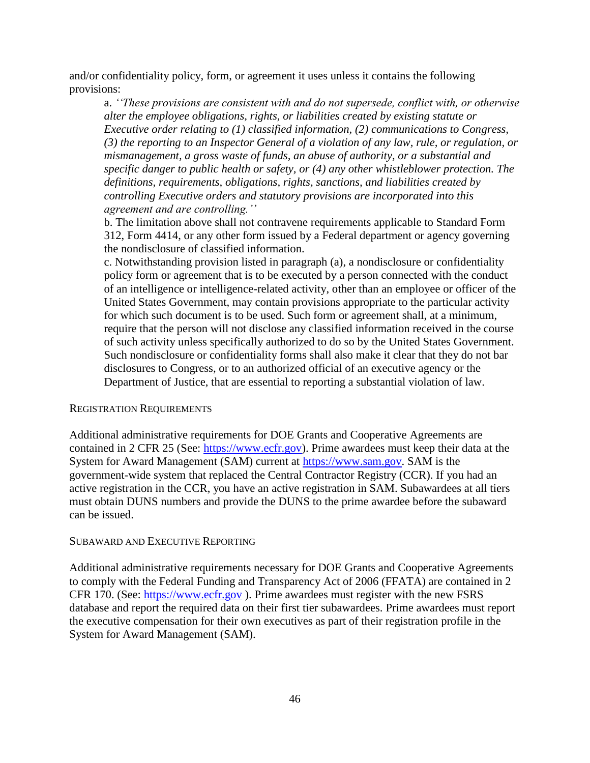and/or confidentiality policy, form, or agreement it uses unless it contains the following provisions:

a. *''These provisions are consistent with and do not supersede, conflict with, or otherwise alter the employee obligations, rights, or liabilities created by existing statute or Executive order relating to (1) classified information, (2) communications to Congress, (3) the reporting to an Inspector General of a violation of any law, rule, or regulation, or mismanagement, a gross waste of funds, an abuse of authority, or a substantial and specific danger to public health or safety, or (4) any other whistleblower protection. The definitions, requirements, obligations, rights, sanctions, and liabilities created by controlling Executive orders and statutory provisions are incorporated into this agreement and are controlling.''* 

b. The limitation above shall not contravene requirements applicable to Standard Form 312, Form 4414, or any other form issued by a Federal department or agency governing the nondisclosure of classified information.

c. Notwithstanding provision listed in paragraph (a), a nondisclosure or confidentiality policy form or agreement that is to be executed by a person connected with the conduct of an intelligence or intelligence-related activity, other than an employee or officer of the United States Government, may contain provisions appropriate to the particular activity for which such document is to be used. Such form or agreement shall, at a minimum, require that the person will not disclose any classified information received in the course of such activity unless specifically authorized to do so by the United States Government. Such nondisclosure or confidentiality forms shall also make it clear that they do not bar disclosures to Congress, or to an authorized official of an executive agency or the Department of Justice, that are essential to reporting a substantial violation of law.

#### REGISTRATION REQUIREMENTS

Additional administrative requirements for DOE Grants and Cooperative Agreements are contained in 2 CFR 25 (See: [https://www.ecfr.gov\)](http://www.ecfr.gov/). Prime awardees must keep their data at the System for Award Management (SAM) current at [https://www.sam.gov.](http://www.sam.gov/) SAM is the government-wide system that replaced the Central Contractor Registry (CCR). If you had an active registration in the CCR, you have an active registration in SAM. Subawardees at all tiers must obtain DUNS numbers and provide the DUNS to the prime awardee before the subaward can be issued.

#### SUBAWARD AND EXECUTIVE REPORTING

Additional administrative requirements necessary for DOE Grants and Cooperative Agreements to comply with the Federal Funding and Transparency Act of 2006 (FFATA) are contained in 2 CFR 170. (See: [https://www.ecfr.gov](http://www.ecfr.gov/) ). Prime awardees must register with the new FSRS database and report the required data on their first tier subawardees. Prime awardees must report the executive compensation for their own executives as part of their registration profile in the System for Award Management (SAM).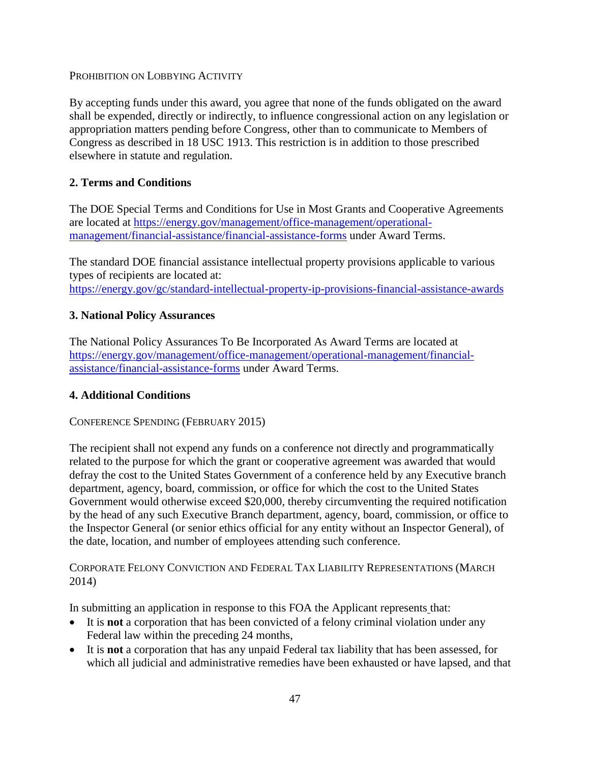PROHIBITION ON LOBBYING ACTIVITY

By accepting funds under this award, you agree that none of the funds obligated on the award shall be expended, directly or indirectly, to influence congressional action on any legislation or appropriation matters pending before Congress, other than to communicate to Members of Congress as described in 18 USC 1913. This restriction is in addition to those prescribed elsewhere in statute and regulation.

# **2. Terms and Conditions**

The DOE Special Terms and Conditions for Use in Most Grants and Cooperative Agreements are located at [https://energy.gov/management/office-management/operational](http://energy.gov/management/office-management/operational-management/financial-assistance/financial-assistance-forms)[management/financial-assistance/financial-assistance-forms](http://energy.gov/management/office-management/operational-management/financial-assistance/financial-assistance-forms) under Award Terms.

The standard DOE financial assistance intellectual property provisions applicable to various types of recipients are located at: [https://energy.gov/gc/standard-intellectual-property-ip-provisions-financial-assistance-awards](http://energy.gov/gc/standard-intellectual-property-ip-provisions-financial-assistance-awards)

# **3. National Policy Assurances**

The National Policy Assurances To Be Incorporated As Award Terms are located at [https://energy.gov/management/office-management/operational-management/financial](http://energy.gov/management/office-management/operational-management/financial-assistance/financial-assistance-forms)[assistance/financial-assistance-forms](http://energy.gov/management/office-management/operational-management/financial-assistance/financial-assistance-forms) under Award Terms.

# **4. Additional Conditions**

# CONFERENCE SPENDING (FEBRUARY 2015)

The recipient shall not expend any funds on a conference not directly and programmatically related to the purpose for which the grant or cooperative agreement was awarded that would defray the cost to the United States Government of a conference held by any Executive branch department, agency, board, commission, or office for which the cost to the United States Government would otherwise exceed \$20,000, thereby circumventing the required notification by the head of any such Executive Branch department, agency, board, commission, or office to the Inspector General (or senior ethics official for any entity without an Inspector General), of the date, location, and number of employees attending such conference.

CORPORATE FELONY CONVICTION AND FEDERAL TAX LIABILITY REPRESENTATIONS (MARCH 2014)

In submitting an application in response to this FOA the Applicant represents that:

- It is **not** a corporation that has been convicted of a felony criminal violation under any Federal law within the preceding 24 months,
- It is **not** a corporation that has any unpaid Federal tax liability that has been assessed, for which all judicial and administrative remedies have been exhausted or have lapsed, and that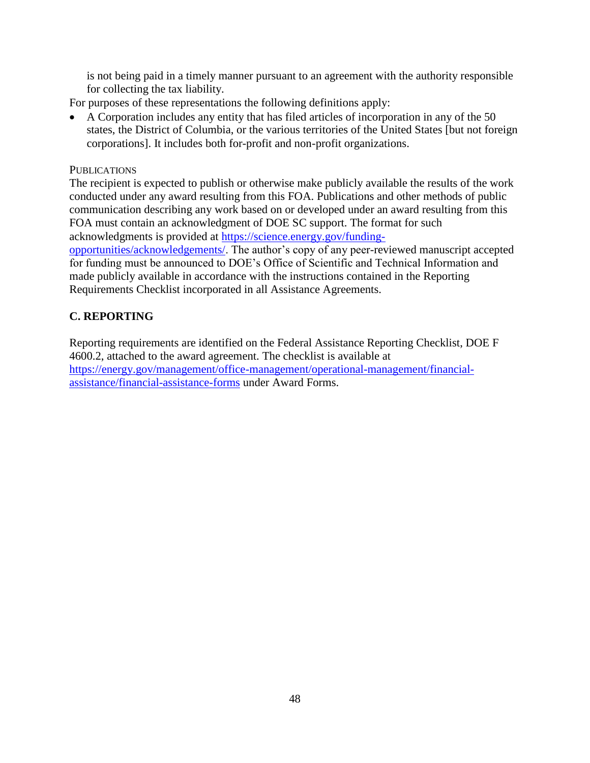is not being paid in a timely manner pursuant to an agreement with the authority responsible for collecting the tax liability.

For purposes of these representations the following definitions apply:

 A Corporation includes any entity that has filed articles of incorporation in any of the 50 states, the District of Columbia, or the various territories of the United States [but not foreign corporations]. It includes both for-profit and non-profit organizations.

# **PUBLICATIONS**

The recipient is expected to publish or otherwise make publicly available the results of the work conducted under any award resulting from this FOA. Publications and other methods of public communication describing any work based on or developed under an award resulting from this FOA must contain an acknowledgment of DOE SC support. The format for such acknowledgments is provided at [https://science.energy.gov/funding-](http://science.energy.gov/funding-opportunities/acknowledgements/)

[opportunities/acknowledgements/.](http://science.energy.gov/funding-opportunities/acknowledgements/) The author's copy of any peer-reviewed manuscript accepted for funding must be announced to DOE's Office of Scientific and Technical Information and made publicly available in accordance with the instructions contained in the Reporting Requirements Checklist incorporated in all Assistance Agreements.

# <span id="page-51-0"></span>**C. REPORTING**

Reporting requirements are identified on the Federal Assistance Reporting Checklist, DOE F 4600.2, attached to the award agreement. The checklist is available at [https://energy.gov/management/office-management/operational-management/financial](http://energy.gov/management/office-management/operational-management/financial-assistance/financial-assistance-forms)[assistance/financial-assistance-forms](http://energy.gov/management/office-management/operational-management/financial-assistance/financial-assistance-forms) under Award Forms.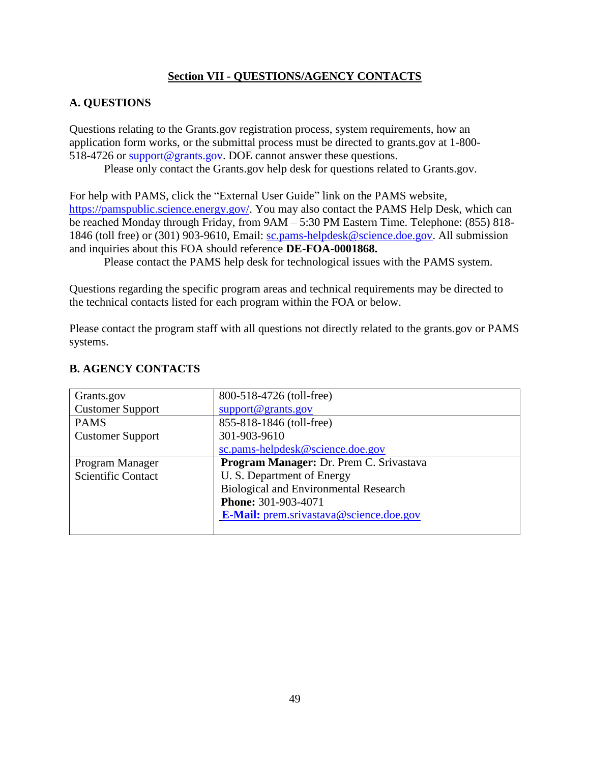# **Section VII - QUESTIONS/AGENCY CONTACTS**

# <span id="page-52-1"></span><span id="page-52-0"></span>**A. QUESTIONS**

Questions relating to the Grants.gov registration process, system requirements, how an application form works, or the submittal process must be directed to grants.gov at 1-800- 518-4726 or [support@grants.gov.](mailto:support@grants.gov) DOE cannot answer these questions.

Please only contact the Grants.gov help desk for questions related to Grants.gov.

For help with PAMS, click the "External User Guide" link on the PAMS website, [https://pamspublic.science.energy.gov/.](https://pamspublic.science.energy.gov/) You may also contact the PAMS Help Desk, which can be reached Monday through Friday, from 9AM – 5:30 PM Eastern Time. Telephone: (855) 818- 1846 (toll free) or (301) 903-9610, Email: [sc.pams-helpdesk@science.doe.gov.](mailto:sc.pams-helpdesk@science.doe.gov) All submission and inquiries about this FOA should reference **DE-FOA-0001868.**

Please contact the PAMS help desk for technological issues with the PAMS system.

Questions regarding the specific program areas and technical requirements may be directed to the technical contacts listed for each program within the FOA or below.

Please contact the program staff with all questions not directly related to the grants.gov or PAMS systems.

| Grants.gov                | 800-518-4726 (toll-free)                       |
|---------------------------|------------------------------------------------|
| <b>Customer Support</b>   | support@grants.gov                             |
| <b>PAMS</b>               | 855-818-1846 (toll-free)                       |
| <b>Customer Support</b>   | 301-903-9610                                   |
|                           | sc.pams-helpdesk@science.doe.gov               |
| Program Manager           | Program Manager: Dr. Prem C. Srivastava        |
| <b>Scientific Contact</b> | U. S. Department of Energy                     |
|                           | <b>Biological and Environmental Research</b>   |
|                           | Phone: 301-903-4071                            |
|                           | <b>E-Mail:</b> prem.srivastava@science.doe.gov |
|                           |                                                |

# <span id="page-52-2"></span>**B. AGENCY CONTACTS**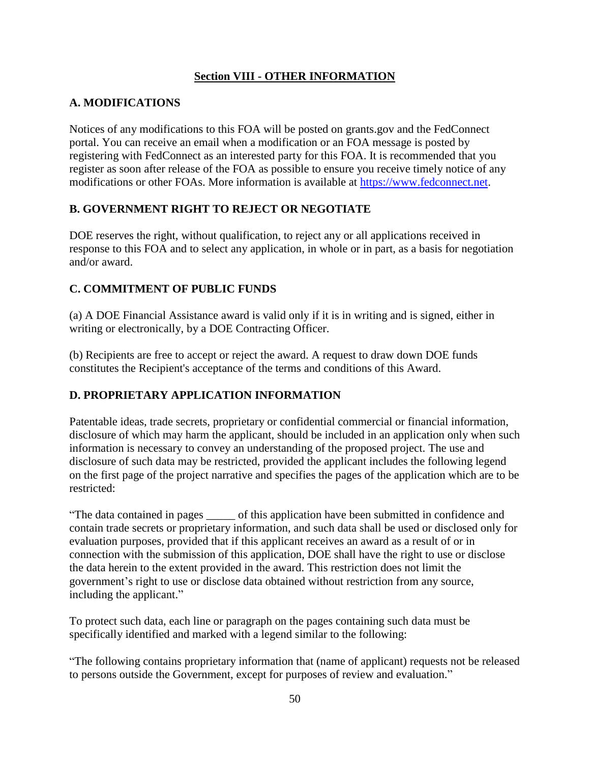# **Section VIII - OTHER INFORMATION**

# <span id="page-53-1"></span><span id="page-53-0"></span>**A. MODIFICATIONS**

Notices of any modifications to this FOA will be posted on grants.gov and the FedConnect portal. You can receive an email when a modification or an FOA message is posted by registering with FedConnect as an interested party for this FOA. It is recommended that you register as soon after release of the FOA as possible to ensure you receive timely notice of any modifications or other FOAs. More information is available at [https://www.fedconnect.net.](http://www.fedconnect.net/)

# <span id="page-53-2"></span>**B. GOVERNMENT RIGHT TO REJECT OR NEGOTIATE**

DOE reserves the right, without qualification, to reject any or all applications received in response to this FOA and to select any application, in whole or in part, as a basis for negotiation and/or award.

# <span id="page-53-3"></span>**C. COMMITMENT OF PUBLIC FUNDS**

(a) A DOE Financial Assistance award is valid only if it is in writing and is signed, either in writing or electronically, by a DOE Contracting Officer.

(b) Recipients are free to accept or reject the award. A request to draw down DOE funds constitutes the Recipient's acceptance of the terms and conditions of this Award.

# <span id="page-53-4"></span>**D. PROPRIETARY APPLICATION INFORMATION**

Patentable ideas, trade secrets, proprietary or confidential commercial or financial information, disclosure of which may harm the applicant, should be included in an application only when such information is necessary to convey an understanding of the proposed project. The use and disclosure of such data may be restricted, provided the applicant includes the following legend on the first page of the project narrative and specifies the pages of the application which are to be restricted:

"The data contained in pages \_\_\_\_\_ of this application have been submitted in confidence and contain trade secrets or proprietary information, and such data shall be used or disclosed only for evaluation purposes, provided that if this applicant receives an award as a result of or in connection with the submission of this application, DOE shall have the right to use or disclose the data herein to the extent provided in the award. This restriction does not limit the government's right to use or disclose data obtained without restriction from any source, including the applicant."

To protect such data, each line or paragraph on the pages containing such data must be specifically identified and marked with a legend similar to the following:

"The following contains proprietary information that (name of applicant) requests not be released to persons outside the Government, except for purposes of review and evaluation."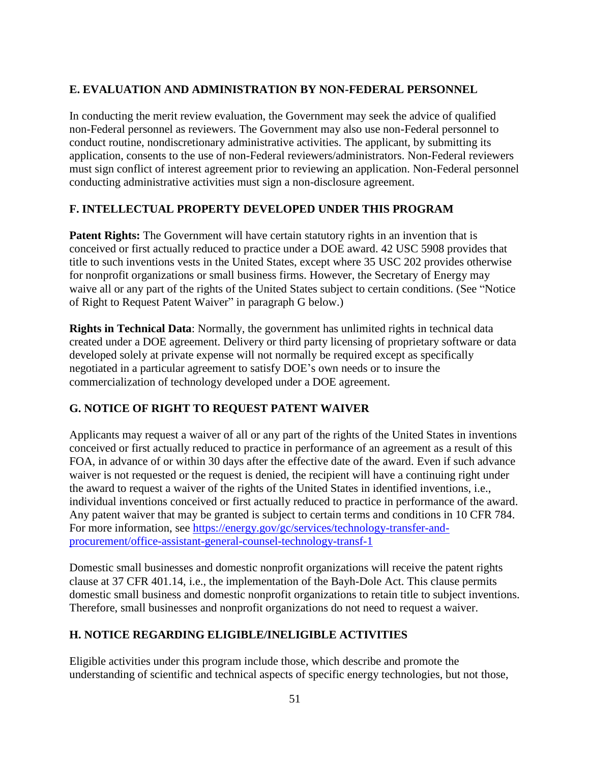# <span id="page-54-0"></span>**E. EVALUATION AND ADMINISTRATION BY NON-FEDERAL PERSONNEL**

In conducting the merit review evaluation, the Government may seek the advice of qualified non-Federal personnel as reviewers. The Government may also use non-Federal personnel to conduct routine, nondiscretionary administrative activities. The applicant, by submitting its application, consents to the use of non-Federal reviewers/administrators. Non-Federal reviewers must sign conflict of interest agreement prior to reviewing an application. Non-Federal personnel conducting administrative activities must sign a non-disclosure agreement.

# <span id="page-54-1"></span>**F. INTELLECTUAL PROPERTY DEVELOPED UNDER THIS PROGRAM**

**Patent Rights:** The Government will have certain statutory rights in an invention that is conceived or first actually reduced to practice under a DOE award. 42 USC 5908 provides that title to such inventions vests in the United States, except where 35 USC 202 provides otherwise for nonprofit organizations or small business firms. However, the Secretary of Energy may waive all or any part of the rights of the United States subject to certain conditions. (See "Notice of Right to Request Patent Waiver" in paragraph G below.)

**Rights in Technical Data**: Normally, the government has unlimited rights in technical data created under a DOE agreement. Delivery or third party licensing of proprietary software or data developed solely at private expense will not normally be required except as specifically negotiated in a particular agreement to satisfy DOE's own needs or to insure the commercialization of technology developed under a DOE agreement.

# <span id="page-54-2"></span>**G. NOTICE OF RIGHT TO REQUEST PATENT WAIVER**

Applicants may request a waiver of all or any part of the rights of the United States in inventions conceived or first actually reduced to practice in performance of an agreement as a result of this FOA, in advance of or within 30 days after the effective date of the award. Even if such advance waiver is not requested or the request is denied, the recipient will have a continuing right under the award to request a waiver of the rights of the United States in identified inventions, i.e., individual inventions conceived or first actually reduced to practice in performance of the award. Any patent waiver that may be granted is subject to certain terms and conditions in 10 CFR 784. For more information, see [https://energy.gov/gc/services/technology-transfer-and](http://energy.gov/gc/services/technology-transfer-and-procurement/office-assistant-general-counsel-technology-transf-1)[procurement/office-assistant-general-counsel-technology-transf-1](http://energy.gov/gc/services/technology-transfer-and-procurement/office-assistant-general-counsel-technology-transf-1)

Domestic small businesses and domestic nonprofit organizations will receive the patent rights clause at 37 CFR 401.14, i.e., the implementation of the Bayh-Dole Act. This clause permits domestic small business and domestic nonprofit organizations to retain title to subject inventions. Therefore, small businesses and nonprofit organizations do not need to request a waiver.

# <span id="page-54-3"></span>**H. NOTICE REGARDING ELIGIBLE/INELIGIBLE ACTIVITIES**

Eligible activities under this program include those, which describe and promote the understanding of scientific and technical aspects of specific energy technologies, but not those,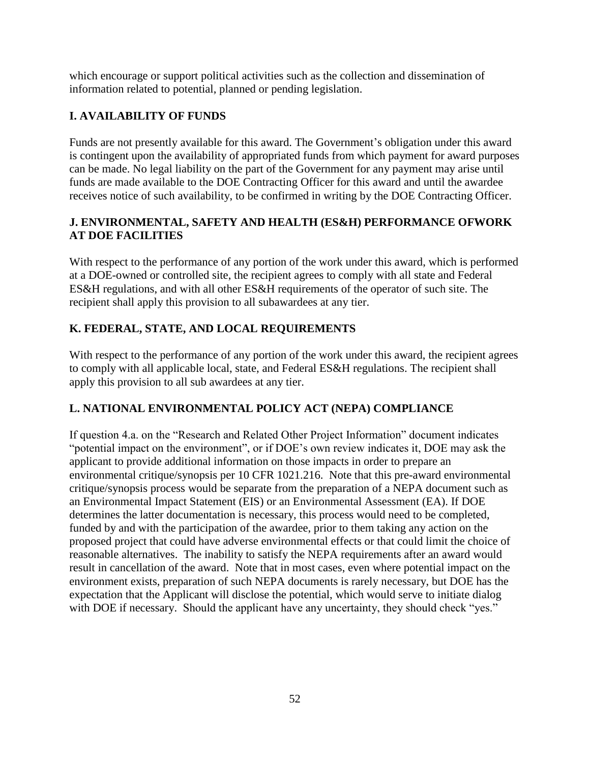which encourage or support political activities such as the collection and dissemination of information related to potential, planned or pending legislation.

# <span id="page-55-0"></span>**I. AVAILABILITY OF FUNDS**

Funds are not presently available for this award. The Government's obligation under this award is contingent upon the availability of appropriated funds from which payment for award purposes can be made. No legal liability on the part of the Government for any payment may arise until funds are made available to the DOE Contracting Officer for this award and until the awardee receives notice of such availability, to be confirmed in writing by the DOE Contracting Officer.

# <span id="page-55-1"></span>**J. ENVIRONMENTAL, SAFETY AND HEALTH (ES&H) PERFORMANCE OFWORK AT DOE FACILITIES**

With respect to the performance of any portion of the work under this award, which is performed at a DOE-owned or controlled site, the recipient agrees to comply with all state and Federal ES&H regulations, and with all other ES&H requirements of the operator of such site. The recipient shall apply this provision to all subawardees at any tier.

# <span id="page-55-2"></span>**K. FEDERAL, STATE, AND LOCAL REQUIREMENTS**

With respect to the performance of any portion of the work under this award, the recipient agrees to comply with all applicable local, state, and Federal ES&H regulations. The recipient shall apply this provision to all sub awardees at any tier.

# <span id="page-55-3"></span>**L. NATIONAL ENVIRONMENTAL POLICY ACT (NEPA) COMPLIANCE**

If question 4.a. on the "Research and Related Other Project Information" document indicates "potential impact on the environment", or if DOE's own review indicates it, DOE may ask the applicant to provide additional information on those impacts in order to prepare an environmental critique/synopsis per 10 CFR 1021.216. Note that this pre-award environmental critique/synopsis process would be separate from the preparation of a NEPA document such as an Environmental Impact Statement (EIS) or an Environmental Assessment (EA). If DOE determines the latter documentation is necessary, this process would need to be completed, funded by and with the participation of the awardee, prior to them taking any action on the proposed project that could have adverse environmental effects or that could limit the choice of reasonable alternatives. The inability to satisfy the NEPA requirements after an award would result in cancellation of the award. Note that in most cases, even where potential impact on the environment exists, preparation of such NEPA documents is rarely necessary, but DOE has the expectation that the Applicant will disclose the potential, which would serve to initiate dialog with DOE if necessary. Should the applicant have any uncertainty, they should check "yes."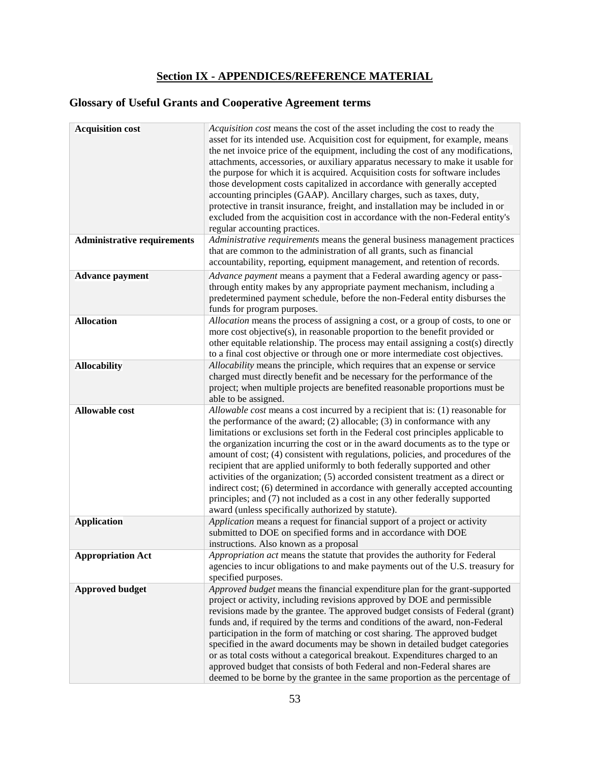# **Section IX - APPENDICES/REFERENCE MATERIAL**

# <span id="page-56-0"></span>**Glossary of Useful Grants and Cooperative Agreement terms**

| <b>Acquisition cost</b>            | Acquisition cost means the cost of the asset including the cost to ready the<br>asset for its intended use. Acquisition cost for equipment, for example, means<br>the net invoice price of the equipment, including the cost of any modifications,<br>attachments, accessories, or auxiliary apparatus necessary to make it usable for<br>the purpose for which it is acquired. Acquisition costs for software includes<br>those development costs capitalized in accordance with generally accepted<br>accounting principles (GAAP). Ancillary charges, such as taxes, duty,<br>protective in transit insurance, freight, and installation may be included in or<br>excluded from the acquisition cost in accordance with the non-Federal entity's<br>regular accounting practices.                                |
|------------------------------------|---------------------------------------------------------------------------------------------------------------------------------------------------------------------------------------------------------------------------------------------------------------------------------------------------------------------------------------------------------------------------------------------------------------------------------------------------------------------------------------------------------------------------------------------------------------------------------------------------------------------------------------------------------------------------------------------------------------------------------------------------------------------------------------------------------------------|
| <b>Administrative requirements</b> | Administrative requirements means the general business management practices<br>that are common to the administration of all grants, such as financial<br>accountability, reporting, equipment management, and retention of records.                                                                                                                                                                                                                                                                                                                                                                                                                                                                                                                                                                                 |
| <b>Advance payment</b>             | Advance payment means a payment that a Federal awarding agency or pass-<br>through entity makes by any appropriate payment mechanism, including a<br>predetermined payment schedule, before the non-Federal entity disburses the<br>funds for program purposes.                                                                                                                                                                                                                                                                                                                                                                                                                                                                                                                                                     |
| <b>Allocation</b>                  | Allocation means the process of assigning a cost, or a group of costs, to one or<br>more cost objective(s), in reasonable proportion to the benefit provided or<br>other equitable relationship. The process may entail assigning a cost(s) directly<br>to a final cost objective or through one or more intermediate cost objectives.                                                                                                                                                                                                                                                                                                                                                                                                                                                                              |
| <b>Allocability</b>                | Allocability means the principle, which requires that an expense or service<br>charged must directly benefit and be necessary for the performance of the<br>project; when multiple projects are benefited reasonable proportions must be<br>able to be assigned.                                                                                                                                                                                                                                                                                                                                                                                                                                                                                                                                                    |
| <b>Allowable cost</b>              | Allowable cost means a cost incurred by a recipient that is: (1) reasonable for<br>the performance of the award; $(2)$ allocable; $(3)$ in conformance with any<br>limitations or exclusions set forth in the Federal cost principles applicable to<br>the organization incurring the cost or in the award documents as to the type or<br>amount of cost; (4) consistent with regulations, policies, and procedures of the<br>recipient that are applied uniformly to both federally supported and other<br>activities of the organization; (5) accorded consistent treatment as a direct or<br>indirect cost; (6) determined in accordance with generally accepted accounting<br>principles; and (7) not included as a cost in any other federally supported<br>award (unless specifically authorized by statute). |
| <b>Application</b>                 | Application means a request for financial support of a project or activity<br>submitted to DOE on specified forms and in accordance with DOE<br>instructions. Also known as a proposal                                                                                                                                                                                                                                                                                                                                                                                                                                                                                                                                                                                                                              |
| <b>Appropriation Act</b>           | Appropriation act means the statute that provides the authority for Federal<br>agencies to incur obligations to and make payments out of the U.S. treasury for<br>specified purposes.                                                                                                                                                                                                                                                                                                                                                                                                                                                                                                                                                                                                                               |
| <b>Approved budget</b>             | Approved budget means the financial expenditure plan for the grant-supported<br>project or activity, including revisions approved by DOE and permissible<br>revisions made by the grantee. The approved budget consists of Federal (grant)<br>funds and, if required by the terms and conditions of the award, non-Federal<br>participation in the form of matching or cost sharing. The approved budget<br>specified in the award documents may be shown in detailed budget categories<br>or as total costs without a categorical breakout. Expenditures charged to an<br>approved budget that consists of both Federal and non-Federal shares are<br>deemed to be borne by the grantee in the same proportion as the percentage of                                                                                |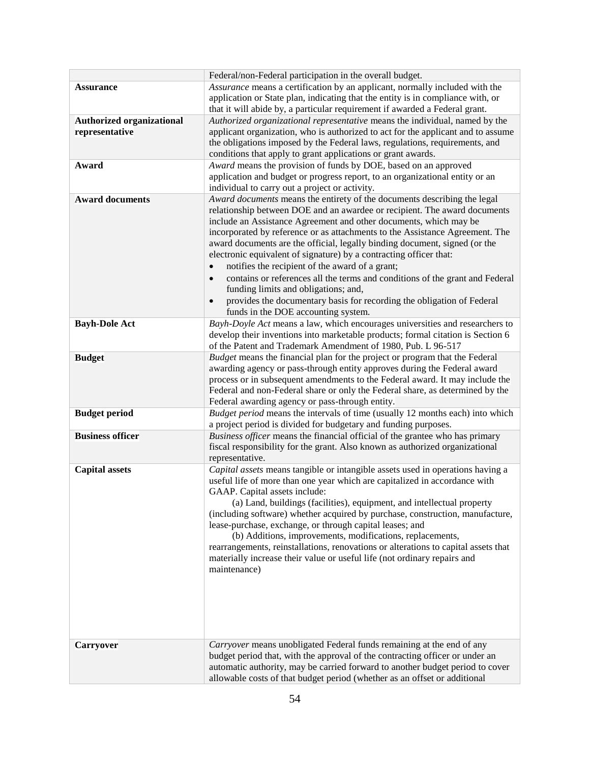|                                  | Federal/non-Federal participation in the overall budget.                                                                                                       |
|----------------------------------|----------------------------------------------------------------------------------------------------------------------------------------------------------------|
| <b>Assurance</b>                 | Assurance means a certification by an applicant, normally included with the<br>application or State plan, indicating that the entity is in compliance with, or |
|                                  | that it will abide by, a particular requirement if awarded a Federal grant.                                                                                    |
| <b>Authorized organizational</b> | Authorized organizational representative means the individual, named by the                                                                                    |
| representative                   | applicant organization, who is authorized to act for the applicant and to assume                                                                               |
|                                  | the obligations imposed by the Federal laws, regulations, requirements, and                                                                                    |
|                                  | conditions that apply to grant applications or grant awards.                                                                                                   |
| Award                            | Award means the provision of funds by DOE, based on an approved                                                                                                |
|                                  | application and budget or progress report, to an organizational entity or an                                                                                   |
|                                  | individual to carry out a project or activity.                                                                                                                 |
| <b>Award documents</b>           | Award documents means the entirety of the documents describing the legal                                                                                       |
|                                  | relationship between DOE and an awardee or recipient. The award documents                                                                                      |
|                                  | include an Assistance Agreement and other documents, which may be                                                                                              |
|                                  | incorporated by reference or as attachments to the Assistance Agreement. The                                                                                   |
|                                  | award documents are the official, legally binding document, signed (or the                                                                                     |
|                                  | electronic equivalent of signature) by a contracting officer that:                                                                                             |
|                                  | notifies the recipient of the award of a grant;<br>$\bullet$                                                                                                   |
|                                  | contains or references all the terms and conditions of the grant and Federal<br>$\bullet$                                                                      |
|                                  | funding limits and obligations; and,                                                                                                                           |
|                                  | provides the documentary basis for recording the obligation of Federal                                                                                         |
|                                  | funds in the DOE accounting system.                                                                                                                            |
| <b>Bayh-Dole Act</b>             | Bayh-Doyle Act means a law, which encourages universities and researchers to                                                                                   |
|                                  | develop their inventions into marketable products; formal citation is Section 6<br>of the Patent and Trademark Amendment of 1980, Pub. L 96-517                |
|                                  | Budget means the financial plan for the project or program that the Federal                                                                                    |
| <b>Budget</b>                    | awarding agency or pass-through entity approves during the Federal award                                                                                       |
|                                  | process or in subsequent amendments to the Federal award. It may include the                                                                                   |
|                                  | Federal and non-Federal share or only the Federal share, as determined by the                                                                                  |
|                                  | Federal awarding agency or pass-through entity.                                                                                                                |
| <b>Budget period</b>             | Budget period means the intervals of time (usually 12 months each) into which                                                                                  |
|                                  | a project period is divided for budgetary and funding purposes.                                                                                                |
| <b>Business officer</b>          | Business officer means the financial official of the grantee who has primary                                                                                   |
|                                  | fiscal responsibility for the grant. Also known as authorized organizational                                                                                   |
|                                  | representative.                                                                                                                                                |
| <b>Capital assets</b>            | Capital assets means tangible or intangible assets used in operations having a                                                                                 |
|                                  | useful life of more than one year which are capitalized in accordance with                                                                                     |
|                                  | GAAP. Capital assets include:                                                                                                                                  |
|                                  | (a) Land, buildings (facilities), equipment, and intellectual property                                                                                         |
|                                  | (including software) whether acquired by purchase, construction, manufacture,                                                                                  |
|                                  | lease-purchase, exchange, or through capital leases; and                                                                                                       |
|                                  | (b) Additions, improvements, modifications, replacements,                                                                                                      |
|                                  | rearrangements, reinstallations, renovations or alterations to capital assets that                                                                             |
|                                  | materially increase their value or useful life (not ordinary repairs and                                                                                       |
|                                  | maintenance)                                                                                                                                                   |
|                                  |                                                                                                                                                                |
|                                  |                                                                                                                                                                |
|                                  |                                                                                                                                                                |
|                                  |                                                                                                                                                                |
|                                  |                                                                                                                                                                |
| <b>Carryover</b>                 | Carryover means unobligated Federal funds remaining at the end of any                                                                                          |
|                                  | budget period that, with the approval of the contracting officer or under an                                                                                   |
|                                  | automatic authority, may be carried forward to another budget period to cover                                                                                  |
|                                  | allowable costs of that budget period (whether as an offset or additional                                                                                      |
|                                  |                                                                                                                                                                |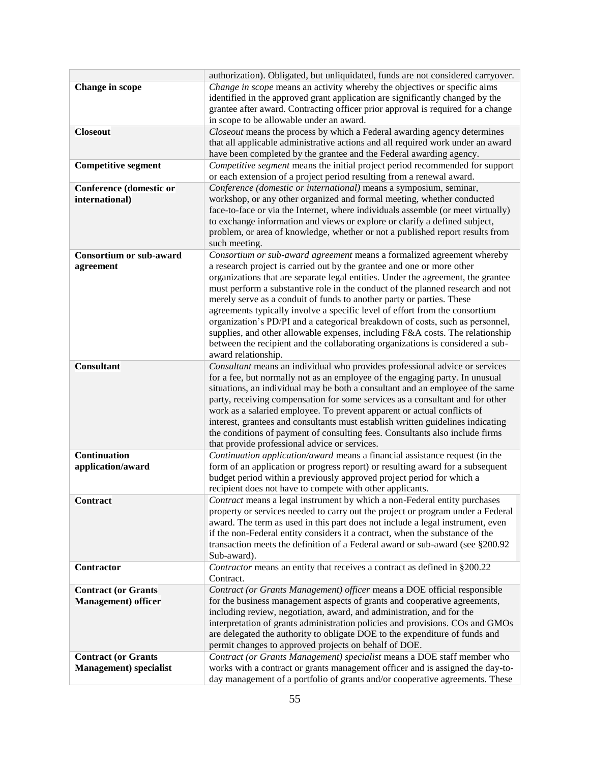|                                                              | authorization). Obligated, but unliquidated, funds are not considered carryover.                                                                                                                                                                                                                                                                                                                                                                                                                                                                                                                                                                                                                                                                          |
|--------------------------------------------------------------|-----------------------------------------------------------------------------------------------------------------------------------------------------------------------------------------------------------------------------------------------------------------------------------------------------------------------------------------------------------------------------------------------------------------------------------------------------------------------------------------------------------------------------------------------------------------------------------------------------------------------------------------------------------------------------------------------------------------------------------------------------------|
| <b>Change</b> in scope                                       | Change in scope means an activity whereby the objectives or specific aims<br>identified in the approved grant application are significantly changed by the<br>grantee after award. Contracting officer prior approval is required for a change<br>in scope to be allowable under an award.                                                                                                                                                                                                                                                                                                                                                                                                                                                                |
| <b>Closeout</b>                                              | Closeout means the process by which a Federal awarding agency determines<br>that all applicable administrative actions and all required work under an award<br>have been completed by the grantee and the Federal awarding agency.                                                                                                                                                                                                                                                                                                                                                                                                                                                                                                                        |
| <b>Competitive segment</b>                                   | Competitive segment means the initial project period recommended for support<br>or each extension of a project period resulting from a renewal award.                                                                                                                                                                                                                                                                                                                                                                                                                                                                                                                                                                                                     |
| <b>Conference (domestic or</b><br>international)             | Conference (domestic or international) means a symposium, seminar,<br>workshop, or any other organized and formal meeting, whether conducted<br>face-to-face or via the Internet, where individuals assemble (or meet virtually)<br>to exchange information and views or explore or clarify a defined subject,<br>problem, or area of knowledge, whether or not a published report results from<br>such meeting.                                                                                                                                                                                                                                                                                                                                          |
| <b>Consortium or sub-award</b><br>agreement                  | Consortium or sub-award agreement means a formalized agreement whereby<br>a research project is carried out by the grantee and one or more other<br>organizations that are separate legal entities. Under the agreement, the grantee<br>must perform a substantive role in the conduct of the planned research and not<br>merely serve as a conduit of funds to another party or parties. These<br>agreements typically involve a specific level of effort from the consortium<br>organization's PD/PI and a categorical breakdown of costs, such as personnel,<br>supplies, and other allowable expenses, including F&A costs. The relationship<br>between the recipient and the collaborating organizations is considered a sub-<br>award relationship. |
| <b>Consultant</b>                                            | Consultant means an individual who provides professional advice or services<br>for a fee, but normally not as an employee of the engaging party. In unusual<br>situations, an individual may be both a consultant and an employee of the same<br>party, receiving compensation for some services as a consultant and for other<br>work as a salaried employee. To prevent apparent or actual conflicts of<br>interest, grantees and consultants must establish written guidelines indicating<br>the conditions of payment of consulting fees. Consultants also include firms<br>that provide professional advice or services.                                                                                                                             |
| Continuation<br>application/award                            | Continuation application/award means a financial assistance request (in the<br>form of an application or progress report) or resulting award for a subsequent<br>budget period within a previously approved project period for which a<br>recipient does not have to compete with other applicants.                                                                                                                                                                                                                                                                                                                                                                                                                                                       |
| <b>Contract</b>                                              | <i>Contract</i> means a legal instrument by which a non-Federal entity purchases<br>property or services needed to carry out the project or program under a Federal<br>award. The term as used in this part does not include a legal instrument, even<br>if the non-Federal entity considers it a contract, when the substance of the<br>transaction meets the definition of a Federal award or sub-award (see §200.92<br>Sub-award).                                                                                                                                                                                                                                                                                                                     |
| Contractor                                                   | Contractor means an entity that receives a contract as defined in §200.22<br>Contract.                                                                                                                                                                                                                                                                                                                                                                                                                                                                                                                                                                                                                                                                    |
| <b>Contract (or Grants</b><br><b>Management</b> ) officer    | Contract (or Grants Management) officer means a DOE official responsible<br>for the business management aspects of grants and cooperative agreements,<br>including review, negotiation, award, and administration, and for the<br>interpretation of grants administration policies and provisions. COs and GMOs<br>are delegated the authority to obligate DOE to the expenditure of funds and<br>permit changes to approved projects on behalf of DOE.                                                                                                                                                                                                                                                                                                   |
| <b>Contract (or Grants</b><br><b>Management</b> ) specialist | Contract (or Grants Management) specialist means a DOE staff member who<br>works with a contract or grants management officer and is assigned the day-to-<br>day management of a portfolio of grants and/or cooperative agreements. These                                                                                                                                                                                                                                                                                                                                                                                                                                                                                                                 |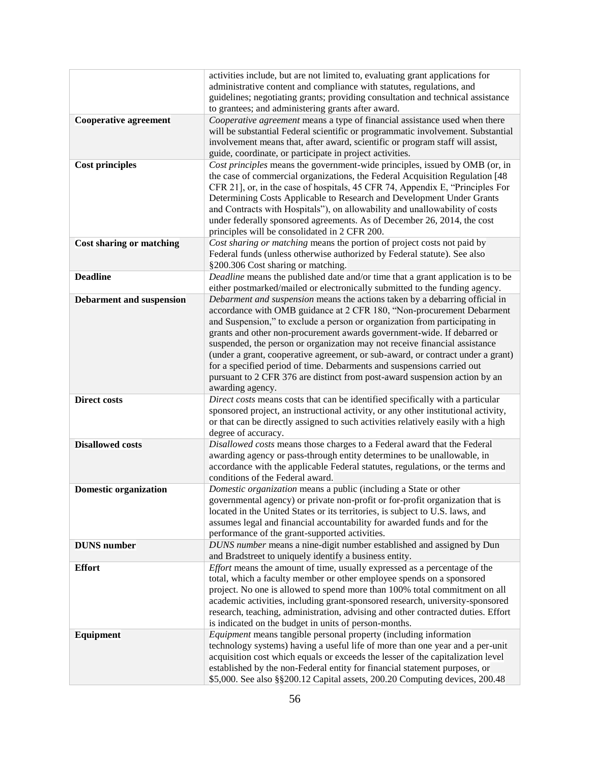|                                 | activities include, but are not limited to, evaluating grant applications for                                                                                  |
|---------------------------------|----------------------------------------------------------------------------------------------------------------------------------------------------------------|
|                                 | administrative content and compliance with statutes, regulations, and                                                                                          |
|                                 | guidelines; negotiating grants; providing consultation and technical assistance                                                                                |
|                                 | to grantees; and administering grants after award.                                                                                                             |
| <b>Cooperative agreement</b>    | Cooperative agreement means a type of financial assistance used when there                                                                                     |
|                                 | will be substantial Federal scientific or programmatic involvement. Substantial                                                                                |
|                                 | involvement means that, after award, scientific or program staff will assist,                                                                                  |
|                                 | guide, coordinate, or participate in project activities.                                                                                                       |
| <b>Cost principles</b>          | Cost principles means the government-wide principles, issued by OMB (or, in                                                                                    |
|                                 | the case of commercial organizations, the Federal Acquisition Regulation [48]                                                                                  |
|                                 | CFR 21], or, in the case of hospitals, 45 CFR 74, Appendix E, "Principles For                                                                                  |
|                                 | Determining Costs Applicable to Research and Development Under Grants                                                                                          |
|                                 | and Contracts with Hospitals"), on allowability and unallowability of costs                                                                                    |
|                                 | under federally sponsored agreements. As of December 26, 2014, the cost                                                                                        |
|                                 | principles will be consolidated in 2 CFR 200.<br>Cost sharing or matching means the portion of project costs not paid by                                       |
| <b>Cost sharing or matching</b> | Federal funds (unless otherwise authorized by Federal statute). See also                                                                                       |
|                                 | §200.306 Cost sharing or matching.                                                                                                                             |
| <b>Deadline</b>                 | Deadline means the published date and/or time that a grant application is to be                                                                                |
|                                 | either postmarked/mailed or electronically submitted to the funding agency.                                                                                    |
| <b>Debarment and suspension</b> | Debarment and suspension means the actions taken by a debarring official in                                                                                    |
|                                 | accordance with OMB guidance at 2 CFR 180, "Non-procurement Debarment                                                                                          |
|                                 | and Suspension," to exclude a person or organization from participating in                                                                                     |
|                                 | grants and other non-procurement awards government-wide. If debarred or                                                                                        |
|                                 | suspended, the person or organization may not receive financial assistance                                                                                     |
|                                 | (under a grant, cooperative agreement, or sub-award, or contract under a grant)                                                                                |
|                                 | for a specified period of time. Debarments and suspensions carried out                                                                                         |
|                                 | pursuant to 2 CFR 376 are distinct from post-award suspension action by an                                                                                     |
|                                 | awarding agency.                                                                                                                                               |
| <b>Direct costs</b>             | Direct costs means costs that can be identified specifically with a particular                                                                                 |
|                                 | sponsored project, an instructional activity, or any other institutional activity,                                                                             |
|                                 | or that can be directly assigned to such activities relatively easily with a high                                                                              |
|                                 | degree of accuracy.                                                                                                                                            |
| <b>Disallowed costs</b>         | Disallowed costs means those charges to a Federal award that the Federal                                                                                       |
|                                 | awarding agency or pass-through entity determines to be unallowable, in                                                                                        |
|                                 | accordance with the applicable Federal statutes, regulations, or the terms and                                                                                 |
|                                 | conditions of the Federal award.                                                                                                                               |
| <b>Domestic organization</b>    | Domestic organization means a public (including a State or other                                                                                               |
|                                 | governmental agency) or private non-profit or for-profit organization that is<br>located in the United States or its territories, is subject to U.S. laws, and |
|                                 | assumes legal and financial accountability for awarded funds and for the                                                                                       |
|                                 | performance of the grant-supported activities.                                                                                                                 |
| <b>DUNS</b> number              | DUNS number means a nine-digit number established and assigned by Dun                                                                                          |
|                                 | and Bradstreet to uniquely identify a business entity.                                                                                                         |
| <b>Effort</b>                   | <i>Effort</i> means the amount of time, usually expressed as a percentage of the                                                                               |
|                                 | total, which a faculty member or other employee spends on a sponsored                                                                                          |
|                                 | project. No one is allowed to spend more than 100% total commitment on all                                                                                     |
|                                 | academic activities, including grant-sponsored research, university-sponsored                                                                                  |
|                                 | research, teaching, administration, advising and other contracted duties. Effort                                                                               |
|                                 | is indicated on the budget in units of person-months.                                                                                                          |
| Equipment                       | Equipment means tangible personal property (including information                                                                                              |
|                                 | technology systems) having a useful life of more than one year and a per-unit                                                                                  |
|                                 | acquisition cost which equals or exceeds the lesser of the capitalization level                                                                                |
|                                 | established by the non-Federal entity for financial statement purposes, or                                                                                     |
|                                 | \$5,000. See also §§200.12 Capital assets, 200.20 Computing devices, 200.48                                                                                    |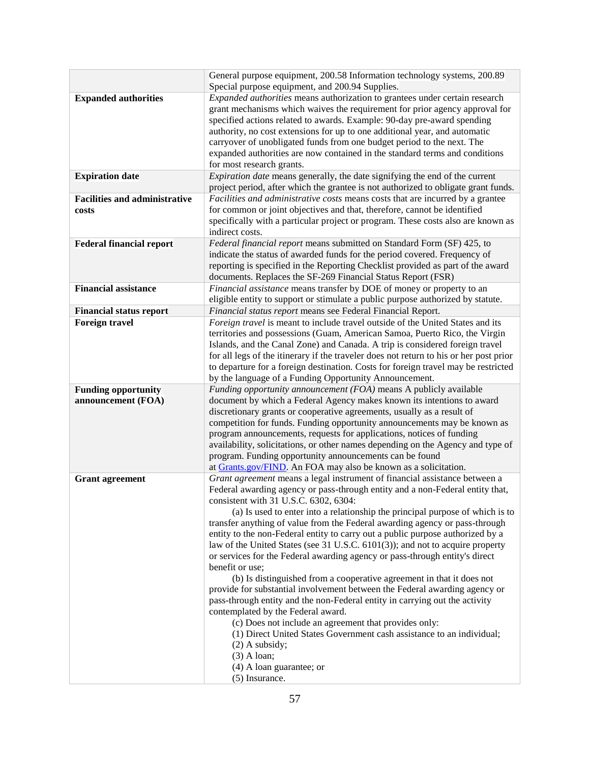|                                                  | General purpose equipment, 200.58 Information technology systems, 200.89<br>Special purpose equipment, and 200.94 Supplies.                                                                                                                                                                                                                                                                                                                                                                                                                                                                                                                                                                                                                                                                                                                                                                                                                                                                                                                                                                                                                  |
|--------------------------------------------------|----------------------------------------------------------------------------------------------------------------------------------------------------------------------------------------------------------------------------------------------------------------------------------------------------------------------------------------------------------------------------------------------------------------------------------------------------------------------------------------------------------------------------------------------------------------------------------------------------------------------------------------------------------------------------------------------------------------------------------------------------------------------------------------------------------------------------------------------------------------------------------------------------------------------------------------------------------------------------------------------------------------------------------------------------------------------------------------------------------------------------------------------|
| <b>Expanded authorities</b>                      | Expanded authorities means authorization to grantees under certain research<br>grant mechanisms which waives the requirement for prior agency approval for<br>specified actions related to awards. Example: 90-day pre-award spending<br>authority, no cost extensions for up to one additional year, and automatic<br>carryover of unobligated funds from one budget period to the next. The<br>expanded authorities are now contained in the standard terms and conditions<br>for most research grants.                                                                                                                                                                                                                                                                                                                                                                                                                                                                                                                                                                                                                                    |
| <b>Expiration date</b>                           | <i>Expiration date</i> means generally, the date signifying the end of the current<br>project period, after which the grantee is not authorized to obligate grant funds.                                                                                                                                                                                                                                                                                                                                                                                                                                                                                                                                                                                                                                                                                                                                                                                                                                                                                                                                                                     |
| <b>Facilities and administrative</b><br>costs    | Facilities and administrative costs means costs that are incurred by a grantee<br>for common or joint objectives and that, therefore, cannot be identified<br>specifically with a particular project or program. These costs also are known as<br>indirect costs.                                                                                                                                                                                                                                                                                                                                                                                                                                                                                                                                                                                                                                                                                                                                                                                                                                                                            |
| <b>Federal financial report</b>                  | Federal financial report means submitted on Standard Form (SF) 425, to<br>indicate the status of awarded funds for the period covered. Frequency of<br>reporting is specified in the Reporting Checklist provided as part of the award<br>documents. Replaces the SF-269 Financial Status Report (FSR)                                                                                                                                                                                                                                                                                                                                                                                                                                                                                                                                                                                                                                                                                                                                                                                                                                       |
| <b>Financial assistance</b>                      | Financial assistance means transfer by DOE of money or property to an<br>eligible entity to support or stimulate a public purpose authorized by statute.                                                                                                                                                                                                                                                                                                                                                                                                                                                                                                                                                                                                                                                                                                                                                                                                                                                                                                                                                                                     |
| <b>Financial status report</b>                   | Financial status report means see Federal Financial Report.                                                                                                                                                                                                                                                                                                                                                                                                                                                                                                                                                                                                                                                                                                                                                                                                                                                                                                                                                                                                                                                                                  |
| <b>Foreign travel</b>                            | Foreign travel is meant to include travel outside of the United States and its<br>territories and possessions (Guam, American Samoa, Puerto Rico, the Virgin<br>Islands, and the Canal Zone) and Canada. A trip is considered foreign travel<br>for all legs of the itinerary if the traveler does not return to his or her post prior<br>to departure for a foreign destination. Costs for foreign travel may be restricted<br>by the language of a Funding Opportunity Announcement.                                                                                                                                                                                                                                                                                                                                                                                                                                                                                                                                                                                                                                                       |
| <b>Funding opportunity</b><br>announcement (FOA) | Funding opportunity announcement (FOA) means A publicly available<br>document by which a Federal Agency makes known its intentions to award<br>discretionary grants or cooperative agreements, usually as a result of<br>competition for funds. Funding opportunity announcements may be known as<br>program announcements, requests for applications, notices of funding<br>availability, solicitations, or other names depending on the Agency and type of<br>program. Funding opportunity announcements can be found<br>at Grants.gov/FIND. An FOA may also be known as a solicitation.                                                                                                                                                                                                                                                                                                                                                                                                                                                                                                                                                   |
| <b>Grant agreement</b>                           | Grant agreement means a legal instrument of financial assistance between a<br>Federal awarding agency or pass-through entity and a non-Federal entity that,<br>consistent with 31 U.S.C. 6302, 6304:<br>(a) Is used to enter into a relationship the principal purpose of which is to<br>transfer anything of value from the Federal awarding agency or pass-through<br>entity to the non-Federal entity to carry out a public purpose authorized by a<br>law of the United States (see 31 U.S.C. 6101(3)); and not to acquire property<br>or services for the Federal awarding agency or pass-through entity's direct<br>benefit or use;<br>(b) Is distinguished from a cooperative agreement in that it does not<br>provide for substantial involvement between the Federal awarding agency or<br>pass-through entity and the non-Federal entity in carrying out the activity<br>contemplated by the Federal award.<br>(c) Does not include an agreement that provides only:<br>(1) Direct United States Government cash assistance to an individual;<br>$(2)$ A subsidy;<br>$(3)$ A loan;<br>$(4)$ A loan guarantee; or<br>(5) Insurance. |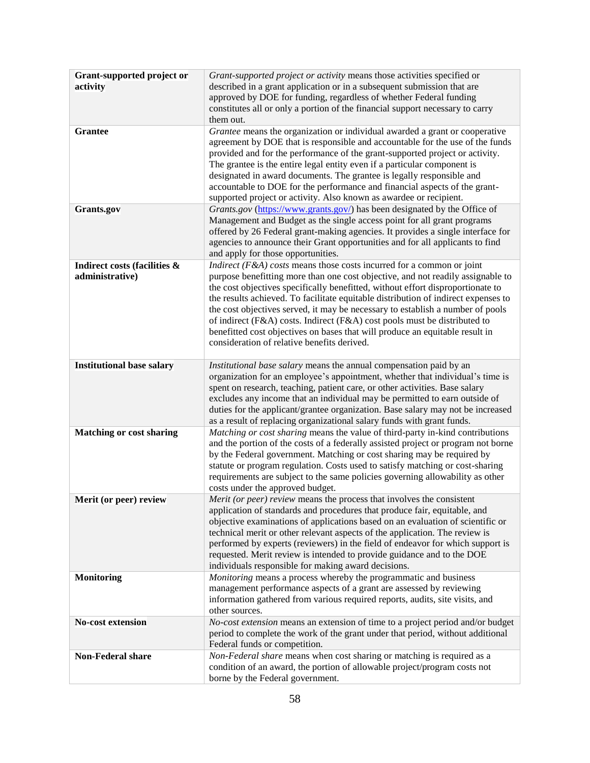| Grant-supported project or<br>activity          | Grant-supported project or activity means those activities specified or<br>described in a grant application or in a subsequent submission that are<br>approved by DOE for funding, regardless of whether Federal funding<br>constitutes all or only a portion of the financial support necessary to carry<br>them out.                                                                                                                                                                                                                                                                                                              |
|-------------------------------------------------|-------------------------------------------------------------------------------------------------------------------------------------------------------------------------------------------------------------------------------------------------------------------------------------------------------------------------------------------------------------------------------------------------------------------------------------------------------------------------------------------------------------------------------------------------------------------------------------------------------------------------------------|
| <b>Grantee</b>                                  | Grantee means the organization or individual awarded a grant or cooperative<br>agreement by DOE that is responsible and accountable for the use of the funds<br>provided and for the performance of the grant-supported project or activity.<br>The grantee is the entire legal entity even if a particular component is<br>designated in award documents. The grantee is legally responsible and<br>accountable to DOE for the performance and financial aspects of the grant-<br>supported project or activity. Also known as awardee or recipient.                                                                               |
| Grants.gov                                      | Grants.gov (https://www.grants.gov/) has been designated by the Office of<br>Management and Budget as the single access point for all grant programs<br>offered by 26 Federal grant-making agencies. It provides a single interface for<br>agencies to announce their Grant opportunities and for all applicants to find<br>and apply for those opportunities.                                                                                                                                                                                                                                                                      |
| Indirect costs (facilities &<br>administrative) | Indirect ( $F$ &A) costs means those costs incurred for a common or joint<br>purpose benefitting more than one cost objective, and not readily assignable to<br>the cost objectives specifically benefitted, without effort disproportionate to<br>the results achieved. To facilitate equitable distribution of indirect expenses to<br>the cost objectives served, it may be necessary to establish a number of pools<br>of indirect (F&A) costs. Indirect (F&A) cost pools must be distributed to<br>benefitted cost objectives on bases that will produce an equitable result in<br>consideration of relative benefits derived. |
| <b>Institutional base salary</b>                | Institutional base salary means the annual compensation paid by an<br>organization for an employee's appointment, whether that individual's time is<br>spent on research, teaching, patient care, or other activities. Base salary<br>excludes any income that an individual may be permitted to earn outside of<br>duties for the applicant/grantee organization. Base salary may not be increased<br>as a result of replacing organizational salary funds with grant funds.                                                                                                                                                       |
| <b>Matching or cost sharing</b>                 | Matching or cost sharing means the value of third-party in-kind contributions<br>and the portion of the costs of a federally assisted project or program not borne<br>by the Federal government. Matching or cost sharing may be required by<br>statute or program regulation. Costs used to satisfy matching or cost-sharing<br>requirements are subject to the same policies governing allowability as other<br>costs under the approved budget.                                                                                                                                                                                  |
| Merit (or peer) review                          | Merit (or peer) review means the process that involves the consistent<br>application of standards and procedures that produce fair, equitable, and<br>objective examinations of applications based on an evaluation of scientific or<br>technical merit or other relevant aspects of the application. The review is<br>performed by experts (reviewers) in the field of endeavor for which support is<br>requested. Merit review is intended to provide guidance and to the DOE<br>individuals responsible for making award decisions.                                                                                              |
| <b>Monitoring</b>                               | Monitoring means a process whereby the programmatic and business<br>management performance aspects of a grant are assessed by reviewing<br>information gathered from various required reports, audits, site visits, and<br>other sources.                                                                                                                                                                                                                                                                                                                                                                                           |
| <b>No-cost extension</b>                        | No-cost extension means an extension of time to a project period and/or budget<br>period to complete the work of the grant under that period, without additional<br>Federal funds or competition.                                                                                                                                                                                                                                                                                                                                                                                                                                   |
| <b>Non-Federal share</b>                        | Non-Federal share means when cost sharing or matching is required as a<br>condition of an award, the portion of allowable project/program costs not<br>borne by the Federal government.                                                                                                                                                                                                                                                                                                                                                                                                                                             |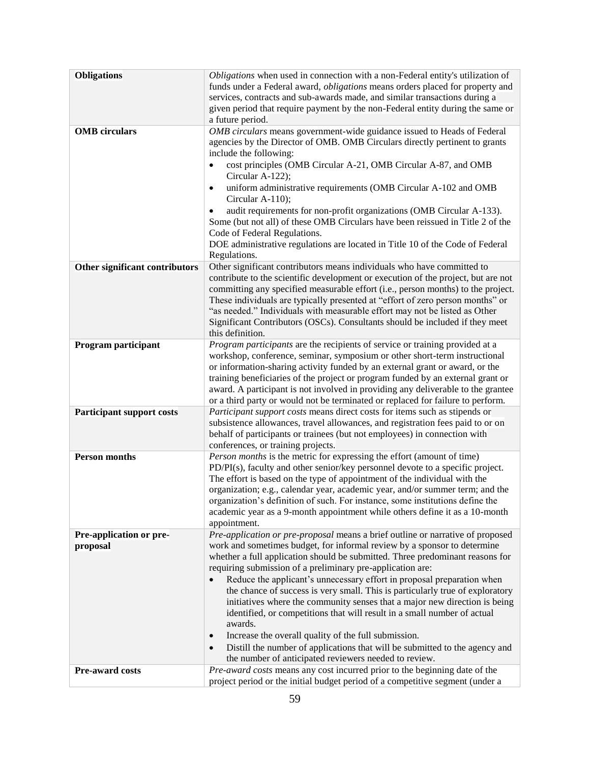| <b>Obligations</b>               | Obligations when used in connection with a non-Federal entity's utilization of                                                                                 |
|----------------------------------|----------------------------------------------------------------------------------------------------------------------------------------------------------------|
|                                  | funds under a Federal award, <i>obligations</i> means orders placed for property and                                                                           |
|                                  | services, contracts and sub-awards made, and similar transactions during a                                                                                     |
|                                  | given period that require payment by the non-Federal entity during the same or                                                                                 |
|                                  | a future period.                                                                                                                                               |
| <b>OMB</b> circulars             | OMB circulars means government-wide guidance issued to Heads of Federal                                                                                        |
|                                  | agencies by the Director of OMB. OMB Circulars directly pertinent to grants                                                                                    |
|                                  | include the following:                                                                                                                                         |
|                                  | cost principles (OMB Circular A-21, OMB Circular A-87, and OMB                                                                                                 |
|                                  | Circular A-122);                                                                                                                                               |
|                                  | uniform administrative requirements (OMB Circular A-102 and OMB<br>$\bullet$<br>Circular A-110);                                                               |
|                                  | audit requirements for non-profit organizations (OMB Circular A-133).                                                                                          |
|                                  | Some (but not all) of these OMB Circulars have been reissued in Title 2 of the                                                                                 |
|                                  | Code of Federal Regulations.                                                                                                                                   |
|                                  | DOE administrative regulations are located in Title 10 of the Code of Federal                                                                                  |
|                                  | Regulations.                                                                                                                                                   |
| Other significant contributors   | Other significant contributors means individuals who have committed to                                                                                         |
|                                  | contribute to the scientific development or execution of the project, but are not                                                                              |
|                                  | committing any specified measurable effort (i.e., person months) to the project.                                                                               |
|                                  | These individuals are typically presented at "effort of zero person months" or<br>"as needed." Individuals with measurable effort may not be listed as Other   |
|                                  | Significant Contributors (OSCs). Consultants should be included if they meet                                                                                   |
|                                  | this definition.                                                                                                                                               |
| Program participant              | Program participants are the recipients of service or training provided at a                                                                                   |
|                                  | workshop, conference, seminar, symposium or other short-term instructional                                                                                     |
|                                  | or information-sharing activity funded by an external grant or award, or the                                                                                   |
|                                  | training beneficiaries of the project or program funded by an external grant or                                                                                |
|                                  | award. A participant is not involved in providing any deliverable to the grantee                                                                               |
|                                  | or a third party or would not be terminated or replaced for failure to perform.                                                                                |
| <b>Participant support costs</b> | Participant support costs means direct costs for items such as stipends or                                                                                     |
|                                  | subsistence allowances, travel allowances, and registration fees paid to or on                                                                                 |
|                                  | behalf of participants or trainees (but not employees) in connection with                                                                                      |
|                                  | conferences, or training projects.                                                                                                                             |
| <b>Person months</b>             | Person months is the metric for expressing the effort (amount of time)                                                                                         |
|                                  | PD/PI(s), faculty and other senior/key personnel devote to a specific project.                                                                                 |
|                                  | The effort is based on the type of appointment of the individual with the                                                                                      |
|                                  | organization; e.g., calendar year, academic year, and/or summer term; and the<br>organization's definition of such. For instance, some institutions define the |
|                                  | academic year as a 9-month appointment while others define it as a 10-month                                                                                    |
|                                  | appointment.                                                                                                                                                   |
| Pre-application or pre-          | Pre-application or pre-proposal means a brief outline or narrative of proposed                                                                                 |
| proposal                         | work and sometimes budget, for informal review by a sponsor to determine                                                                                       |
|                                  | whether a full application should be submitted. Three predominant reasons for                                                                                  |
|                                  | requiring submission of a preliminary pre-application are:                                                                                                     |
|                                  | Reduce the applicant's unnecessary effort in proposal preparation when<br>$\bullet$                                                                            |
|                                  | the chance of success is very small. This is particularly true of exploratory                                                                                  |
|                                  | initiatives where the community senses that a major new direction is being                                                                                     |
|                                  | identified, or competitions that will result in a small number of actual                                                                                       |
|                                  | awards.                                                                                                                                                        |
|                                  | Increase the overall quality of the full submission.<br>$\bullet$                                                                                              |
|                                  | Distill the number of applications that will be submitted to the agency and<br>$\bullet$                                                                       |
|                                  | the number of anticipated reviewers needed to review.                                                                                                          |
| Pre-award costs                  | Pre-award costs means any cost incurred prior to the beginning date of the                                                                                     |
|                                  | project period or the initial budget period of a competitive segment (under a                                                                                  |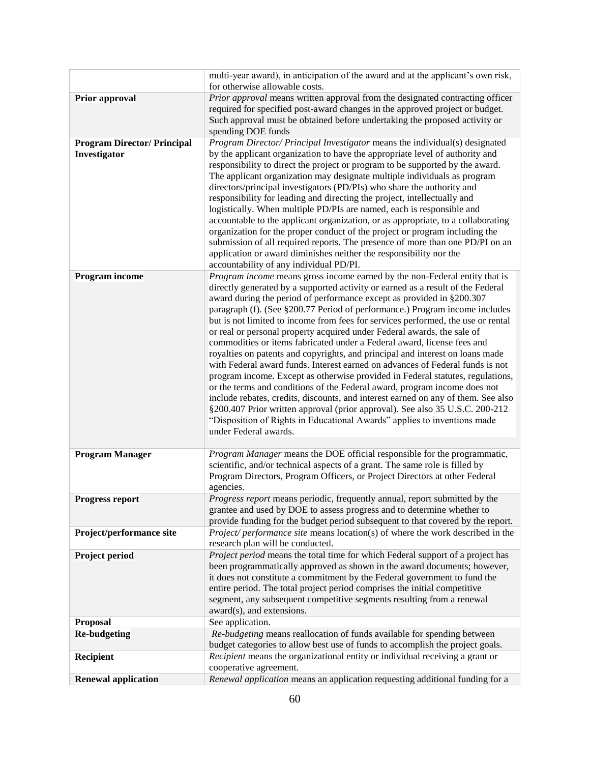|                                    | multi-year award), in anticipation of the award and at the applicant's own risk,<br>for otherwise allowable costs.                                                                                                                                                                                                                                                                                                                                                                                                                                                                                                                                                                                                                                                                                                                                                                                                                                                                                                                                                                                                                                |
|------------------------------------|---------------------------------------------------------------------------------------------------------------------------------------------------------------------------------------------------------------------------------------------------------------------------------------------------------------------------------------------------------------------------------------------------------------------------------------------------------------------------------------------------------------------------------------------------------------------------------------------------------------------------------------------------------------------------------------------------------------------------------------------------------------------------------------------------------------------------------------------------------------------------------------------------------------------------------------------------------------------------------------------------------------------------------------------------------------------------------------------------------------------------------------------------|
| Prior approval                     | Prior approval means written approval from the designated contracting officer<br>required for specified post-award changes in the approved project or budget.                                                                                                                                                                                                                                                                                                                                                                                                                                                                                                                                                                                                                                                                                                                                                                                                                                                                                                                                                                                     |
|                                    | Such approval must be obtained before undertaking the proposed activity or<br>spending DOE funds                                                                                                                                                                                                                                                                                                                                                                                                                                                                                                                                                                                                                                                                                                                                                                                                                                                                                                                                                                                                                                                  |
| <b>Program Director/ Principal</b> | Program Director/ Principal Investigator means the individual(s) designated                                                                                                                                                                                                                                                                                                                                                                                                                                                                                                                                                                                                                                                                                                                                                                                                                                                                                                                                                                                                                                                                       |
| Investigator                       | by the applicant organization to have the appropriate level of authority and<br>responsibility to direct the project or program to be supported by the award.                                                                                                                                                                                                                                                                                                                                                                                                                                                                                                                                                                                                                                                                                                                                                                                                                                                                                                                                                                                     |
|                                    | The applicant organization may designate multiple individuals as program<br>directors/principal investigators (PD/PIs) who share the authority and<br>responsibility for leading and directing the project, intellectually and<br>logistically. When multiple PD/PIs are named, each is responsible and                                                                                                                                                                                                                                                                                                                                                                                                                                                                                                                                                                                                                                                                                                                                                                                                                                           |
|                                    | accountable to the applicant organization, or as appropriate, to a collaborating<br>organization for the proper conduct of the project or program including the<br>submission of all required reports. The presence of more than one PD/PI on an<br>application or award diminishes neither the responsibility nor the<br>accountability of any individual PD/PI.                                                                                                                                                                                                                                                                                                                                                                                                                                                                                                                                                                                                                                                                                                                                                                                 |
| Program income                     | Program income means gross income earned by the non-Federal entity that is<br>directly generated by a supported activity or earned as a result of the Federal<br>award during the period of performance except as provided in §200.307<br>paragraph (f). (See §200.77 Period of performance.) Program income includes<br>but is not limited to income from fees for services performed, the use or rental<br>or real or personal property acquired under Federal awards, the sale of<br>commodities or items fabricated under a Federal award, license fees and<br>royalties on patents and copyrights, and principal and interest on loans made<br>with Federal award funds. Interest earned on advances of Federal funds is not<br>program income. Except as otherwise provided in Federal statutes, regulations,<br>or the terms and conditions of the Federal award, program income does not<br>include rebates, credits, discounts, and interest earned on any of them. See also<br>§200.407 Prior written approval (prior approval). See also 35 U.S.C. 200-212<br>"Disposition of Rights in Educational Awards" applies to inventions made |
|                                    | under Federal awards.                                                                                                                                                                                                                                                                                                                                                                                                                                                                                                                                                                                                                                                                                                                                                                                                                                                                                                                                                                                                                                                                                                                             |
| <b>Program Manager</b>             | Program Manager means the DOE official responsible for the programmatic,<br>scientific, and/or technical aspects of a grant. The same role is filled by<br>Program Directors, Program Officers, or Project Directors at other Federal<br>agencies.                                                                                                                                                                                                                                                                                                                                                                                                                                                                                                                                                                                                                                                                                                                                                                                                                                                                                                |
| <b>Progress report</b>             | Progress report means periodic, frequently annual, report submitted by the<br>grantee and used by DOE to assess progress and to determine whether to<br>provide funding for the budget period subsequent to that covered by the report.                                                                                                                                                                                                                                                                                                                                                                                                                                                                                                                                                                                                                                                                                                                                                                                                                                                                                                           |
| Project/performance site           | <i>Project/ performance site means location(s) of where the work described in the</i><br>research plan will be conducted.                                                                                                                                                                                                                                                                                                                                                                                                                                                                                                                                                                                                                                                                                                                                                                                                                                                                                                                                                                                                                         |
| Project period                     | Project period means the total time for which Federal support of a project has<br>been programmatically approved as shown in the award documents; however,<br>it does not constitute a commitment by the Federal government to fund the<br>entire period. The total project period comprises the initial competitive<br>segment, any subsequent competitive segments resulting from a renewal<br>award(s), and extensions.                                                                                                                                                                                                                                                                                                                                                                                                                                                                                                                                                                                                                                                                                                                        |
| <b>Proposal</b>                    | See application.                                                                                                                                                                                                                                                                                                                                                                                                                                                                                                                                                                                                                                                                                                                                                                                                                                                                                                                                                                                                                                                                                                                                  |
| <b>Re-budgeting</b>                | Re-budgeting means reallocation of funds available for spending between<br>budget categories to allow best use of funds to accomplish the project goals.                                                                                                                                                                                                                                                                                                                                                                                                                                                                                                                                                                                                                                                                                                                                                                                                                                                                                                                                                                                          |
| Recipient                          | Recipient means the organizational entity or individual receiving a grant or<br>cooperative agreement.                                                                                                                                                                                                                                                                                                                                                                                                                                                                                                                                                                                                                                                                                                                                                                                                                                                                                                                                                                                                                                            |
| <b>Renewal application</b>         | Renewal application means an application requesting additional funding for a                                                                                                                                                                                                                                                                                                                                                                                                                                                                                                                                                                                                                                                                                                                                                                                                                                                                                                                                                                                                                                                                      |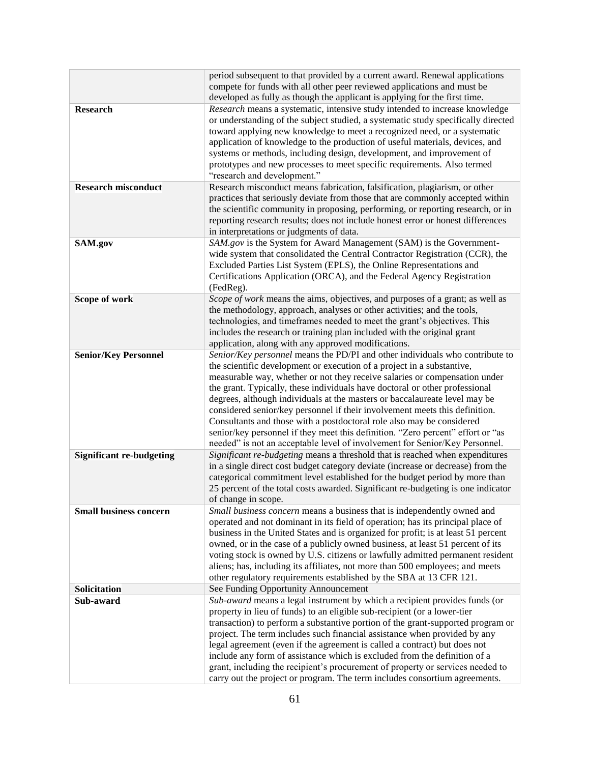|                                 | period subsequent to that provided by a current award. Renewal applications                                                                                          |
|---------------------------------|----------------------------------------------------------------------------------------------------------------------------------------------------------------------|
|                                 | compete for funds with all other peer reviewed applications and must be                                                                                              |
|                                 | developed as fully as though the applicant is applying for the first time.                                                                                           |
| <b>Research</b>                 | Research means a systematic, intensive study intended to increase knowledge                                                                                          |
|                                 | or understanding of the subject studied, a systematic study specifically directed                                                                                    |
|                                 | toward applying new knowledge to meet a recognized need, or a systematic                                                                                             |
|                                 | application of knowledge to the production of useful materials, devices, and                                                                                         |
|                                 | systems or methods, including design, development, and improvement of                                                                                                |
|                                 | prototypes and new processes to meet specific requirements. Also termed                                                                                              |
|                                 | "research and development."                                                                                                                                          |
| <b>Research misconduct</b>      | Research misconduct means fabrication, falsification, plagiarism, or other                                                                                           |
|                                 | practices that seriously deviate from those that are commonly accepted within                                                                                        |
|                                 | the scientific community in proposing, performing, or reporting research, or in                                                                                      |
|                                 | reporting research results; does not include honest error or honest differences                                                                                      |
|                                 | in interpretations or judgments of data.                                                                                                                             |
| SAM.gov                         | SAM.gov is the System for Award Management (SAM) is the Government-                                                                                                  |
|                                 | wide system that consolidated the Central Contractor Registration (CCR), the                                                                                         |
|                                 | Excluded Parties List System (EPLS), the Online Representations and                                                                                                  |
|                                 | Certifications Application (ORCA), and the Federal Agency Registration                                                                                               |
|                                 | (FedReg).                                                                                                                                                            |
| Scope of work                   | Scope of work means the aims, objectives, and purposes of a grant; as well as                                                                                        |
|                                 | the methodology, approach, analyses or other activities; and the tools,                                                                                              |
|                                 | technologies, and timeframes needed to meet the grant's objectives. This                                                                                             |
|                                 | includes the research or training plan included with the original grant                                                                                              |
|                                 | application, along with any approved modifications.                                                                                                                  |
| <b>Senior/Key Personnel</b>     | Senior/Key personnel means the PD/PI and other individuals who contribute to                                                                                         |
|                                 | the scientific development or execution of a project in a substantive,                                                                                               |
|                                 | measurable way, whether or not they receive salaries or compensation under                                                                                           |
|                                 | the grant. Typically, these individuals have doctoral or other professional                                                                                          |
|                                 | degrees, although individuals at the masters or baccalaureate level may be                                                                                           |
|                                 | considered senior/key personnel if their involvement meets this definition.                                                                                          |
|                                 | Consultants and those with a postdoctoral role also may be considered                                                                                                |
|                                 | senior/key personnel if they meet this definition. "Zero percent" effort or "as                                                                                      |
|                                 | needed" is not an acceptable level of involvement for Senior/Key Personnel.                                                                                          |
| <b>Significant re-budgeting</b> | Significant re-budgeting means a threshold that is reached when expenditures                                                                                         |
|                                 | in a single direct cost budget category deviate (increase or decrease) from the                                                                                      |
|                                 | categorical commitment level established for the budget period by more than                                                                                          |
|                                 | 25 percent of the total costs awarded. Significant re-budgeting is one indicator                                                                                     |
|                                 | of change in scope.                                                                                                                                                  |
| <b>Small business concern</b>   | Small business concern means a business that is independently owned and                                                                                              |
|                                 | operated and not dominant in its field of operation; has its principal place of<br>business in the United States and is organized for profit; is at least 51 percent |
|                                 | owned, or in the case of a publicly owned business, at least 51 percent of its                                                                                       |
|                                 | voting stock is owned by U.S. citizens or lawfully admitted permanent resident                                                                                       |
|                                 | aliens; has, including its affiliates, not more than 500 employees; and meets                                                                                        |
|                                 | other regulatory requirements established by the SBA at 13 CFR 121.                                                                                                  |
| Solicitation                    | See Funding Opportunity Announcement                                                                                                                                 |
| Sub-award                       | Sub-award means a legal instrument by which a recipient provides funds (or                                                                                           |
|                                 | property in lieu of funds) to an eligible sub-recipient (or a lower-tier                                                                                             |
|                                 |                                                                                                                                                                      |
|                                 | transaction) to perform a substantive portion of the grant-supported program or<br>project. The term includes such financial assistance when provided by any         |
|                                 | legal agreement (even if the agreement is called a contract) but does not                                                                                            |
|                                 | include any form of assistance which is excluded from the definition of a                                                                                            |
|                                 | grant, including the recipient's procurement of property or services needed to                                                                                       |
|                                 | carry out the project or program. The term includes consortium agreements.                                                                                           |
|                                 |                                                                                                                                                                      |